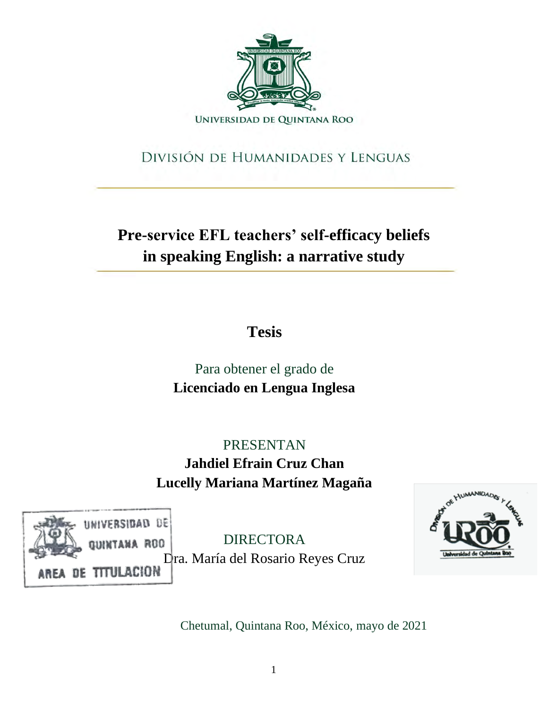

# DIVISIÓN DE HUMANIDADES Y LENGUAS

**Pre-service EFL teachers' self-efficacy beliefs in speaking English: a narrative study** 

**Tesis** 

Para obtener el grado de **Licenciado en Lengua Inglesa** 

PRESENTAN **Jahdiel Efrain Cruz Chan Lucelly Mariana Martínez Magaña** 



DIRECTORA Dra. María del Rosario Reyes Cruz



Chetumal, Quintana Roo, México, mayo de 2021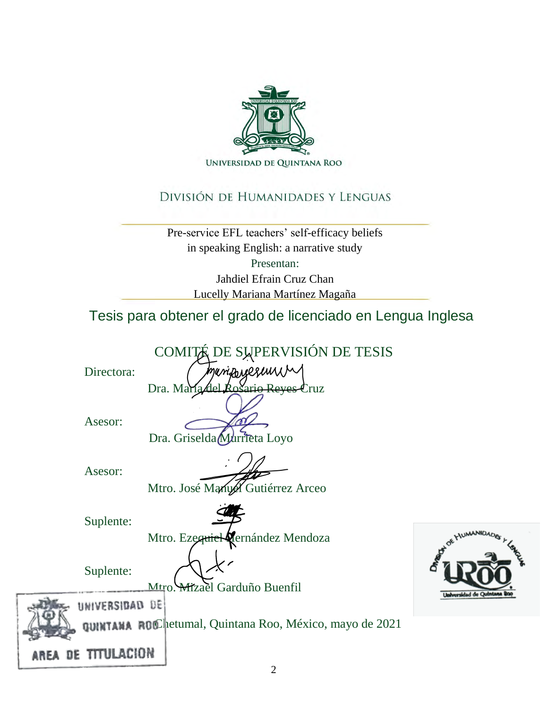

## DIVISIÓN DE HUMANIDADES Y LENGUAS

Pre-service EFL teachers' self-efficacy beliefs in speaking English: a narrative study Presentan: Jahdiel Efrain Cruz Chan Lucelly Mariana Martínez Magaña

Tesis para obtener el grado de licenciado en Lengua Inglesa

COMITÉ DE SUPERVISIÓN DE TESIS

Directora:

periforgese Dra. María del Rosario Reyes Cruz

Asesor:





Asesor:

Mtro. José Manuel Gutiérrez Arceo

Suplente:



Mtro. Ezequiel Vernández Mendoza



Suplente:

UNIVERSIDAD DE

Mtro. Mizael Garduño Buenfil



Chetumal, Quintana Roo, México, mayo de 2021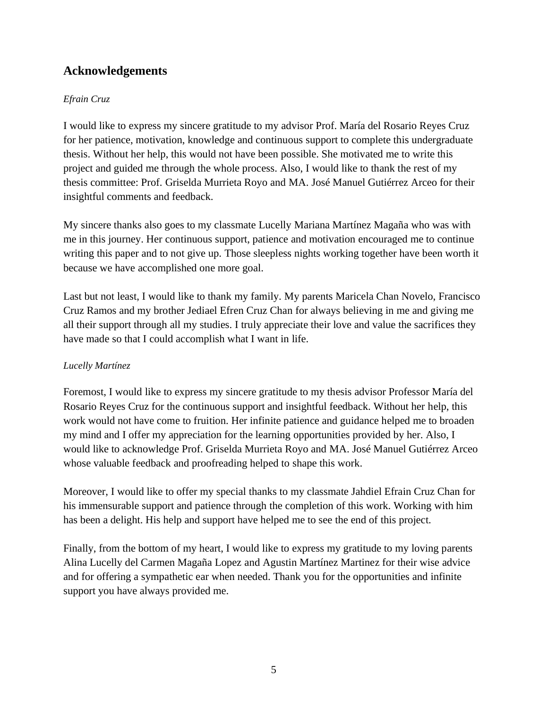## **Acknowledgements**

## *Efrain Cruz*

I would like to express my sincere gratitude to my advisor Prof. María del Rosario Reyes Cruz for her patience, motivation, knowledge and continuous support to complete this undergraduate thesis. Without her help, this would not have been possible. She motivated me to write this project and guided me through the whole process. Also, I would like to thank the rest of my thesis committee: Prof. Griselda Murrieta Royo and MA. José Manuel Gutiérrez Arceo for their insightful comments and feedback.

My sincere thanks also goes to my classmate Lucelly Mariana Martínez Magaña who was with me in this journey. Her continuous support, patience and motivation encouraged me to continue writing this paper and to not give up. Those sleepless nights working together have been worth it because we have accomplished one more goal.

Last but not least, I would like to thank my family. My parents Maricela Chan Novelo, Francisco Cruz Ramos and my brother Jediael Efren Cruz Chan for always believing in me and giving me all their support through all my studies. I truly appreciate their love and value the sacrifices they have made so that I could accomplish what I want in life.

### *Lucelly Martínez*

Foremost, I would like to express my sincere gratitude to my thesis advisor Professor María del Rosario Reyes Cruz for the continuous support and insightful feedback. Without her help, this work would not have come to fruition. Her infinite patience and guidance helped me to broaden my mind and I offer my appreciation for the learning opportunities provided by her. Also, I would like to acknowledge Prof. Griselda Murrieta Royo and MA. José Manuel Gutiérrez Arceo whose valuable feedback and proofreading helped to shape this work.

Moreover, I would like to offer my special thanks to my classmate Jahdiel Efrain Cruz Chan for his immensurable support and patience through the completion of this work. Working with him has been a delight. His help and support have helped me to see the end of this project.

Finally, from the bottom of my heart, I would like to express my gratitude to my loving parents Alina Lucelly del Carmen Magaña Lopez and Agustin Martínez Martinez for their wise advice and for offering a sympathetic ear when needed. Thank you for the opportunities and infinite support you have always provided me.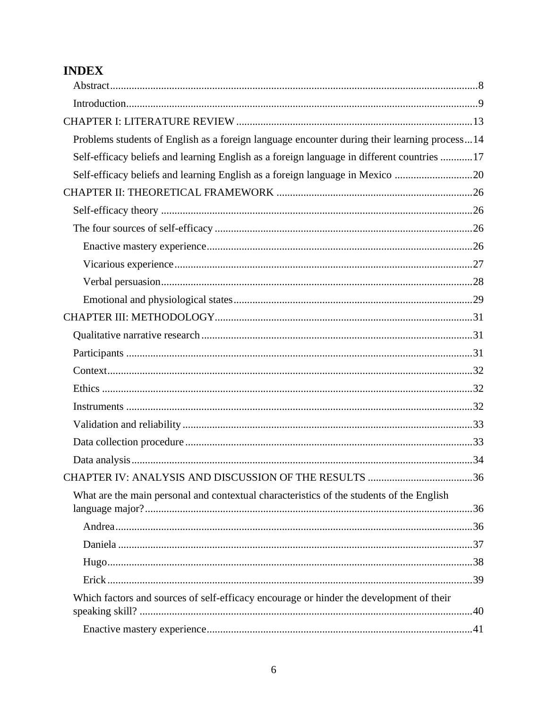# **INDEX**

| Problems students of English as a foreign language encounter during their learning process14 |  |
|----------------------------------------------------------------------------------------------|--|
| Self-efficacy beliefs and learning English as a foreign language in different countries  17  |  |
| Self-efficacy beliefs and learning English as a foreign language in Mexico 20                |  |
|                                                                                              |  |
|                                                                                              |  |
|                                                                                              |  |
|                                                                                              |  |
|                                                                                              |  |
|                                                                                              |  |
|                                                                                              |  |
|                                                                                              |  |
|                                                                                              |  |
|                                                                                              |  |
|                                                                                              |  |
|                                                                                              |  |
|                                                                                              |  |
|                                                                                              |  |
|                                                                                              |  |
|                                                                                              |  |
|                                                                                              |  |
| What are the main personal and contextual characteristics of the students of the English     |  |
|                                                                                              |  |
|                                                                                              |  |
|                                                                                              |  |
|                                                                                              |  |
|                                                                                              |  |
| Which factors and sources of self-efficacy encourage or hinder the development of their      |  |
|                                                                                              |  |
|                                                                                              |  |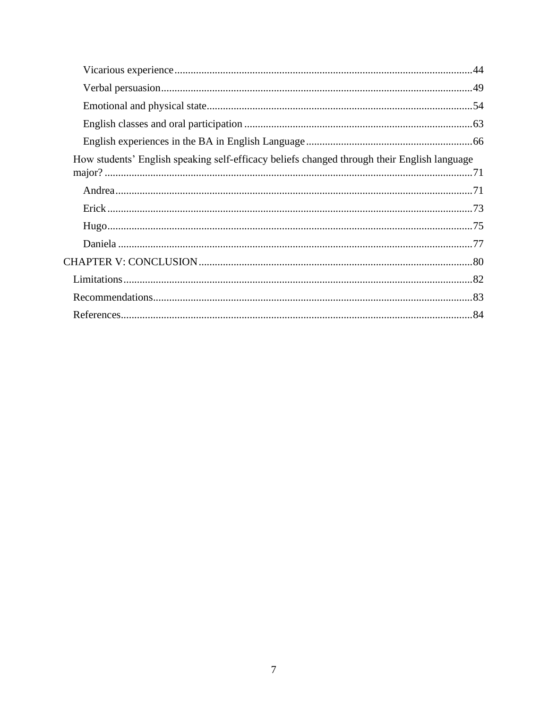| How students' English speaking self-efficacy beliefs changed through their English language |  |
|---------------------------------------------------------------------------------------------|--|
|                                                                                             |  |
|                                                                                             |  |
|                                                                                             |  |
|                                                                                             |  |
|                                                                                             |  |
|                                                                                             |  |
|                                                                                             |  |
|                                                                                             |  |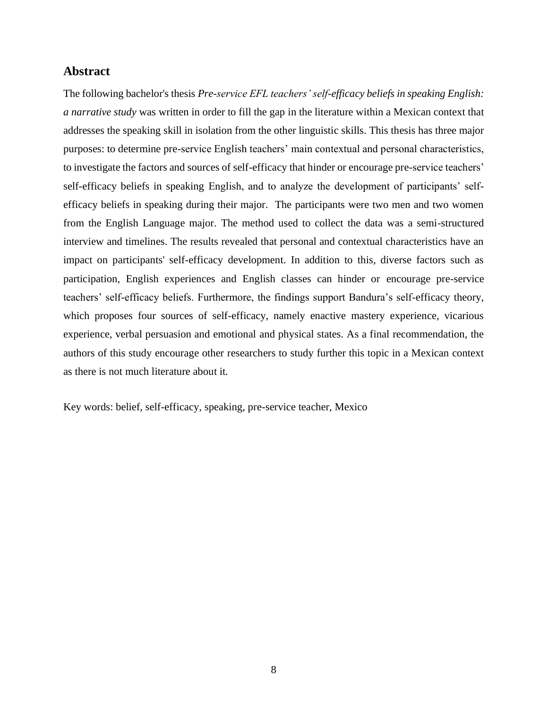#### **Abstract**

The following bachelor's thesis *Pre-service EFL teachers' self-efficacy beliefs in speaking English: a narrative study* was written in order to fill the gap in the literature within a Mexican context that addresses the speaking skill in isolation from the other linguistic skills. This thesis has three major purposes: to determine pre-service English teachers' main contextual and personal characteristics, to investigate the factors and sources of self-efficacy that hinder or encourage pre-service teachers' self-efficacy beliefs in speaking English, and to analyze the development of participants' selfefficacy beliefs in speaking during their major. The participants were two men and two women from the English Language major. The method used to collect the data was a semi-structured interview and timelines. The results revealed that personal and contextual characteristics have an impact on participants' self-efficacy development. In addition to this, diverse factors such as participation, English experiences and English classes can hinder or encourage pre-service teachers' self-efficacy beliefs. Furthermore, the findings support Bandura's self-efficacy theory, which proposes four sources of self-efficacy, namely enactive mastery experience, vicarious experience, verbal persuasion and emotional and physical states. As a final recommendation, the authors of this study encourage other researchers to study further this topic in a Mexican context as there is not much literature about it.

Key words: belief, self-efficacy, speaking, pre-service teacher, Mexico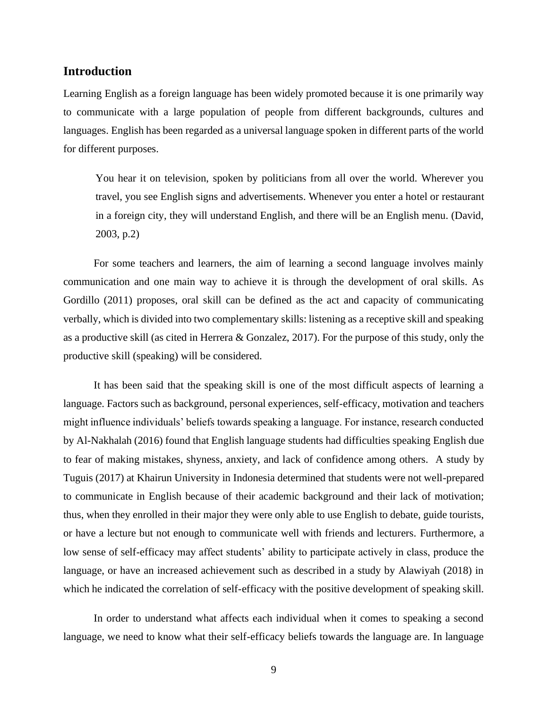#### **Introduction**

Learning English as a foreign language has been widely promoted because it is one primarily way to communicate with a large population of people from different backgrounds, cultures and languages. English has been regarded as a universal language spoken in different parts of the world for different purposes.

You hear it on television, spoken by politicians from all over the world. Wherever you travel, you see English signs and advertisements. Whenever you enter a hotel or restaurant in a foreign city, they will understand English, and there will be an English menu. (David, 2003, p.2)

For some teachers and learners, the aim of learning a second language involves mainly communication and one main way to achieve it is through the development of oral skills. As Gordillo (2011) proposes, oral skill can be defined as the act and capacity of communicating verbally, which is divided into two complementary skills: listening as a receptive skill and speaking as a productive skill (as cited in Herrera & Gonzalez, 2017). For the purpose of this study, only the productive skill (speaking) will be considered.

It has been said that the speaking skill is one of the most difficult aspects of learning a language. Factors such as background, personal experiences, self-efficacy, motivation and teachers might influence individuals' beliefs towards speaking a language. For instance, research conducted by Al-Nakhalah (2016) found that English language students had difficulties speaking English due to fear of making mistakes, shyness, anxiety, and lack of confidence among others. A study by Tuguis (2017) at Khairun University in Indonesia determined that students were not well-prepared to communicate in English because of their academic background and their lack of motivation; thus, when they enrolled in their major they were only able to use English to debate, guide tourists, or have a lecture but not enough to communicate well with friends and lecturers. Furthermore, a low sense of self-efficacy may affect students' ability to participate actively in class, produce the language, or have an increased achievement such as described in a study by Alawiyah (2018) in which he indicated the correlation of self-efficacy with the positive development of speaking skill.

In order to understand what affects each individual when it comes to speaking a second language, we need to know what their self-efficacy beliefs towards the language are. In language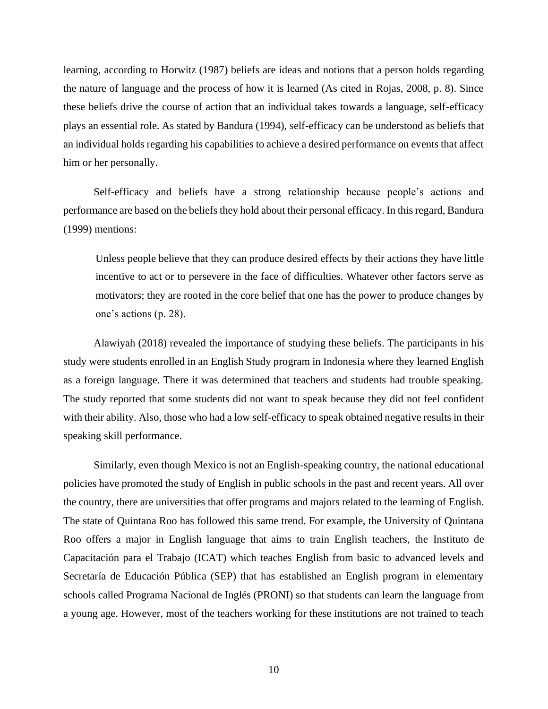learning, according to Horwitz (1987) beliefs are ideas and notions that a person holds regarding the nature of language and the process of how it is learned (As cited in Rojas, 2008, p. 8). Since these beliefs drive the course of action that an individual takes towards a language, self-efficacy plays an essential role. As stated by Bandura (1994), self-efficacy can be understood as beliefs that an individual holds regarding his capabilities to achieve a desired performance on events that affect him or her personally.

Self-efficacy and beliefs have a strong relationship because people's actions and performance are based on the beliefs they hold about their personal efficacy. In this regard, Bandura (1999) mentions:

Unless people believe that they can produce desired effects by their actions they have little incentive to act or to persevere in the face of difficulties. Whatever other factors serve as motivators; they are rooted in the core belief that one has the power to produce changes by one's actions (p. 28).

Alawiyah (2018) revealed the importance of studying these beliefs. The participants in his study were students enrolled in an English Study program in Indonesia where they learned English as a foreign language. There it was determined that teachers and students had trouble speaking. The study reported that some students did not want to speak because they did not feel confident with their ability. Also, those who had a low self-efficacy to speak obtained negative results in their speaking skill performance.

Similarly, even though Mexico is not an English-speaking country, the national educational policies have promoted the study of English in public schools in the past and recent years. All over the country, there are universities that offer programs and majors related to the learning of English. The state of Quintana Roo has followed this same trend. For example, the University of Quintana Roo offers a major in English language that aims to train English teachers, the Instituto de Capacitación para el Trabajo (ICAT) which teaches English from basic to advanced levels and Secretaría de Educación Pública (SEP) that has established an English program in elementary schools called Programa Nacional de Inglés (PRONI) so that students can learn the language from a young age. However, most of the teachers working for these institutions are not trained to teach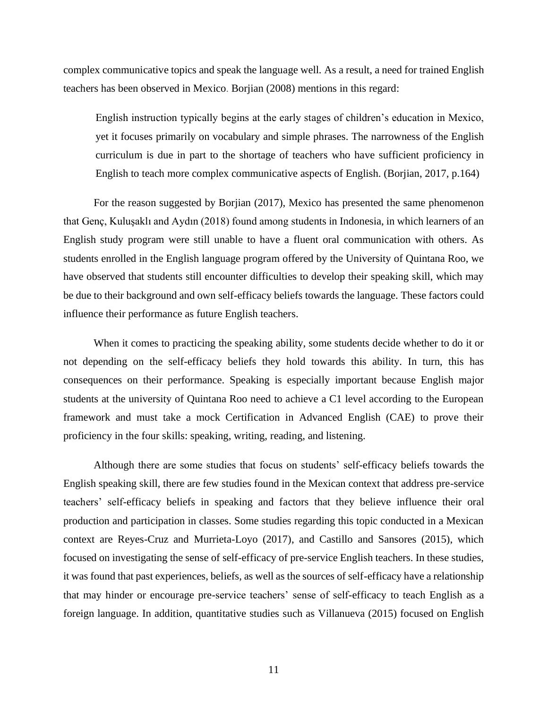complex communicative topics and speak the language well. As a result, a need for trained English teachers has been observed in Mexico. Borjian (2008) mentions in this regard:

English instruction typically begins at the early stages of children's education in Mexico, yet it focuses primarily on vocabulary and simple phrases. The narrowness of the English curriculum is due in part to the shortage of teachers who have sufficient proficiency in English to teach more complex communicative aspects of English. (Borjian, 2017, p.164)

For the reason suggested by Borjian (2017), Mexico has presented the same phenomenon that Genç, Kuluşaklı and Aydın (2018) found among students in Indonesia, in which learners of an English study program were still unable to have a fluent oral communication with others. As students enrolled in the English language program offered by the University of Quintana Roo, we have observed that students still encounter difficulties to develop their speaking skill, which may be due to their background and own self-efficacy beliefs towards the language. These factors could influence their performance as future English teachers.

When it comes to practicing the speaking ability, some students decide whether to do it or not depending on the self-efficacy beliefs they hold towards this ability. In turn, this has consequences on their performance. Speaking is especially important because English major students at the university of Quintana Roo need to achieve a C1 level according to the European framework and must take a mock Certification in Advanced English (CAE) to prove their proficiency in the four skills: speaking, writing, reading, and listening.

Although there are some studies that focus on students' self-efficacy beliefs towards the English speaking skill, there are few studies found in the Mexican context that address pre-service teachers' self-efficacy beliefs in speaking and factors that they believe influence their oral production and participation in classes. Some studies regarding this topic conducted in a Mexican context are Reyes-Cruz and Murrieta-Loyo (2017), and Castillo and Sansores (2015), which focused on investigating the sense of self-efficacy of pre-service English teachers. In these studies, it was found that past experiences, beliefs, as well as the sources of self-efficacy have a relationship that may hinder or encourage pre-service teachers' sense of self-efficacy to teach English as a foreign language. In addition, quantitative studies such as Villanueva (2015) focused on English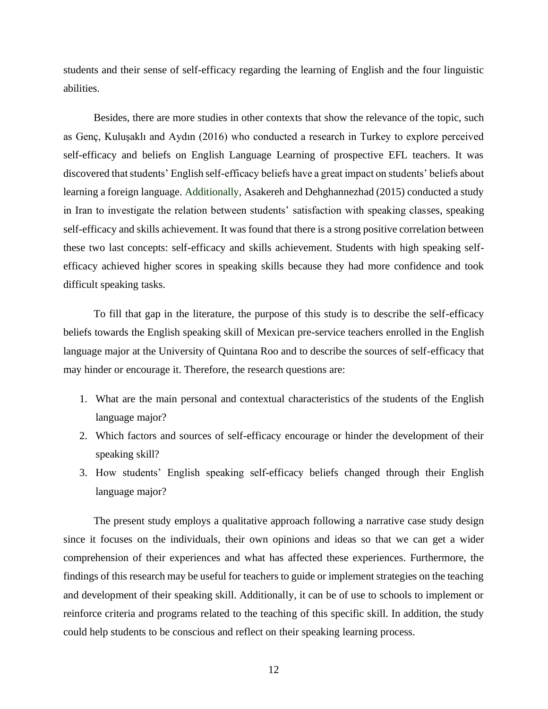students and their sense of self-efficacy regarding the learning of English and the four linguistic abilities.

Besides, there are more studies in other contexts that show the relevance of the topic, such as Genç, Kuluşaklı and Aydın (2016) who conducted a research in Turkey to explore perceived self-efficacy and beliefs on English Language Learning of prospective EFL teachers. It was discovered that students' English self-efficacy beliefs have a great impact on students' beliefs about learning a foreign language. Additionally, Asakereh and Dehghannezhad (2015) conducted a study in Iran to investigate the relation between students' satisfaction with speaking classes, speaking self-efficacy and skills achievement. It was found that there is a strong positive correlation between these two last concepts: self-efficacy and skills achievement. Students with high speaking selfefficacy achieved higher scores in speaking skills because they had more confidence and took difficult speaking tasks.

To fill that gap in the literature, the purpose of this study is to describe the self-efficacy beliefs towards the English speaking skill of Mexican pre-service teachers enrolled in the English language major at the University of Quintana Roo and to describe the sources of self-efficacy that may hinder or encourage it. Therefore, the research questions are:

- 1. What are the main personal and contextual characteristics of the students of the English language major?
- 2. Which factors and sources of self-efficacy encourage or hinder the development of their speaking skill?
- 3. How students' English speaking self-efficacy beliefs changed through their English language major?

The present study employs a qualitative approach following a narrative case study design since it focuses on the individuals, their own opinions and ideas so that we can get a wider comprehension of their experiences and what has affected these experiences. Furthermore, the findings of this research may be useful for teachers to guide or implement strategies on the teaching and development of their speaking skill. Additionally, it can be of use to schools to implement or reinforce criteria and programs related to the teaching of this specific skill. In addition, the study could help students to be conscious and reflect on their speaking learning process.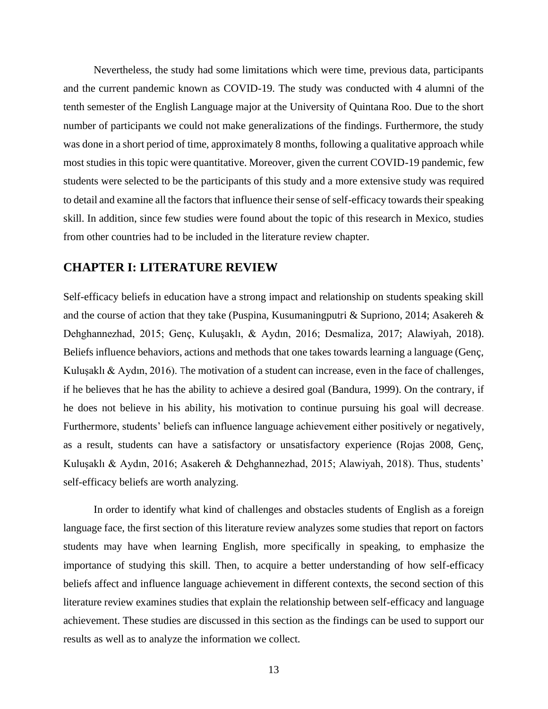Nevertheless, the study had some limitations which were time, previous data, participants and the current pandemic known as COVID-19. The study was conducted with 4 alumni of the tenth semester of the English Language major at the University of Quintana Roo. Due to the short number of participants we could not make generalizations of the findings. Furthermore, the study was done in a short period of time, approximately 8 months, following a qualitative approach while most studies in this topic were quantitative. Moreover, given the current COVID-19 pandemic, few students were selected to be the participants of this study and a more extensive study was required to detail and examine all the factors that influence their sense of self-efficacy towards their speaking skill. In addition, since few studies were found about the topic of this research in Mexico, studies from other countries had to be included in the literature review chapter.

### **CHAPTER I: LITERATURE REVIEW**

Self-efficacy beliefs in education have a strong impact and relationship on students speaking skill and the course of action that they take (Puspina, Kusumaningputri & Supriono, 2014; Asakereh & Dehghannezhad, 2015; Genç, Kuluşaklı, & Aydın, 2016; Desmaliza, 2017; Alawiyah, 2018). Beliefs influence behaviors, actions and methods that one takes towards learning a language (Genç, Kuluşaklı & Aydın, 2016). The motivation of a student can increase, even in the face of challenges, if he believes that he has the ability to achieve a desired goal (Bandura, 1999). On the contrary, if he does not believe in his ability, his motivation to continue pursuing his goal will decrease. Furthermore, students' beliefs can influence language achievement either positively or negatively, as a result, students can have a satisfactory or unsatisfactory experience (Rojas 2008, Genç, Kuluşaklı & Aydın, 2016; Asakereh & Dehghannezhad, 2015; Alawiyah, 2018). Thus, students' self-efficacy beliefs are worth analyzing.

In order to identify what kind of challenges and obstacles students of English as a foreign language face, the first section of this literature review analyzes some studies that report on factors students may have when learning English, more specifically in speaking, to emphasize the importance of studying this skill. Then, to acquire a better understanding of how self-efficacy beliefs affect and influence language achievement in different contexts, the second section of this literature review examines studies that explain the relationship between self-efficacy and language achievement. These studies are discussed in this section as the findings can be used to support our results as well as to analyze the information we collect.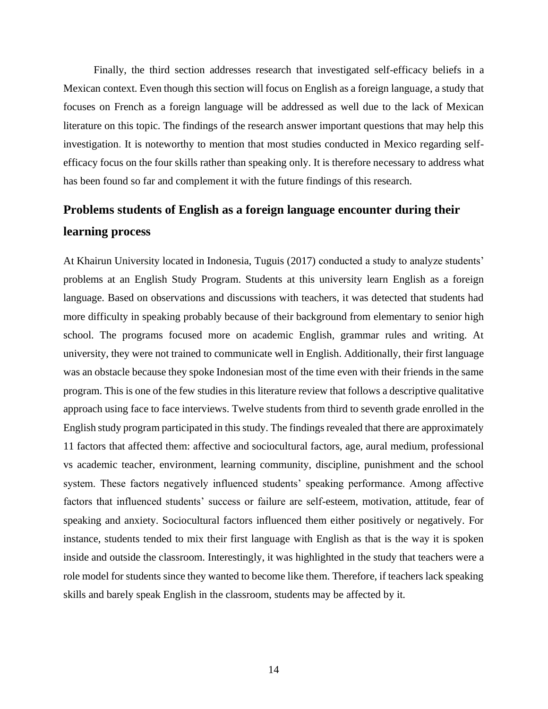Finally, the third section addresses research that investigated self-efficacy beliefs in a Mexican context. Even though this section will focus on English as a foreign language, a study that focuses on French as a foreign language will be addressed as well due to the lack of Mexican literature on this topic. The findings of the research answer important questions that may help this investigation. It is noteworthy to mention that most studies conducted in Mexico regarding selfefficacy focus on the four skills rather than speaking only. It is therefore necessary to address what has been found so far and complement it with the future findings of this research.

# **Problems students of English as a foreign language encounter during their learning process**

At Khairun University located in Indonesia, Tuguis (2017) conducted a study to analyze students' problems at an English Study Program. Students at this university learn English as a foreign language. Based on observations and discussions with teachers, it was detected that students had more difficulty in speaking probably because of their background from elementary to senior high school. The programs focused more on academic English, grammar rules and writing. At university, they were not trained to communicate well in English. Additionally, their first language was an obstacle because they spoke Indonesian most of the time even with their friends in the same program. This is one of the few studies in this literature review that follows a descriptive qualitative approach using face to face interviews. Twelve students from third to seventh grade enrolled in the English study program participated in this study. The findings revealed that there are approximately 11 factors that affected them: affective and sociocultural factors, age, aural medium, professional vs academic teacher, environment, learning community, discipline, punishment and the school system. These factors negatively influenced students' speaking performance. Among affective factors that influenced students' success or failure are self-esteem, motivation, attitude, fear of speaking and anxiety. Sociocultural factors influenced them either positively or negatively. For instance, students tended to mix their first language with English as that is the way it is spoken inside and outside the classroom. Interestingly, it was highlighted in the study that teachers were a role model for students since they wanted to become like them. Therefore, if teachers lack speaking skills and barely speak English in the classroom, students may be affected by it.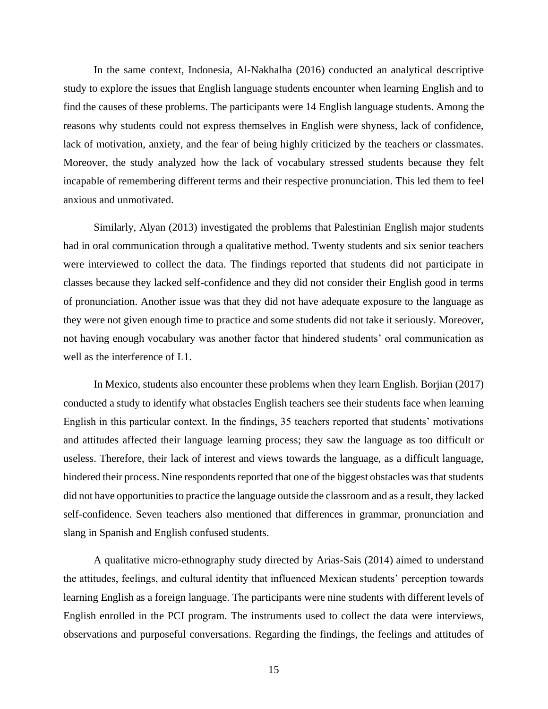In the same context, Indonesia, Al-Nakhalha (2016) conducted an analytical descriptive study to explore the issues that English language students encounter when learning English and to find the causes of these problems. The participants were 14 English language students. Among the reasons why students could not express themselves in English were shyness, lack of confidence, lack of motivation, anxiety, and the fear of being highly criticized by the teachers or classmates. Moreover, the study analyzed how the lack of vocabulary stressed students because they felt incapable of remembering different terms and their respective pronunciation. This led them to feel anxious and unmotivated.

Similarly, Alyan (2013) investigated the problems that Palestinian English major students had in oral communication through a qualitative method. Twenty students and six senior teachers were interviewed to collect the data. The findings reported that students did not participate in classes because they lacked self-confidence and they did not consider their English good in terms of pronunciation. Another issue was that they did not have adequate exposure to the language as they were not given enough time to practice and some students did not take it seriously. Moreover, not having enough vocabulary was another factor that hindered students' oral communication as well as the interference of L1.

In Mexico, students also encounter these problems when they learn English. Borjian (2017) conducted a study to identify what obstacles English teachers see their students face when learning English in this particular context. In the findings, 35 teachers reported that students' motivations and attitudes affected their language learning process; they saw the language as too difficult or useless. Therefore, their lack of interest and views towards the language, as a difficult language, hindered their process. Nine respondents reported that one of the biggest obstacles was that students did not have opportunities to practice the language outside the classroom and as a result, they lacked self-confidence. Seven teachers also mentioned that differences in grammar, pronunciation and slang in Spanish and English confused students.

A qualitative micro-ethnography study directed by Arias-Sais (2014) aimed to understand the attitudes, feelings, and cultural identity that influenced Mexican students' perception towards learning English as a foreign language. The participants were nine students with different levels of English enrolled in the PCI program. The instruments used to collect the data were interviews, observations and purposeful conversations. Regarding the findings, the feelings and attitudes of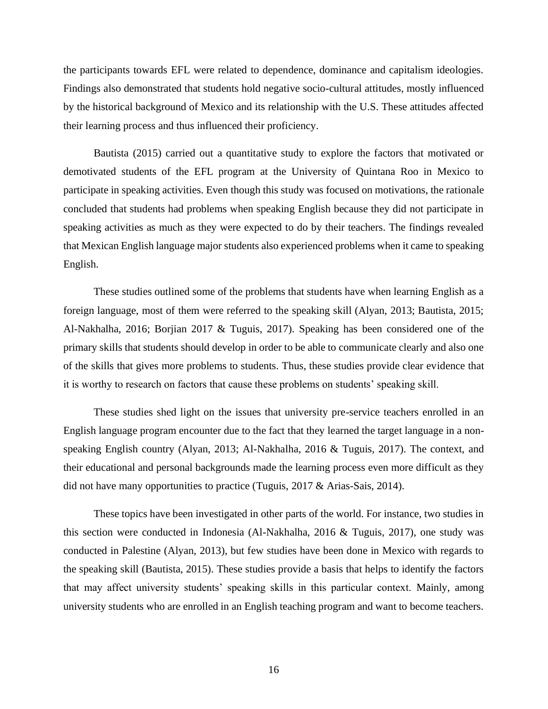the participants towards EFL were related to dependence, dominance and capitalism ideologies. Findings also demonstrated that students hold negative socio-cultural attitudes, mostly influenced by the historical background of Mexico and its relationship with the U.S. These attitudes affected their learning process and thus influenced their proficiency.

Bautista (2015) carried out a quantitative study to explore the factors that motivated or demotivated students of the EFL program at the University of Quintana Roo in Mexico to participate in speaking activities. Even though this study was focused on motivations, the rationale concluded that students had problems when speaking English because they did not participate in speaking activities as much as they were expected to do by their teachers. The findings revealed that Mexican English language major students also experienced problems when it came to speaking English.

These studies outlined some of the problems that students have when learning English as a foreign language, most of them were referred to the speaking skill (Alyan, 2013; Bautista, 2015; Al-Nakhalha, 2016; Borjian 2017 & Tuguis, 2017). Speaking has been considered one of the primary skills that students should develop in order to be able to communicate clearly and also one of the skills that gives more problems to students. Thus, these studies provide clear evidence that it is worthy to research on factors that cause these problems on students' speaking skill.

These studies shed light on the issues that university pre-service teachers enrolled in an English language program encounter due to the fact that they learned the target language in a nonspeaking English country (Alyan, 2013; Al-Nakhalha, 2016 & Tuguis, 2017). The context, and their educational and personal backgrounds made the learning process even more difficult as they did not have many opportunities to practice (Tuguis, 2017 & Arias-Sais, 2014).

These topics have been investigated in other parts of the world. For instance, two studies in this section were conducted in Indonesia (Al-Nakhalha, 2016 & Tuguis, 2017), one study was conducted in Palestine (Alyan, 2013), but few studies have been done in Mexico with regards to the speaking skill (Bautista, 2015). These studies provide a basis that helps to identify the factors that may affect university students' speaking skills in this particular context. Mainly, among university students who are enrolled in an English teaching program and want to become teachers.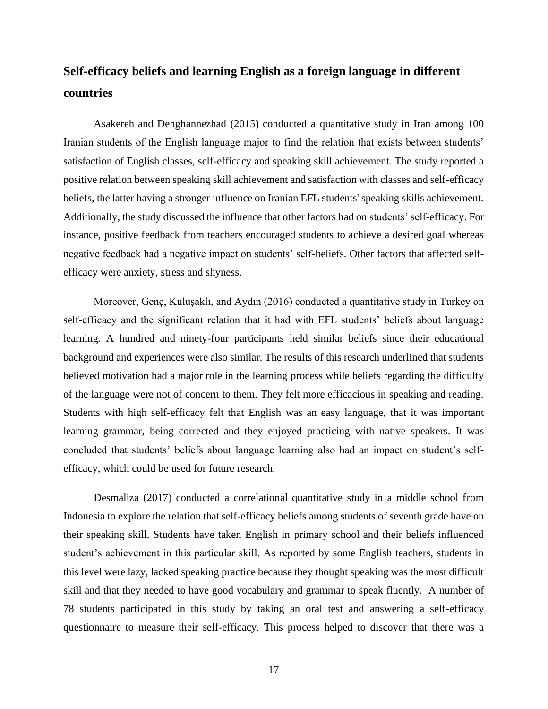# **Self-efficacy beliefs and learning English as a foreign language in different countries**

Asakereh and Dehghannezhad (2015) conducted a quantitative study in Iran among 100 Iranian students of the English language major to find the relation that exists between students' satisfaction of English classes, self-efficacy and speaking skill achievement. The study reported a positive relation between speaking skill achievement and satisfaction with classes and self-efficacy beliefs, the latter having a stronger influence on Iranian EFL students' speaking skills achievement. Additionally, the study discussed the influence that other factors had on students' self-efficacy. For instance, positive feedback from teachers encouraged students to achieve a desired goal whereas negative feedback had a negative impact on students' self-beliefs. Other factors that affected selfefficacy were anxiety, stress and shyness.

Moreover, Genç, Kuluşaklı, and Aydın (2016) conducted a quantitative study in Turkey on self-efficacy and the significant relation that it had with EFL students' beliefs about language learning. A hundred and ninety-four participants held similar beliefs since their educational background and experiences were also similar. The results of this research underlined that students believed motivation had a major role in the learning process while beliefs regarding the difficulty of the language were not of concern to them. They felt more efficacious in speaking and reading. Students with high self-efficacy felt that English was an easy language, that it was important learning grammar, being corrected and they enjoyed practicing with native speakers. It was concluded that students' beliefs about language learning also had an impact on student's selfefficacy, which could be used for future research.

Desmaliza (2017) conducted a correlational quantitative study in a middle school from Indonesia to explore the relation that self-efficacy beliefs among students of seventh grade have on their speaking skill. Students have taken English in primary school and their beliefs influenced student's achievement in this particular skill. As reported by some English teachers, students in this level were lazy, lacked speaking practice because they thought speaking was the most difficult skill and that they needed to have good vocabulary and grammar to speak fluently. A number of 78 students participated in this study by taking an oral test and answering a self-efficacy questionnaire to measure their self-efficacy. This process helped to discover that there was a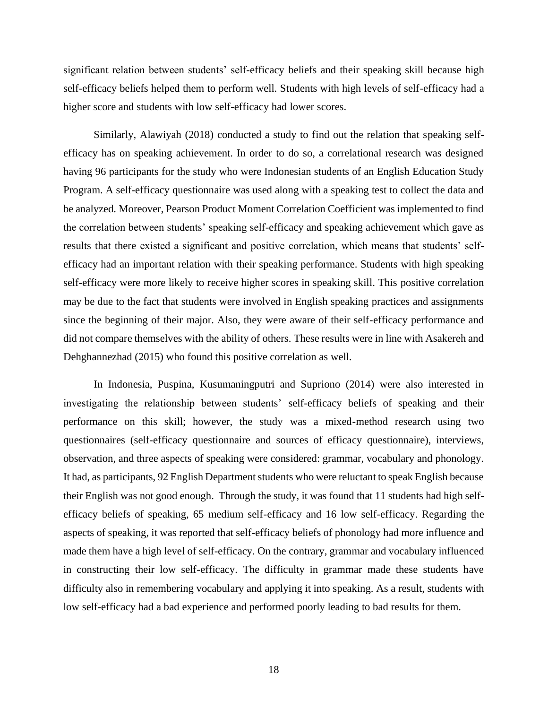significant relation between students' self-efficacy beliefs and their speaking skill because high self-efficacy beliefs helped them to perform well. Students with high levels of self-efficacy had a higher score and students with low self-efficacy had lower scores.

Similarly, Alawiyah (2018) conducted a study to find out the relation that speaking selfefficacy has on speaking achievement. In order to do so, a correlational research was designed having 96 participants for the study who were Indonesian students of an English Education Study Program. A self-efficacy questionnaire was used along with a speaking test to collect the data and be analyzed. Moreover, Pearson Product Moment Correlation Coefficient was implemented to find the correlation between students' speaking self-efficacy and speaking achievement which gave as results that there existed a significant and positive correlation, which means that students' selfefficacy had an important relation with their speaking performance. Students with high speaking self-efficacy were more likely to receive higher scores in speaking skill. This positive correlation may be due to the fact that students were involved in English speaking practices and assignments since the beginning of their major. Also, they were aware of their self-efficacy performance and did not compare themselves with the ability of others. These results were in line with Asakereh and Dehghannezhad (2015) who found this positive correlation as well.

In Indonesia, Puspina, Kusumaningputri and Supriono (2014) were also interested in investigating the relationship between students' self-efficacy beliefs of speaking and their performance on this skill; however, the study was a mixed-method research using two questionnaires (self-efficacy questionnaire and sources of efficacy questionnaire), interviews, observation, and three aspects of speaking were considered: grammar, vocabulary and phonology. It had, as participants, 92 English Department students who were reluctant to speak English because their English was not good enough. Through the study, it was found that 11 students had high selfefficacy beliefs of speaking, 65 medium self-efficacy and 16 low self-efficacy. Regarding the aspects of speaking, it was reported that self-efficacy beliefs of phonology had more influence and made them have a high level of self-efficacy. On the contrary, grammar and vocabulary influenced in constructing their low self-efficacy. The difficulty in grammar made these students have difficulty also in remembering vocabulary and applying it into speaking. As a result, students with low self-efficacy had a bad experience and performed poorly leading to bad results for them.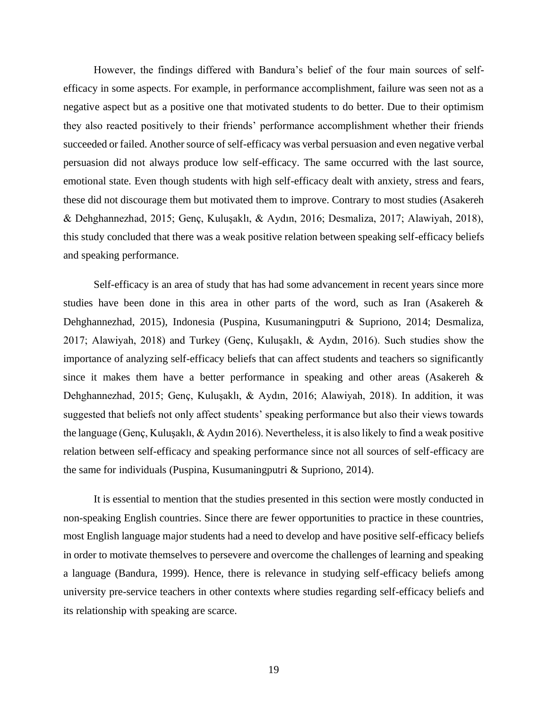However, the findings differed with Bandura's belief of the four main sources of selfefficacy in some aspects. For example, in performance accomplishment, failure was seen not as a negative aspect but as a positive one that motivated students to do better. Due to their optimism they also reacted positively to their friends' performance accomplishment whether their friends succeeded or failed. Another source of self-efficacy was verbal persuasion and even negative verbal persuasion did not always produce low self-efficacy. The same occurred with the last source, emotional state. Even though students with high self-efficacy dealt with anxiety, stress and fears, these did not discourage them but motivated them to improve. Contrary to most studies (Asakereh & Dehghannezhad, 2015; Genç, Kuluşaklı, & Aydın, 2016; Desmaliza, 2017; Alawiyah, 2018), this study concluded that there was a weak positive relation between speaking self-efficacy beliefs and speaking performance.

Self-efficacy is an area of study that has had some advancement in recent years since more studies have been done in this area in other parts of the word, such as Iran (Asakereh & Dehghannezhad, 2015), Indonesia (Puspina, Kusumaningputri & Supriono, 2014; Desmaliza, 2017; Alawiyah, 2018) and Turkey (Genç, Kuluşaklı, & Aydın, 2016). Such studies show the importance of analyzing self-efficacy beliefs that can affect students and teachers so significantly since it makes them have a better performance in speaking and other areas (Asakereh & Dehghannezhad, 2015; Genç, Kuluşaklı, & Aydın, 2016; Alawiyah, 2018). In addition, it was suggested that beliefs not only affect students' speaking performance but also their views towards the language (Genç, Kuluşaklı, & Aydın 2016). Nevertheless, it is also likely to find a weak positive relation between self-efficacy and speaking performance since not all sources of self-efficacy are the same for individuals (Puspina, Kusumaningputri & Supriono, 2014).

It is essential to mention that the studies presented in this section were mostly conducted in non-speaking English countries. Since there are fewer opportunities to practice in these countries, most English language major students had a need to develop and have positive self-efficacy beliefs in order to motivate themselves to persevere and overcome the challenges of learning and speaking a language (Bandura, 1999). Hence, there is relevance in studying self-efficacy beliefs among university pre-service teachers in other contexts where studies regarding self-efficacy beliefs and its relationship with speaking are scarce.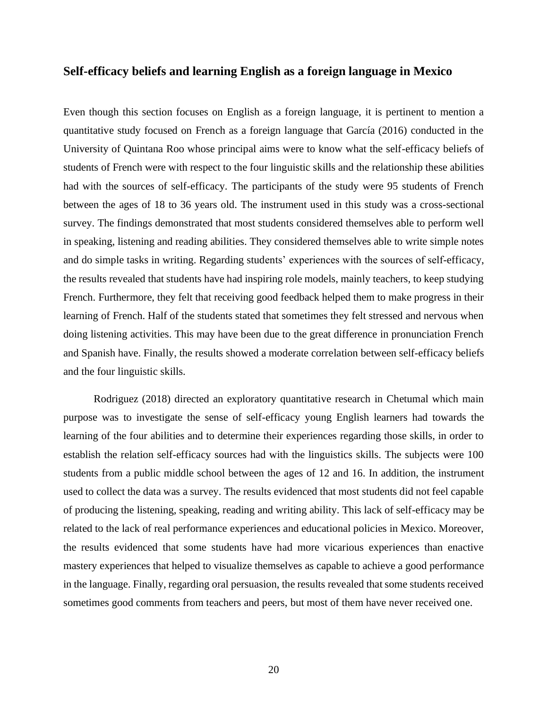## **Self-efficacy beliefs and learning English as a foreign language in Mexico**

Even though this section focuses on English as a foreign language, it is pertinent to mention a quantitative study focused on French as a foreign language that García (2016) conducted in the University of Quintana Roo whose principal aims were to know what the self-efficacy beliefs of students of French were with respect to the four linguistic skills and the relationship these abilities had with the sources of self-efficacy. The participants of the study were 95 students of French between the ages of 18 to 36 years old. The instrument used in this study was a cross-sectional survey. The findings demonstrated that most students considered themselves able to perform well in speaking, listening and reading abilities. They considered themselves able to write simple notes and do simple tasks in writing. Regarding students' experiences with the sources of self-efficacy, the results revealed that students have had inspiring role models, mainly teachers, to keep studying French. Furthermore, they felt that receiving good feedback helped them to make progress in their learning of French. Half of the students stated that sometimes they felt stressed and nervous when doing listening activities. This may have been due to the great difference in pronunciation French and Spanish have. Finally, the results showed a moderate correlation between self-efficacy beliefs and the four linguistic skills.

Rodriguez (2018) directed an exploratory quantitative research in Chetumal which main purpose was to investigate the sense of self-efficacy young English learners had towards the learning of the four abilities and to determine their experiences regarding those skills, in order to establish the relation self-efficacy sources had with the linguistics skills. The subjects were 100 students from a public middle school between the ages of 12 and 16. In addition, the instrument used to collect the data was a survey. The results evidenced that most students did not feel capable of producing the listening, speaking, reading and writing ability. This lack of self-efficacy may be related to the lack of real performance experiences and educational policies in Mexico. Moreover, the results evidenced that some students have had more vicarious experiences than enactive mastery experiences that helped to visualize themselves as capable to achieve a good performance in the language. Finally, regarding oral persuasion, the results revealed that some students received sometimes good comments from teachers and peers, but most of them have never received one.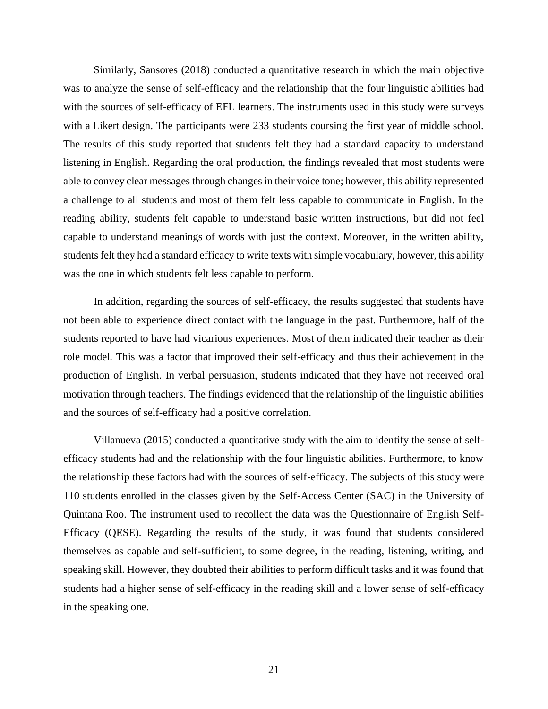Similarly, Sansores (2018) conducted a quantitative research in which the main objective was to analyze the sense of self-efficacy and the relationship that the four linguistic abilities had with the sources of self-efficacy of EFL learners. The instruments used in this study were surveys with a Likert design. The participants were 233 students coursing the first year of middle school. The results of this study reported that students felt they had a standard capacity to understand listening in English. Regarding the oral production, the findings revealed that most students were able to convey clear messages through changes in their voice tone; however, this ability represented a challenge to all students and most of them felt less capable to communicate in English. In the reading ability, students felt capable to understand basic written instructions, but did not feel capable to understand meanings of words with just the context. Moreover, in the written ability, students felt they had a standard efficacy to write texts with simple vocabulary, however, this ability was the one in which students felt less capable to perform.

In addition, regarding the sources of self-efficacy, the results suggested that students have not been able to experience direct contact with the language in the past. Furthermore, half of the students reported to have had vicarious experiences. Most of them indicated their teacher as their role model. This was a factor that improved their self-efficacy and thus their achievement in the production of English. In verbal persuasion, students indicated that they have not received oral motivation through teachers. The findings evidenced that the relationship of the linguistic abilities and the sources of self-efficacy had a positive correlation.

Villanueva (2015) conducted a quantitative study with the aim to identify the sense of selfefficacy students had and the relationship with the four linguistic abilities. Furthermore, to know the relationship these factors had with the sources of self-efficacy. The subjects of this study were 110 students enrolled in the classes given by the Self-Access Center (SAC) in the University of Quintana Roo. The instrument used to recollect the data was the Questionnaire of English Self-Efficacy (QESE). Regarding the results of the study, it was found that students considered themselves as capable and self-sufficient, to some degree, in the reading, listening, writing, and speaking skill. However, they doubted their abilities to perform difficult tasks and it was found that students had a higher sense of self-efficacy in the reading skill and a lower sense of self-efficacy in the speaking one.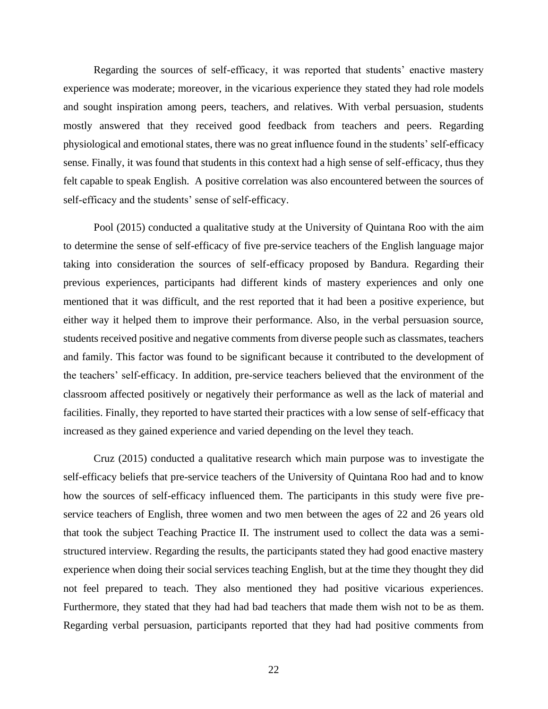Regarding the sources of self-efficacy, it was reported that students' enactive mastery experience was moderate; moreover, in the vicarious experience they stated they had role models and sought inspiration among peers, teachers, and relatives. With verbal persuasion, students mostly answered that they received good feedback from teachers and peers. Regarding physiological and emotional states, there was no great influence found in the students' self-efficacy sense. Finally, it was found that students in this context had a high sense of self-efficacy, thus they felt capable to speak English. A positive correlation was also encountered between the sources of self-efficacy and the students' sense of self-efficacy.

Pool (2015) conducted a qualitative study at the University of Quintana Roo with the aim to determine the sense of self-efficacy of five pre-service teachers of the English language major taking into consideration the sources of self-efficacy proposed by Bandura. Regarding their previous experiences, participants had different kinds of mastery experiences and only one mentioned that it was difficult, and the rest reported that it had been a positive experience, but either way it helped them to improve their performance. Also, in the verbal persuasion source, students received positive and negative comments from diverse people such as classmates, teachers and family. This factor was found to be significant because it contributed to the development of the teachers' self-efficacy. In addition, pre-service teachers believed that the environment of the classroom affected positively or negatively their performance as well as the lack of material and facilities. Finally, they reported to have started their practices with a low sense of self-efficacy that increased as they gained experience and varied depending on the level they teach.

Cruz (2015) conducted a qualitative research which main purpose was to investigate the self-efficacy beliefs that pre-service teachers of the University of Quintana Roo had and to know how the sources of self-efficacy influenced them. The participants in this study were five preservice teachers of English, three women and two men between the ages of 22 and 26 years old that took the subject Teaching Practice II. The instrument used to collect the data was a semistructured interview. Regarding the results, the participants stated they had good enactive mastery experience when doing their social services teaching English, but at the time they thought they did not feel prepared to teach. They also mentioned they had positive vicarious experiences. Furthermore, they stated that they had had bad teachers that made them wish not to be as them. Regarding verbal persuasion, participants reported that they had had positive comments from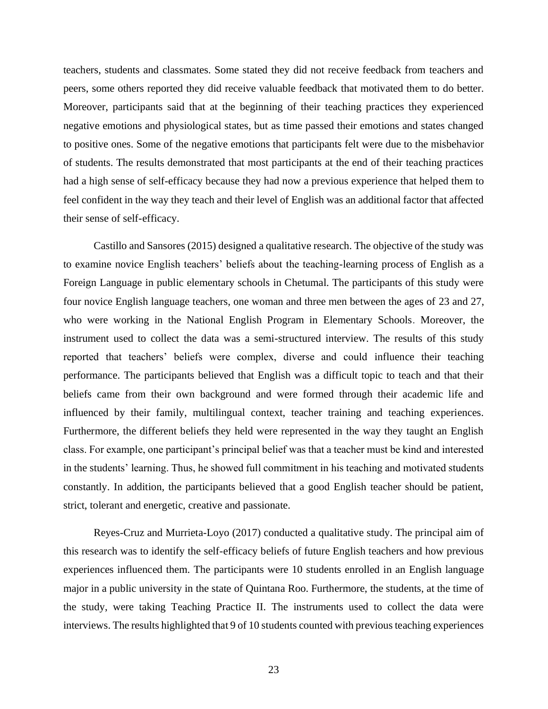teachers, students and classmates. Some stated they did not receive feedback from teachers and peers, some others reported they did receive valuable feedback that motivated them to do better. Moreover, participants said that at the beginning of their teaching practices they experienced negative emotions and physiological states, but as time passed their emotions and states changed to positive ones. Some of the negative emotions that participants felt were due to the misbehavior of students. The results demonstrated that most participants at the end of their teaching practices had a high sense of self-efficacy because they had now a previous experience that helped them to feel confident in the way they teach and their level of English was an additional factor that affected their sense of self-efficacy.

Castillo and Sansores (2015) designed a qualitative research. The objective of the study was to examine novice English teachers' beliefs about the teaching-learning process of English as a Foreign Language in public elementary schools in Chetumal. The participants of this study were four novice English language teachers, one woman and three men between the ages of 23 and 27, who were working in the National English Program in Elementary Schools. Moreover, the instrument used to collect the data was a semi-structured interview. The results of this study reported that teachers' beliefs were complex, diverse and could influence their teaching performance. The participants believed that English was a difficult topic to teach and that their beliefs came from their own background and were formed through their academic life and influenced by their family, multilingual context, teacher training and teaching experiences. Furthermore, the different beliefs they held were represented in the way they taught an English class. For example, one participant's principal belief was that a teacher must be kind and interested in the students' learning. Thus, he showed full commitment in his teaching and motivated students constantly. In addition, the participants believed that a good English teacher should be patient, strict, tolerant and energetic, creative and passionate.

Reyes-Cruz and Murrieta-Loyo (2017) conducted a qualitative study. The principal aim of this research was to identify the self-efficacy beliefs of future English teachers and how previous experiences influenced them. The participants were 10 students enrolled in an English language major in a public university in the state of Quintana Roo. Furthermore, the students, at the time of the study, were taking Teaching Practice II. The instruments used to collect the data were interviews. The results highlighted that 9 of 10 students counted with previous teaching experiences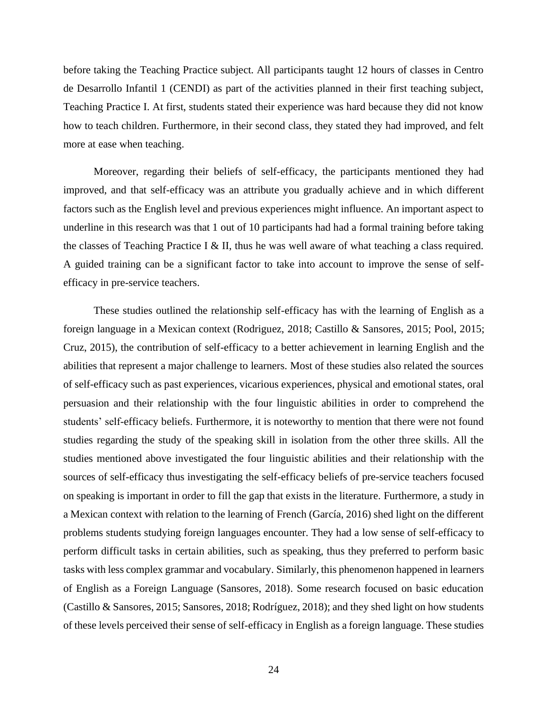before taking the Teaching Practice subject. All participants taught 12 hours of classes in Centro de Desarrollo Infantil 1 (CENDI) as part of the activities planned in their first teaching subject, Teaching Practice I. At first, students stated their experience was hard because they did not know how to teach children. Furthermore, in their second class, they stated they had improved, and felt more at ease when teaching.

Moreover, regarding their beliefs of self-efficacy, the participants mentioned they had improved, and that self-efficacy was an attribute you gradually achieve and in which different factors such as the English level and previous experiences might influence. An important aspect to underline in this research was that 1 out of 10 participants had had a formal training before taking the classes of Teaching Practice I  $&$  II, thus he was well aware of what teaching a class required. A guided training can be a significant factor to take into account to improve the sense of selfefficacy in pre-service teachers.

These studies outlined the relationship self-efficacy has with the learning of English as a foreign language in a Mexican context (Rodriguez, 2018; Castillo & Sansores, 2015; Pool, 2015; Cruz, 2015), the contribution of self-efficacy to a better achievement in learning English and the abilities that represent a major challenge to learners. Most of these studies also related the sources of self-efficacy such as past experiences, vicarious experiences, physical and emotional states, oral persuasion and their relationship with the four linguistic abilities in order to comprehend the students' self-efficacy beliefs. Furthermore, it is noteworthy to mention that there were not found studies regarding the study of the speaking skill in isolation from the other three skills. All the studies mentioned above investigated the four linguistic abilities and their relationship with the sources of self-efficacy thus investigating the self-efficacy beliefs of pre-service teachers focused on speaking is important in order to fill the gap that exists in the literature. Furthermore, a study in a Mexican context with relation to the learning of French (García, 2016) shed light on the different problems students studying foreign languages encounter. They had a low sense of self-efficacy to perform difficult tasks in certain abilities, such as speaking, thus they preferred to perform basic tasks with less complex grammar and vocabulary. Similarly, this phenomenon happened in learners of English as a Foreign Language (Sansores, 2018). Some research focused on basic education (Castillo & Sansores, 2015; Sansores, 2018; Rodríguez, 2018); and they shed light on how students of these levels perceived their sense of self-efficacy in English as a foreign language. These studies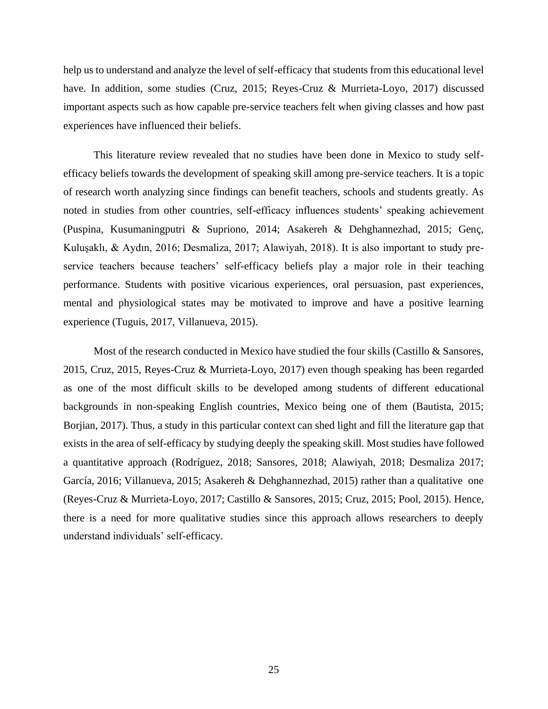help us to understand and analyze the level of self-efficacy that students from this educational level have. In addition, some studies (Cruz, 2015; Reyes-Cruz & Murrieta-Loyo, 2017) discussed important aspects such as how capable pre-service teachers felt when giving classes and how past experiences have influenced their beliefs.

This literature review revealed that no studies have been done in Mexico to study selfefficacy beliefs towards the development of speaking skill among pre-service teachers. It is a topic of research worth analyzing since findings can benefit teachers, schools and students greatly. As noted in studies from other countries, self-efficacy influences students' speaking achievement (Puspina, Kusumaningputri & Supriono, 2014; Asakereh & Dehghannezhad, 2015; Genç, Kuluşaklı, & Aydın, 2016; Desmaliza, 2017; Alawiyah, 2018). It is also important to study preservice teachers because teachers' self-efficacy beliefs play a major role in their teaching performance. Students with positive vicarious experiences, oral persuasion, past experiences, mental and physiological states may be motivated to improve and have a positive learning experience (Tuguis, 2017, Villanueva, 2015).

Most of the research conducted in Mexico have studied the four skills (Castillo & Sansores, 2015, Cruz, 2015, Reyes-Cruz & Murrieta-Loyo, 2017) even though speaking has been regarded as one of the most difficult skills to be developed among students of different educational backgrounds in non-speaking English countries, Mexico being one of them (Bautista, 2015; Borjian, 2017). Thus, a study in this particular context can shed light and fill the literature gap that exists in the area of self-efficacy by studying deeply the speaking skill. Most studies have followed a quantitative approach (Rodríguez, 2018; Sansores, 2018; Alawiyah, 2018; Desmaliza 2017; García, 2016; Villanueva, 2015; Asakereh & Dehghannezhad, 2015) rather than a qualitative one (Reyes-Cruz & Murrieta-Loyo, 2017; Castillo & Sansores, 2015; Cruz, 2015; Pool, 2015). Hence, there is a need for more qualitative studies since this approach allows researchers to deeply understand individuals' self-efficacy.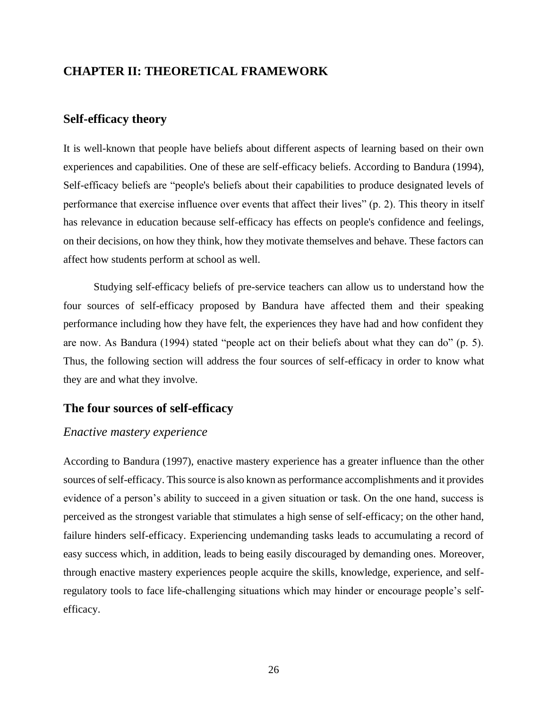## **CHAPTER II: THEORETICAL FRAMEWORK**

## **Self-efficacy theory**

It is well-known that people have beliefs about different aspects of learning based on their own experiences and capabilities. One of these are self-efficacy beliefs. According to Bandura (1994), Self-efficacy beliefs are "people's beliefs about their capabilities to produce designated levels of performance that exercise influence over events that affect their lives" (p. 2). This theory in itself has relevance in education because self-efficacy has effects on people's confidence and feelings, on their decisions, on how they think, how they motivate themselves and behave. These factors can affect how students perform at school as well.

Studying self-efficacy beliefs of pre-service teachers can allow us to understand how the four sources of self-efficacy proposed by Bandura have affected them and their speaking performance including how they have felt, the experiences they have had and how confident they are now. As Bandura (1994) stated "people act on their beliefs about what they can do" (p. 5). Thus, the following section will address the four sources of self-efficacy in order to know what they are and what they involve.

### **The four sources of self-efficacy**

#### *Enactive mastery experience*

According to Bandura (1997), enactive mastery experience has a greater influence than the other sources of self-efficacy. This source is also known as performance accomplishments and it provides evidence of a person's ability to succeed in a given situation or task. On the one hand, success is perceived as the strongest variable that stimulates a high sense of self-efficacy; on the other hand, failure hinders self-efficacy. Experiencing undemanding tasks leads to accumulating a record of easy success which, in addition, leads to being easily discouraged by demanding ones. Moreover, through enactive mastery experiences people acquire the skills, knowledge, experience, and selfregulatory tools to face life-challenging situations which may hinder or encourage people's selfefficacy.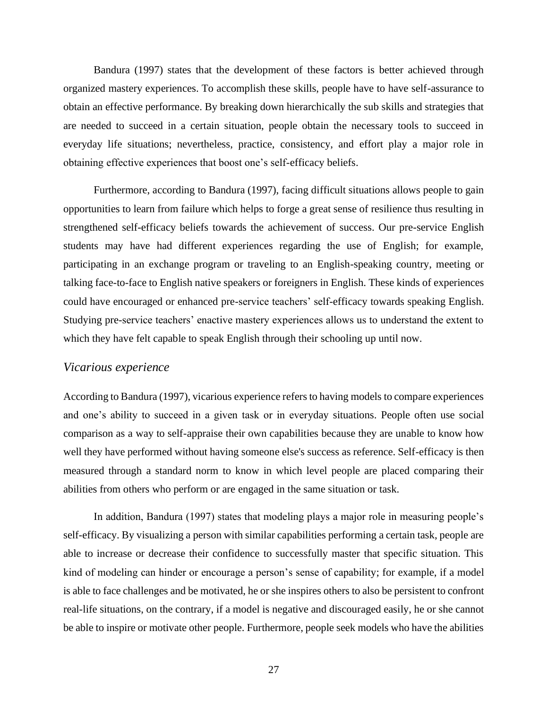Bandura (1997) states that the development of these factors is better achieved through organized mastery experiences. To accomplish these skills, people have to have self-assurance to obtain an effective performance. By breaking down hierarchically the sub skills and strategies that are needed to succeed in a certain situation, people obtain the necessary tools to succeed in everyday life situations; nevertheless, practice, consistency, and effort play a major role in obtaining effective experiences that boost one's self-efficacy beliefs.

Furthermore, according to Bandura (1997), facing difficult situations allows people to gain opportunities to learn from failure which helps to forge a great sense of resilience thus resulting in strengthened self-efficacy beliefs towards the achievement of success. Our pre-service English students may have had different experiences regarding the use of English; for example, participating in an exchange program or traveling to an English-speaking country, meeting or talking face-to-face to English native speakers or foreigners in English. These kinds of experiences could have encouraged or enhanced pre-service teachers' self-efficacy towards speaking English. Studying pre-service teachers' enactive mastery experiences allows us to understand the extent to which they have felt capable to speak English through their schooling up until now.

#### *Vicarious experience*

According to Bandura (1997), vicarious experience refers to having models to compare experiences and one's ability to succeed in a given task or in everyday situations. People often use social comparison as a way to self-appraise their own capabilities because they are unable to know how well they have performed without having someone else's success as reference. Self-efficacy is then measured through a standard norm to know in which level people are placed comparing their abilities from others who perform or are engaged in the same situation or task.

In addition, Bandura (1997) states that modeling plays a major role in measuring people's self-efficacy. By visualizing a person with similar capabilities performing a certain task, people are able to increase or decrease their confidence to successfully master that specific situation. This kind of modeling can hinder or encourage a person's sense of capability; for example, if a model is able to face challenges and be motivated, he or she inspires others to also be persistent to confront real-life situations, on the contrary, if a model is negative and discouraged easily, he or she cannot be able to inspire or motivate other people. Furthermore, people seek models who have the abilities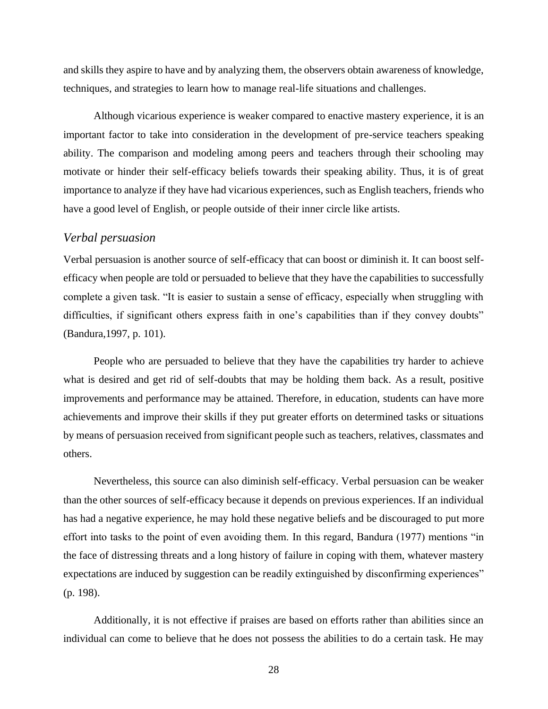and skills they aspire to have and by analyzing them, the observers obtain awareness of knowledge, techniques, and strategies to learn how to manage real-life situations and challenges.

Although vicarious experience is weaker compared to enactive mastery experience, it is an important factor to take into consideration in the development of pre-service teachers speaking ability. The comparison and modeling among peers and teachers through their schooling may motivate or hinder their self-efficacy beliefs towards their speaking ability. Thus, it is of great importance to analyze if they have had vicarious experiences, such as English teachers, friends who have a good level of English, or people outside of their inner circle like artists.

#### *Verbal persuasion*

Verbal persuasion is another source of self-efficacy that can boost or diminish it. It can boost selfefficacy when people are told or persuaded to believe that they have the capabilities to successfully complete a given task. "It is easier to sustain a sense of efficacy, especially when struggling with difficulties, if significant others express faith in one's capabilities than if they convey doubts" (Bandura,1997, p. 101).

People who are persuaded to believe that they have the capabilities try harder to achieve what is desired and get rid of self-doubts that may be holding them back. As a result, positive improvements and performance may be attained. Therefore, in education, students can have more achievements and improve their skills if they put greater efforts on determined tasks or situations by means of persuasion received from significant people such as teachers, relatives, classmates and others.

Nevertheless, this source can also diminish self-efficacy. Verbal persuasion can be weaker than the other sources of self-efficacy because it depends on previous experiences. If an individual has had a negative experience, he may hold these negative beliefs and be discouraged to put more effort into tasks to the point of even avoiding them. In this regard, Bandura (1977) mentions "in the face of distressing threats and a long history of failure in coping with them, whatever mastery expectations are induced by suggestion can be readily extinguished by disconfirming experiences" (p. 198).

Additionally, it is not effective if praises are based on efforts rather than abilities since an individual can come to believe that he does not possess the abilities to do a certain task. He may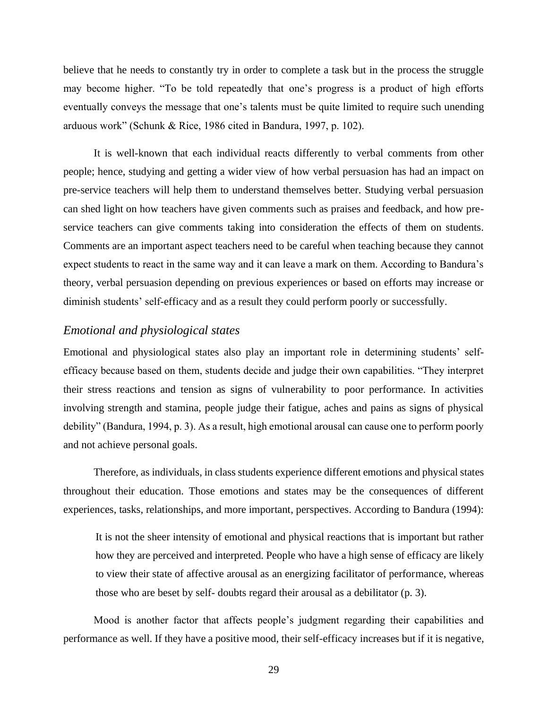believe that he needs to constantly try in order to complete a task but in the process the struggle may become higher. "To be told repeatedly that one's progress is a product of high efforts eventually conveys the message that one's talents must be quite limited to require such unending arduous work" (Schunk & Rice, 1986 cited in Bandura, 1997, p. 102).

It is well-known that each individual reacts differently to verbal comments from other people; hence, studying and getting a wider view of how verbal persuasion has had an impact on pre-service teachers will help them to understand themselves better. Studying verbal persuasion can shed light on how teachers have given comments such as praises and feedback, and how preservice teachers can give comments taking into consideration the effects of them on students. Comments are an important aspect teachers need to be careful when teaching because they cannot expect students to react in the same way and it can leave a mark on them. According to Bandura's theory, verbal persuasion depending on previous experiences or based on efforts may increase or diminish students' self-efficacy and as a result they could perform poorly or successfully.

### *Emotional and physiological states*

Emotional and physiological states also play an important role in determining students' selfefficacy because based on them, students decide and judge their own capabilities. "They interpret their stress reactions and tension as signs of vulnerability to poor performance. In activities involving strength and stamina, people judge their fatigue, aches and pains as signs of physical debility" (Bandura, 1994, p. 3). As a result, high emotional arousal can cause one to perform poorly and not achieve personal goals.

Therefore, as individuals, in class students experience different emotions and physical states throughout their education. Those emotions and states may be the consequences of different experiences, tasks, relationships, and more important, perspectives. According to Bandura (1994):

It is not the sheer intensity of emotional and physical reactions that is important but rather how they are perceived and interpreted. People who have a high sense of efficacy are likely to view their state of affective arousal as an energizing facilitator of performance, whereas those who are beset by self- doubts regard their arousal as a debilitator (p. 3).

Mood is another factor that affects people's judgment regarding their capabilities and performance as well. If they have a positive mood, their self-efficacy increases but if it is negative,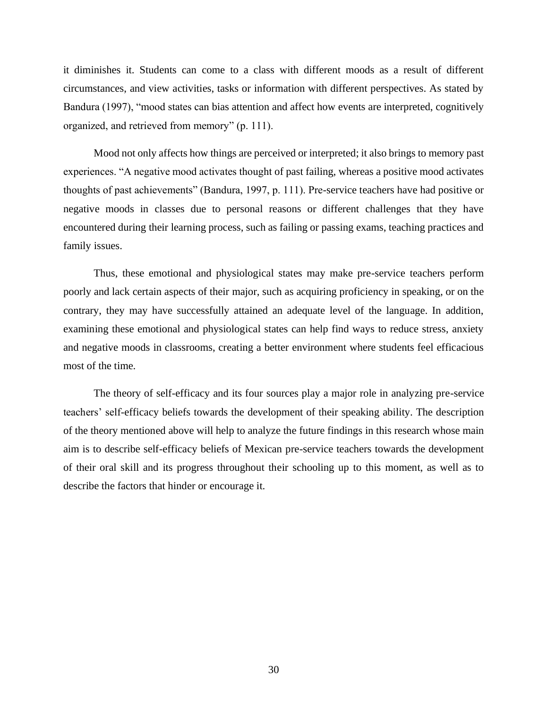it diminishes it. Students can come to a class with different moods as a result of different circumstances, and view activities, tasks or information with different perspectives. As stated by Bandura (1997), "mood states can bias attention and affect how events are interpreted, cognitively organized, and retrieved from memory" (p. 111).

Mood not only affects how things are perceived or interpreted; it also brings to memory past experiences. "A negative mood activates thought of past failing, whereas a positive mood activates thoughts of past achievements" (Bandura, 1997, p. 111). Pre-service teachers have had positive or negative moods in classes due to personal reasons or different challenges that they have encountered during their learning process, such as failing or passing exams, teaching practices and family issues.

Thus, these emotional and physiological states may make pre-service teachers perform poorly and lack certain aspects of their major, such as acquiring proficiency in speaking, or on the contrary, they may have successfully attained an adequate level of the language. In addition, examining these emotional and physiological states can help find ways to reduce stress, anxiety and negative moods in classrooms, creating a better environment where students feel efficacious most of the time.

The theory of self-efficacy and its four sources play a major role in analyzing pre-service teachers' self-efficacy beliefs towards the development of their speaking ability. The description of the theory mentioned above will help to analyze the future findings in this research whose main aim is to describe self-efficacy beliefs of Mexican pre-service teachers towards the development of their oral skill and its progress throughout their schooling up to this moment, as well as to describe the factors that hinder or encourage it.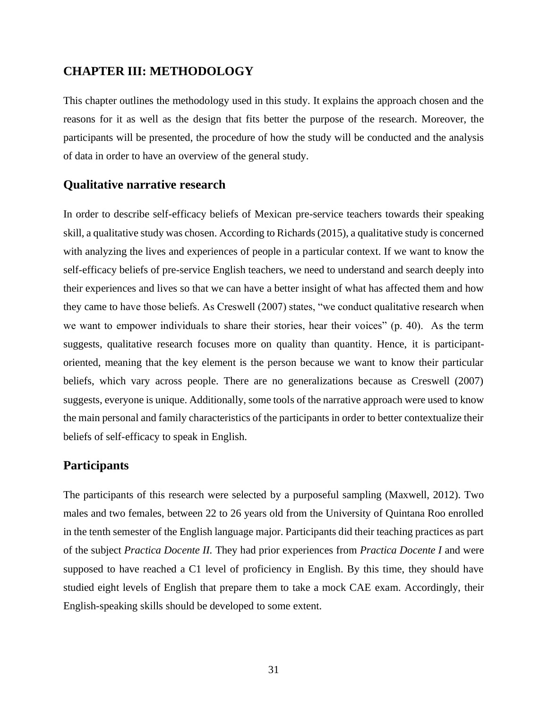## **CHAPTER III: METHODOLOGY**

This chapter outlines the methodology used in this study. It explains the approach chosen and the reasons for it as well as the design that fits better the purpose of the research. Moreover, the participants will be presented, the procedure of how the study will be conducted and the analysis of data in order to have an overview of the general study.

## **Qualitative narrative research**

In order to describe self-efficacy beliefs of Mexican pre-service teachers towards their speaking skill, a qualitative study was chosen. According to Richards (2015), a qualitative study is concerned with analyzing the lives and experiences of people in a particular context. If we want to know the self-efficacy beliefs of pre-service English teachers, we need to understand and search deeply into their experiences and lives so that we can have a better insight of what has affected them and how they came to have those beliefs. As Creswell (2007) states, "we conduct qualitative research when we want to empower individuals to share their stories, hear their voices" (p. 40). As the term suggests, qualitative research focuses more on quality than quantity. Hence, it is participantoriented, meaning that the key element is the person because we want to know their particular beliefs, which vary across people. There are no generalizations because as Creswell (2007) suggests, everyone is unique. Additionally, some tools of the narrative approach were used to know the main personal and family characteristics of the participants in order to better contextualize their beliefs of self-efficacy to speak in English.

## **Participants**

The participants of this research were selected by a purposeful sampling (Maxwell, 2012). Two males and two females, between 22 to 26 years old from the University of Quintana Roo enrolled in the tenth semester of the English language major. Participants did their teaching practices as part of the subject *Practica Docente II.* They had prior experiences from *Practica Docente I* and were supposed to have reached a C1 level of proficiency in English. By this time, they should have studied eight levels of English that prepare them to take a mock CAE exam. Accordingly, their English-speaking skills should be developed to some extent.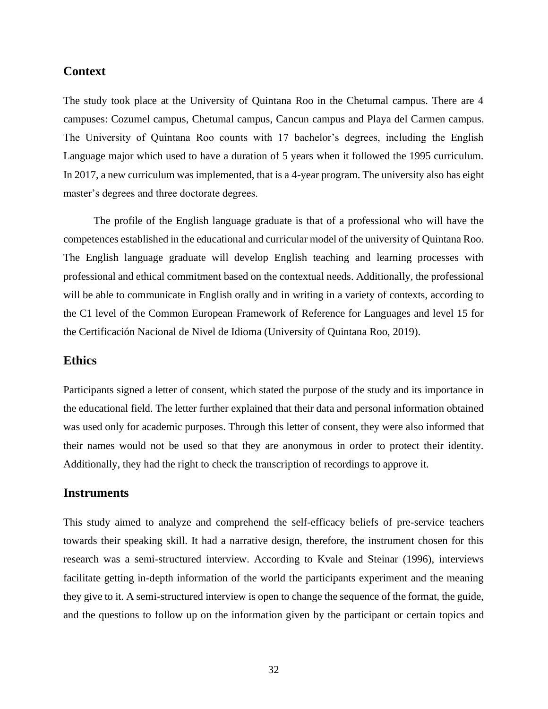#### **Context**

The study took place at the University of Quintana Roo in the Chetumal campus. There are 4 campuses: Cozumel campus, Chetumal campus, Cancun campus and Playa del Carmen campus. The University of Quintana Roo counts with 17 bachelor's degrees, including the English Language major which used to have a duration of 5 years when it followed the 1995 curriculum. In 2017, a new curriculum was implemented, that is a 4-year program. The university also has eight master's degrees and three doctorate degrees.

The profile of the English language graduate is that of a professional who will have the competences established in the educational and curricular model of the university of Quintana Roo. The English language graduate will develop English teaching and learning processes with professional and ethical commitment based on the contextual needs. Additionally, the professional will be able to communicate in English orally and in writing in a variety of contexts, according to the C1 level of the Common European Framework of Reference for Languages and level 15 for the Certificación Nacional de Nivel de Idioma (University of Quintana Roo, 2019).

### **Ethics**

Participants signed a letter of consent, which stated the purpose of the study and its importance in the educational field. The letter further explained that their data and personal information obtained was used only for academic purposes. Through this letter of consent, they were also informed that their names would not be used so that they are anonymous in order to protect their identity. Additionally, they had the right to check the transcription of recordings to approve it.

#### **Instruments**

This study aimed to analyze and comprehend the self-efficacy beliefs of pre-service teachers towards their speaking skill. It had a narrative design, therefore, the instrument chosen for this research was a semi-structured interview. According to Kvale and Steinar (1996), interviews facilitate getting in-depth information of the world the participants experiment and the meaning they give to it. A semi-structured interview is open to change the sequence of the format, the guide, and the questions to follow up on the information given by the participant or certain topics and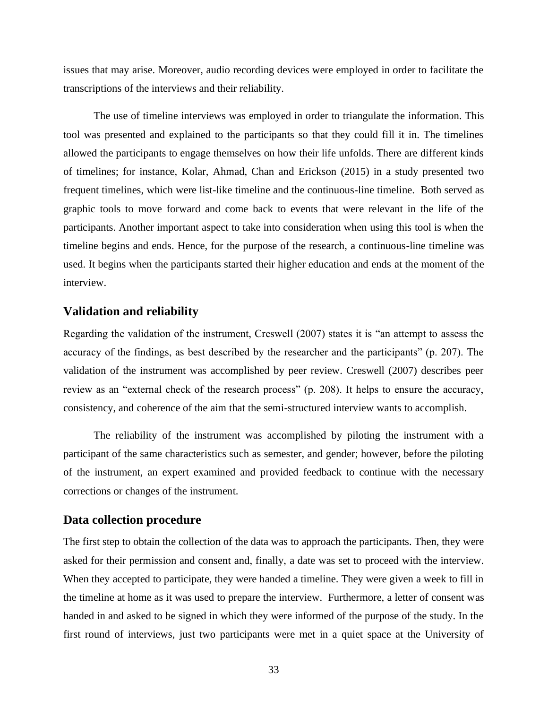issues that may arise. Moreover, audio recording devices were employed in order to facilitate the transcriptions of the interviews and their reliability.

The use of timeline interviews was employed in order to triangulate the information. This tool was presented and explained to the participants so that they could fill it in. The timelines allowed the participants to engage themselves on how their life unfolds. There are different kinds of timelines; for instance, Kolar, Ahmad, Chan and Erickson (2015) in a study presented two frequent timelines, which were list-like timeline and the continuous-line timeline. Both served as graphic tools to move forward and come back to events that were relevant in the life of the participants. Another important aspect to take into consideration when using this tool is when the timeline begins and ends. Hence, for the purpose of the research, a continuous-line timeline was used. It begins when the participants started their higher education and ends at the moment of the interview.

#### **Validation and reliability**

Regarding the validation of the instrument, Creswell (2007) states it is "an attempt to assess the accuracy of the findings, as best described by the researcher and the participants" (p. 207). The validation of the instrument was accomplished by peer review. Creswell (2007) describes peer review as an "external check of the research process" (p. 208). It helps to ensure the accuracy, consistency, and coherence of the aim that the semi-structured interview wants to accomplish.

The reliability of the instrument was accomplished by piloting the instrument with a participant of the same characteristics such as semester, and gender; however, before the piloting of the instrument, an expert examined and provided feedback to continue with the necessary corrections or changes of the instrument.

#### **Data collection procedure**

The first step to obtain the collection of the data was to approach the participants. Then, they were asked for their permission and consent and, finally, a date was set to proceed with the interview. When they accepted to participate, they were handed a timeline. They were given a week to fill in the timeline at home as it was used to prepare the interview. Furthermore, a letter of consent was handed in and asked to be signed in which they were informed of the purpose of the study. In the first round of interviews, just two participants were met in a quiet space at the University of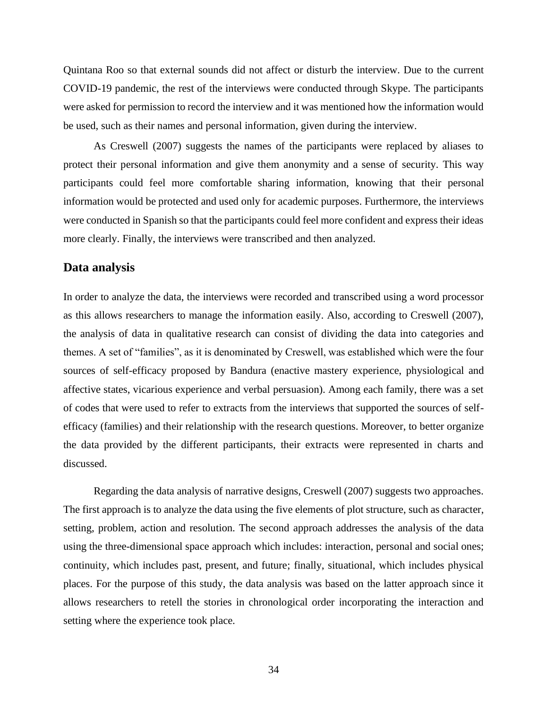Quintana Roo so that external sounds did not affect or disturb the interview. Due to the current COVID-19 pandemic, the rest of the interviews were conducted through Skype. The participants were asked for permission to record the interview and it was mentioned how the information would be used, such as their names and personal information, given during the interview.

As Creswell (2007) suggests the names of the participants were replaced by aliases to protect their personal information and give them anonymity and a sense of security. This way participants could feel more comfortable sharing information, knowing that their personal information would be protected and used only for academic purposes. Furthermore, the interviews were conducted in Spanish so that the participants could feel more confident and express their ideas more clearly. Finally, the interviews were transcribed and then analyzed.

#### **Data analysis**

In order to analyze the data, the interviews were recorded and transcribed using a word processor as this allows researchers to manage the information easily. Also, according to Creswell (2007), the analysis of data in qualitative research can consist of dividing the data into categories and themes. A set of "families", as it is denominated by Creswell, was established which were the four sources of self-efficacy proposed by Bandura (enactive mastery experience, physiological and affective states, vicarious experience and verbal persuasion). Among each family, there was a set of codes that were used to refer to extracts from the interviews that supported the sources of selfefficacy (families) and their relationship with the research questions. Moreover, to better organize the data provided by the different participants, their extracts were represented in charts and discussed.

Regarding the data analysis of narrative designs, Creswell (2007) suggests two approaches. The first approach is to analyze the data using the five elements of plot structure, such as character, setting, problem, action and resolution. The second approach addresses the analysis of the data using the three-dimensional space approach which includes: interaction, personal and social ones; continuity, which includes past, present, and future; finally, situational, which includes physical places. For the purpose of this study, the data analysis was based on the latter approach since it allows researchers to retell the stories in chronological order incorporating the interaction and setting where the experience took place.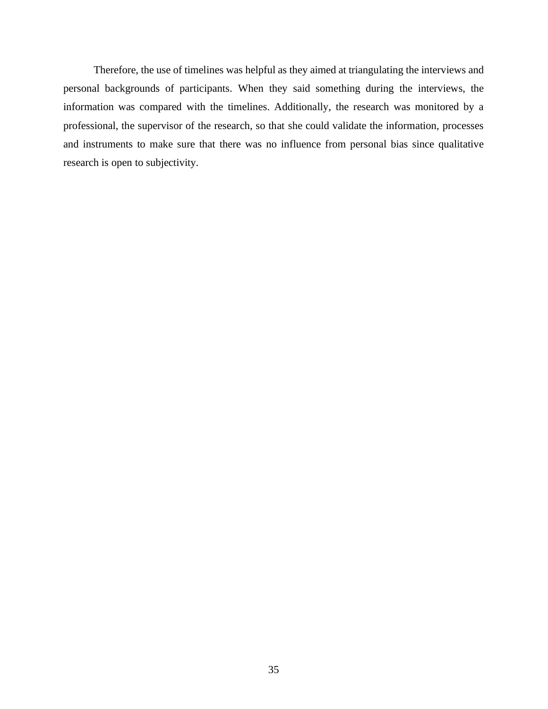Therefore, the use of timelines was helpful as they aimed at triangulating the interviews and personal backgrounds of participants. When they said something during the interviews, the information was compared with the timelines. Additionally, the research was monitored by a professional, the supervisor of the research, so that she could validate the information, processes and instruments to make sure that there was no influence from personal bias since qualitative research is open to subjectivity.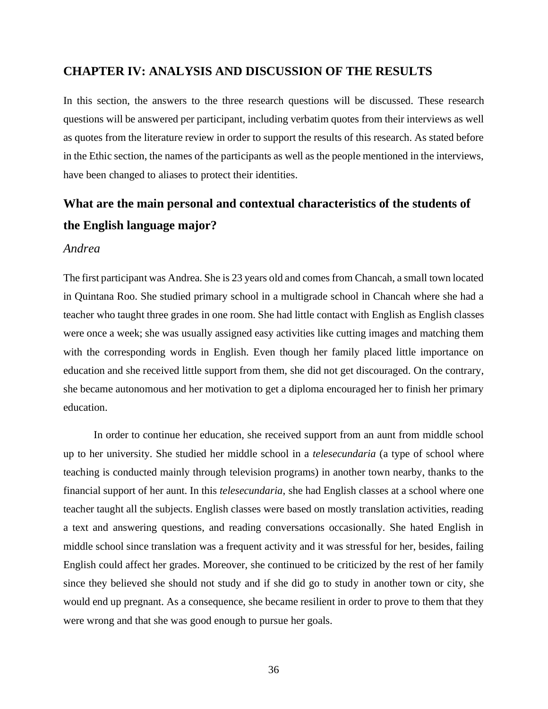### **CHAPTER IV: ANALYSIS AND DISCUSSION OF THE RESULTS**

In this section, the answers to the three research questions will be discussed. These research questions will be answered per participant, including verbatim quotes from their interviews as well as quotes from the literature review in order to support the results of this research. As stated before in the Ethic section, the names of the participants as well as the people mentioned in the interviews, have been changed to aliases to protect their identities.

## **What are the main personal and contextual characteristics of the students of the English language major?**

#### *Andrea*

The first participant was Andrea. She is 23 years old and comes from Chancah, a small town located in Quintana Roo. She studied primary school in a multigrade school in Chancah where she had a teacher who taught three grades in one room. She had little contact with English as English classes were once a week; she was usually assigned easy activities like cutting images and matching them with the corresponding words in English. Even though her family placed little importance on education and she received little support from them, she did not get discouraged. On the contrary, she became autonomous and her motivation to get a diploma encouraged her to finish her primary education.

In order to continue her education, she received support from an aunt from middle school up to her university. She studied her middle school in a *telesecundaria* (a type of school where teaching is conducted mainly through television programs) in another town nearby, thanks to the financial support of her aunt. In this *telesecundaria*, she had English classes at a school where one teacher taught all the subjects. English classes were based on mostly translation activities, reading a text and answering questions, and reading conversations occasionally. She hated English in middle school since translation was a frequent activity and it was stressful for her, besides, failing English could affect her grades. Moreover, she continued to be criticized by the rest of her family since they believed she should not study and if she did go to study in another town or city, she would end up pregnant. As a consequence, she became resilient in order to prove to them that they were wrong and that she was good enough to pursue her goals.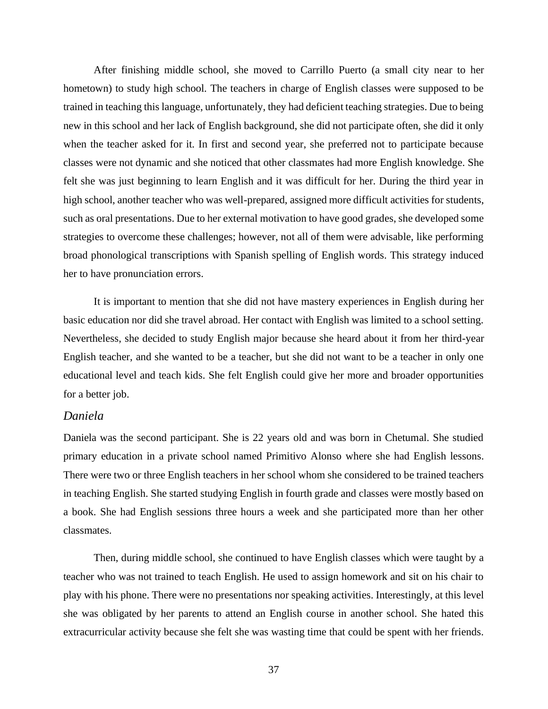After finishing middle school, she moved to Carrillo Puerto (a small city near to her hometown) to study high school. The teachers in charge of English classes were supposed to be trained in teaching this language, unfortunately, they had deficient teaching strategies. Due to being new in this school and her lack of English background, she did not participate often, she did it only when the teacher asked for it. In first and second year, she preferred not to participate because classes were not dynamic and she noticed that other classmates had more English knowledge. She felt she was just beginning to learn English and it was difficult for her. During the third year in high school, another teacher who was well-prepared, assigned more difficult activities for students, such as oral presentations. Due to her external motivation to have good grades, she developed some strategies to overcome these challenges; however, not all of them were advisable, like performing broad phonological transcriptions with Spanish spelling of English words. This strategy induced her to have pronunciation errors.

It is important to mention that she did not have mastery experiences in English during her basic education nor did she travel abroad. Her contact with English was limited to a school setting. Nevertheless, she decided to study English major because she heard about it from her third-year English teacher, and she wanted to be a teacher, but she did not want to be a teacher in only one educational level and teach kids. She felt English could give her more and broader opportunities for a better job.

#### *Daniela*

Daniela was the second participant. She is 22 years old and was born in Chetumal. She studied primary education in a private school named Primitivo Alonso where she had English lessons. There were two or three English teachers in her school whom she considered to be trained teachers in teaching English. She started studying English in fourth grade and classes were mostly based on a book. She had English sessions three hours a week and she participated more than her other classmates.

Then, during middle school, she continued to have English classes which were taught by a teacher who was not trained to teach English. He used to assign homework and sit on his chair to play with his phone. There were no presentations nor speaking activities. Interestingly, at this level she was obligated by her parents to attend an English course in another school. She hated this extracurricular activity because she felt she was wasting time that could be spent with her friends.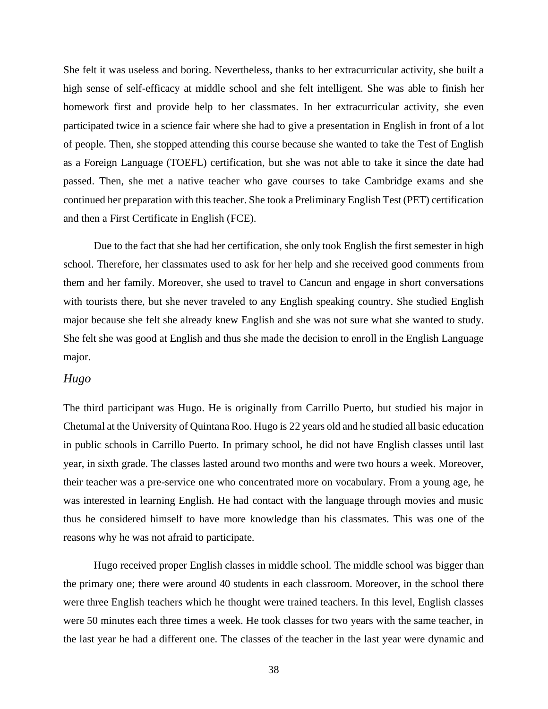She felt it was useless and boring. Nevertheless, thanks to her extracurricular activity, she built a high sense of self-efficacy at middle school and she felt intelligent. She was able to finish her homework first and provide help to her classmates. In her extracurricular activity, she even participated twice in a science fair where she had to give a presentation in English in front of a lot of people. Then, she stopped attending this course because she wanted to take the Test of English as a Foreign Language (TOEFL) certification, but she was not able to take it since the date had passed. Then, she met a native teacher who gave courses to take Cambridge exams and she continued her preparation with this teacher. She took a Preliminary English Test (PET) certification and then a First Certificate in English (FCE).

Due to the fact that she had her certification, she only took English the first semester in high school. Therefore, her classmates used to ask for her help and she received good comments from them and her family. Moreover, she used to travel to Cancun and engage in short conversations with tourists there, but she never traveled to any English speaking country. She studied English major because she felt she already knew English and she was not sure what she wanted to study. She felt she was good at English and thus she made the decision to enroll in the English Language major.

#### *Hugo*

The third participant was Hugo. He is originally from Carrillo Puerto, but studied his major in Chetumal at the University of Quintana Roo. Hugo is 22 years old and he studied all basic education in public schools in Carrillo Puerto. In primary school, he did not have English classes until last year, in sixth grade. The classes lasted around two months and were two hours a week. Moreover, their teacher was a pre-service one who concentrated more on vocabulary. From a young age, he was interested in learning English. He had contact with the language through movies and music thus he considered himself to have more knowledge than his classmates. This was one of the reasons why he was not afraid to participate.

Hugo received proper English classes in middle school. The middle school was bigger than the primary one; there were around 40 students in each classroom. Moreover, in the school there were three English teachers which he thought were trained teachers. In this level, English classes were 50 minutes each three times a week. He took classes for two years with the same teacher, in the last year he had a different one. The classes of the teacher in the last year were dynamic and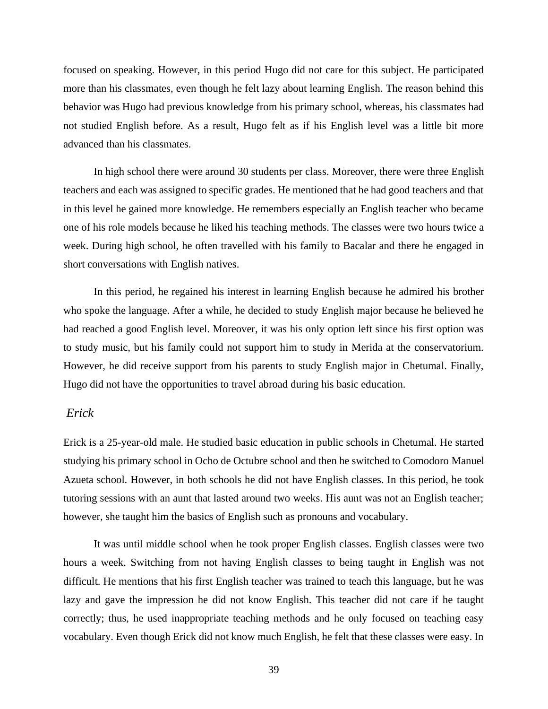focused on speaking. However, in this period Hugo did not care for this subject. He participated more than his classmates, even though he felt lazy about learning English. The reason behind this behavior was Hugo had previous knowledge from his primary school, whereas, his classmates had not studied English before. As a result, Hugo felt as if his English level was a little bit more advanced than his classmates.

In high school there were around 30 students per class. Moreover, there were three English teachers and each was assigned to specific grades. He mentioned that he had good teachers and that in this level he gained more knowledge. He remembers especially an English teacher who became one of his role models because he liked his teaching methods. The classes were two hours twice a week. During high school, he often travelled with his family to Bacalar and there he engaged in short conversations with English natives.

In this period, he regained his interest in learning English because he admired his brother who spoke the language. After a while, he decided to study English major because he believed he had reached a good English level. Moreover, it was his only option left since his first option was to study music, but his family could not support him to study in Merida at the conservatorium. However, he did receive support from his parents to study English major in Chetumal. Finally, Hugo did not have the opportunities to travel abroad during his basic education.

### *Erick*

Erick is a 25-year-old male. He studied basic education in public schools in Chetumal. He started studying his primary school in Ocho de Octubre school and then he switched to Comodoro Manuel Azueta school. However, in both schools he did not have English classes. In this period, he took tutoring sessions with an aunt that lasted around two weeks. His aunt was not an English teacher; however, she taught him the basics of English such as pronouns and vocabulary.

It was until middle school when he took proper English classes. English classes were two hours a week. Switching from not having English classes to being taught in English was not difficult. He mentions that his first English teacher was trained to teach this language, but he was lazy and gave the impression he did not know English. This teacher did not care if he taught correctly; thus, he used inappropriate teaching methods and he only focused on teaching easy vocabulary. Even though Erick did not know much English, he felt that these classes were easy. In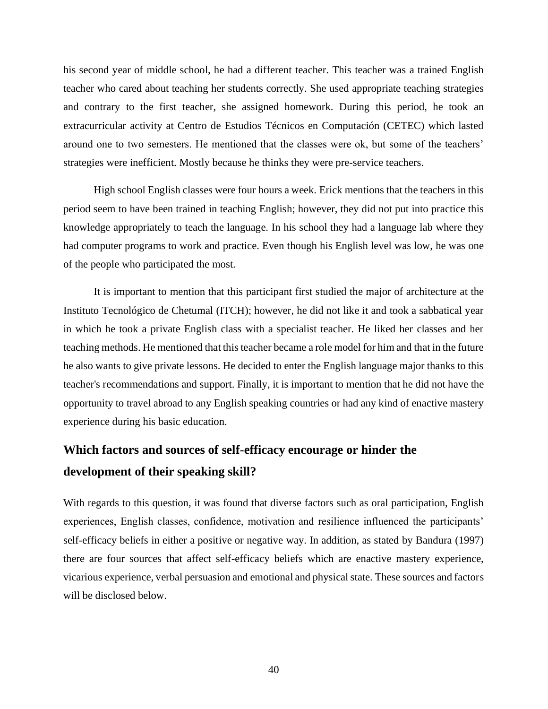his second year of middle school, he had a different teacher. This teacher was a trained English teacher who cared about teaching her students correctly. She used appropriate teaching strategies and contrary to the first teacher, she assigned homework. During this period, he took an extracurricular activity at Centro de Estudios Técnicos en Computación (CETEC) which lasted around one to two semesters. He mentioned that the classes were ok, but some of the teachers' strategies were inefficient. Mostly because he thinks they were pre-service teachers.

High school English classes were four hours a week. Erick mentions that the teachers in this period seem to have been trained in teaching English; however, they did not put into practice this knowledge appropriately to teach the language. In his school they had a language lab where they had computer programs to work and practice. Even though his English level was low, he was one of the people who participated the most.

It is important to mention that this participant first studied the major of architecture at the Instituto Tecnológico de Chetumal (ITCH); however, he did not like it and took a sabbatical year in which he took a private English class with a specialist teacher. He liked her classes and her teaching methods. He mentioned that this teacher became a role model for him and that in the future he also wants to give private lessons. He decided to enter the English language major thanks to this teacher's recommendations and support. Finally, it is important to mention that he did not have the opportunity to travel abroad to any English speaking countries or had any kind of enactive mastery experience during his basic education.

# **Which factors and sources of self-efficacy encourage or hinder the development of their speaking skill?**

With regards to this question, it was found that diverse factors such as oral participation, English experiences, English classes, confidence, motivation and resilience influenced the participants' self-efficacy beliefs in either a positive or negative way. In addition, as stated by Bandura (1997) there are four sources that affect self-efficacy beliefs which are enactive mastery experience, vicarious experience, verbal persuasion and emotional and physical state. These sources and factors will be disclosed below.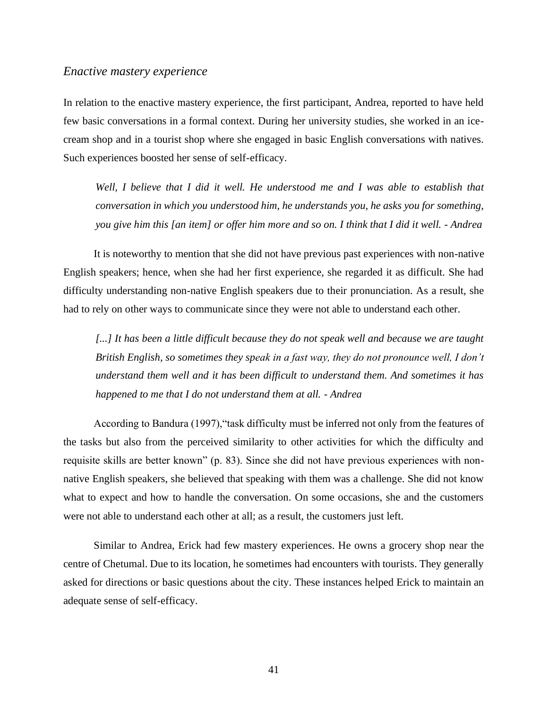#### *Enactive mastery experience*

In relation to the enactive mastery experience, the first participant, Andrea, reported to have held few basic conversations in a formal context. During her university studies, she worked in an icecream shop and in a tourist shop where she engaged in basic English conversations with natives. Such experiences boosted her sense of self-efficacy.

Well, I believe that I did it well. He understood me and I was able to establish that *conversation in which you understood him, he understands you, he asks you for something, you give him this [an item] or offer him more and so on. I think that I did it well. - Andrea*

It is noteworthy to mention that she did not have previous past experiences with non-native English speakers; hence, when she had her first experience, she regarded it as difficult. She had difficulty understanding non-native English speakers due to their pronunciation. As a result, she had to rely on other ways to communicate since they were not able to understand each other.

[...] It has been a little difficult because they do not speak well and because we are taught *British English, so sometimes they speak in a fast way, they do not pronounce well, I don't understand them well and it has been difficult to understand them. And sometimes it has happened to me that I do not understand them at all. - Andrea*

According to Bandura (1997),"task difficulty must be inferred not only from the features of the tasks but also from the perceived similarity to other activities for which the difficulty and requisite skills are better known" (p. 83). Since she did not have previous experiences with nonnative English speakers, she believed that speaking with them was a challenge. She did not know what to expect and how to handle the conversation. On some occasions, she and the customers were not able to understand each other at all; as a result, the customers just left.

Similar to Andrea, Erick had few mastery experiences. He owns a grocery shop near the centre of Chetumal. Due to its location, he sometimes had encounters with tourists. They generally asked for directions or basic questions about the city. These instances helped Erick to maintain an adequate sense of self-efficacy.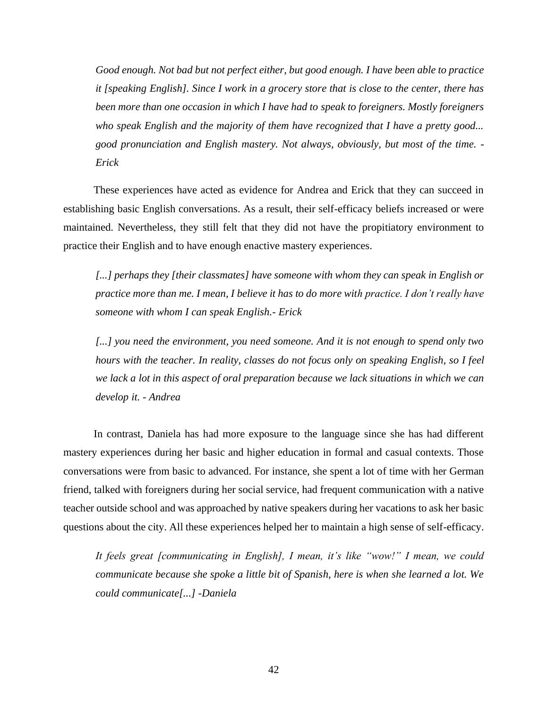*Good enough. Not bad but not perfect either, but good enough. I have been able to practice it [speaking English]. Since I work in a grocery store that is close to the center, there has been more than one occasion in which I have had to speak to foreigners. Mostly foreigners who speak English and the majority of them have recognized that I have a pretty good... good pronunciation and English mastery. Not always, obviously, but most of the time. - Erick*

These experiences have acted as evidence for Andrea and Erick that they can succeed in establishing basic English conversations. As a result, their self-efficacy beliefs increased or were maintained. Nevertheless, they still felt that they did not have the propitiatory environment to practice their English and to have enough enactive mastery experiences.

[...] perhaps they [their classmates] have someone with whom they can speak in English or *practice more than me. I mean, I believe it has to do more with practice. I don't really have someone with whom I can speak English.- Erick*

*[...] you need the environment, you need someone. And it is not enough to spend only two hours with the teacher. In reality, classes do not focus only on speaking English, so I feel we lack a lot in this aspect of oral preparation because we lack situations in which we can develop it. - Andrea*

In contrast, Daniela has had more exposure to the language since she has had different mastery experiences during her basic and higher education in formal and casual contexts. Those conversations were from basic to advanced. For instance, she spent a lot of time with her German friend, talked with foreigners during her social service, had frequent communication with a native teacher outside school and was approached by native speakers during her vacations to ask her basic questions about the city. All these experiences helped her to maintain a high sense of self-efficacy.

*It feels great [communicating in English], I mean, it's like "wow!" I mean, we could communicate because she spoke a little bit of Spanish, here is when she learned a lot. We could communicate[...] -Daniela*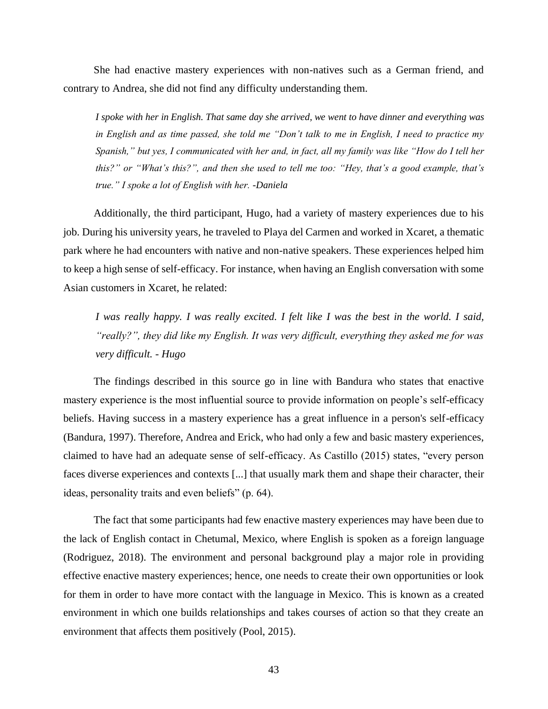She had enactive mastery experiences with non-natives such as a German friend, and contrary to Andrea, she did not find any difficulty understanding them.

*I spoke with her in English. That same day she arrived, we went to have dinner and everything was in English and as time passed, she told me "Don't talk to me in English, I need to practice my Spanish," but yes, I communicated with her and, in fact, all my family was like "How do I tell her this?" or "What's this?", and then she used to tell me too: "Hey, that's a good example, that's true." I spoke a lot of English with her. -Daniela*

Additionally, the third participant, Hugo, had a variety of mastery experiences due to his job. During his university years, he traveled to Playa del Carmen and worked in Xcaret, a thematic park where he had encounters with native and non-native speakers. These experiences helped him to keep a high sense of self-efficacy. For instance, when having an English conversation with some Asian customers in Xcaret, he related:

*I was really happy. I was really excited. I felt like I was the best in the world. I said, "really?", they did like my English. It was very difficult, everything they asked me for was very difficult. - Hugo*

The findings described in this source go in line with Bandura who states that enactive mastery experience is the most influential source to provide information on people's self-efficacy beliefs. Having success in a mastery experience has a great influence in a person's self-efficacy (Bandura, 1997). Therefore, Andrea and Erick, who had only a few and basic mastery experiences, claimed to have had an adequate sense of self-efficacy. As Castillo (2015) states, "every person faces diverse experiences and contexts [...] that usually mark them and shape their character, their ideas, personality traits and even beliefs" (p. 64).

The fact that some participants had few enactive mastery experiences may have been due to the lack of English contact in Chetumal, Mexico, where English is spoken as a foreign language (Rodriguez, 2018). The environment and personal background play a major role in providing effective enactive mastery experiences; hence, one needs to create their own opportunities or look for them in order to have more contact with the language in Mexico. This is known as a created environment in which one builds relationships and takes courses of action so that they create an environment that affects them positively (Pool, 2015).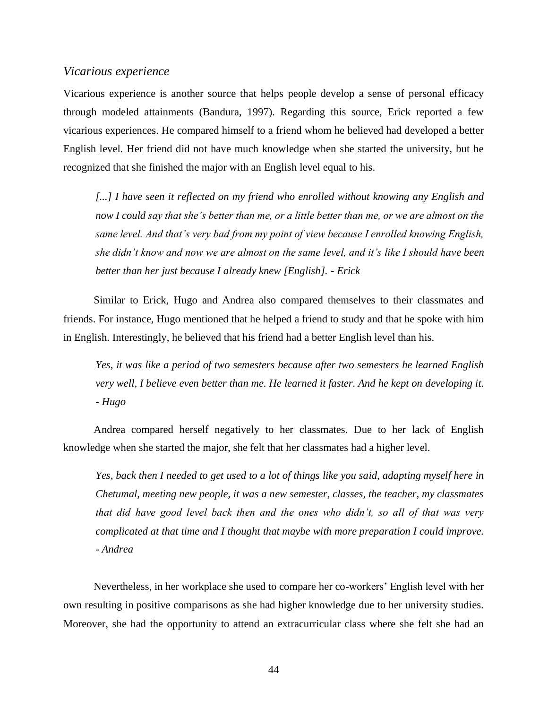#### *Vicarious experience*

Vicarious experience is another source that helps people develop a sense of personal efficacy through modeled attainments (Bandura, 1997). Regarding this source, Erick reported a few vicarious experiences. He compared himself to a friend whom he believed had developed a better English level. Her friend did not have much knowledge when she started the university, but he recognized that she finished the major with an English level equal to his.

*[...] I have seen it reflected on my friend who enrolled without knowing any English and now I could say that she's better than me, or a little better than me, or we are almost on the same level. And that's very bad from my point of view because I enrolled knowing English, she didn't know and now we are almost on the same level, and it's like I should have been better than her just because I already knew [English]. - Erick*

Similar to Erick, Hugo and Andrea also compared themselves to their classmates and friends. For instance, Hugo mentioned that he helped a friend to study and that he spoke with him in English. Interestingly, he believed that his friend had a better English level than his.

*Yes, it was like a period of two semesters because after two semesters he learned English very well, I believe even better than me. He learned it faster. And he kept on developing it. - Hugo*

Andrea compared herself negatively to her classmates. Due to her lack of English knowledge when she started the major, she felt that her classmates had a higher level.

*Yes, back then I needed to get used to a lot of things like you said, adapting myself here in Chetumal, meeting new people, it was a new semester, classes, the teacher, my classmates that did have good level back then and the ones who didn't, so all of that was very complicated at that time and I thought that maybe with more preparation I could improve. - Andrea* 

Nevertheless, in her workplace she used to compare her co-workers' English level with her own resulting in positive comparisons as she had higher knowledge due to her university studies. Moreover, she had the opportunity to attend an extracurricular class where she felt she had an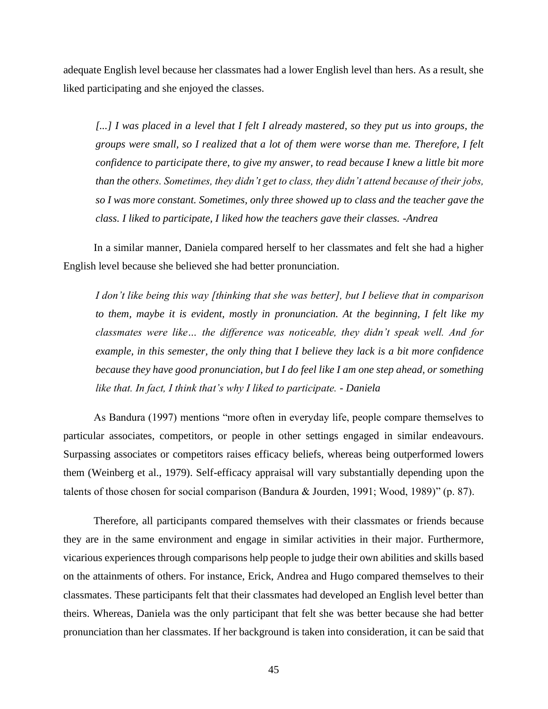adequate English level because her classmates had a lower English level than hers. As a result, she liked participating and she enjoyed the classes.

*[...] I was placed in a level that I felt I already mastered, so they put us into groups, the groups were small, so I realized that a lot of them were worse than me. Therefore, I felt confidence to participate there, to give my answer, to read because I knew a little bit more than the others. Sometimes, they didn't get to class, they didn't attend because of their jobs, so I was more constant. Sometimes, only three showed up to class and the teacher gave the class. I liked to participate, I liked how the teachers gave their classes. -Andrea*

In a similar manner, Daniela compared herself to her classmates and felt she had a higher English level because she believed she had better pronunciation.

*I don't like being this way [thinking that she was better], but I believe that in comparison to them, maybe it is evident, mostly in pronunciation. At the beginning, I felt like my classmates were like… the difference was noticeable, they didn't speak well. And for example, in this semester, the only thing that I believe they lack is a bit more confidence because they have good pronunciation, but I do feel like I am one step ahead, or something like that. In fact, I think that's why I liked to participate. - Daniela*

As Bandura (1997) mentions "more often in everyday life, people compare themselves to particular associates, competitors, or people in other settings engaged in similar endeavours. Surpassing associates or competitors raises efficacy beliefs, whereas being outperformed lowers them (Weinberg et al., 1979). Self-efficacy appraisal will vary substantially depending upon the talents of those chosen for social comparison (Bandura & Jourden, 1991; Wood, 1989)" (p. 87).

Therefore, all participants compared themselves with their classmates or friends because they are in the same environment and engage in similar activities in their major. Furthermore, vicarious experiences through comparisons help people to judge their own abilities and skills based on the attainments of others. For instance, Erick, Andrea and Hugo compared themselves to their classmates. These participants felt that their classmates had developed an English level better than theirs. Whereas, Daniela was the only participant that felt she was better because she had better pronunciation than her classmates. If her background is taken into consideration, it can be said that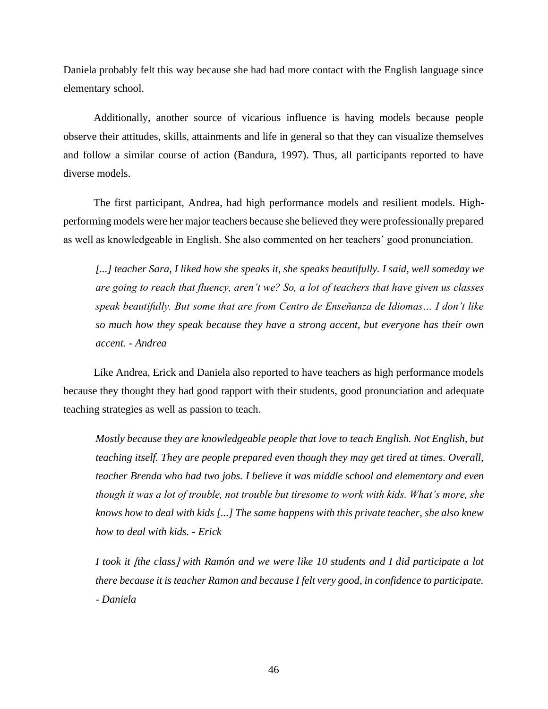Daniela probably felt this way because she had had more contact with the English language since elementary school.

Additionally, another source of vicarious influence is having models because people observe their attitudes, skills, attainments and life in general so that they can visualize themselves and follow a similar course of action (Bandura, 1997). Thus, all participants reported to have diverse models.

The first participant, Andrea, had high performance models and resilient models. Highperforming models were her major teachers because she believed they were professionally prepared as well as knowledgeable in English. She also commented on her teachers' good pronunciation.

*[...] teacher Sara, I liked how she speaks it, she speaks beautifully. I said, well someday we are going to reach that fluency, aren't we? So, a lot of teachers that have given us classes speak beautifully. But some that are from Centro de Enseñanza de Idiomas… I don't like so much how they speak because they have a strong accent, but everyone has their own accent. - Andrea*

Like Andrea, Erick and Daniela also reported to have teachers as high performance models because they thought they had good rapport with their students, good pronunciation and adequate teaching strategies as well as passion to teach.

*Mostly because they are knowledgeable people that love to teach English. Not English, but teaching itself. They are people prepared even though they may get tired at times. Overall, teacher Brenda who had two jobs. I believe it was middle school and elementary and even though it was a lot of trouble, not trouble but tiresome to work with kids. What's more, she knows how to deal with kids [...] The same happens with this private teacher, she also knew how to deal with kids. - Erick*

*I took it [the class] with Ramón and we were like 10 students and I did participate a lot there because it is teacher Ramon and because I felt very good, in confidence to participate. - Daniela*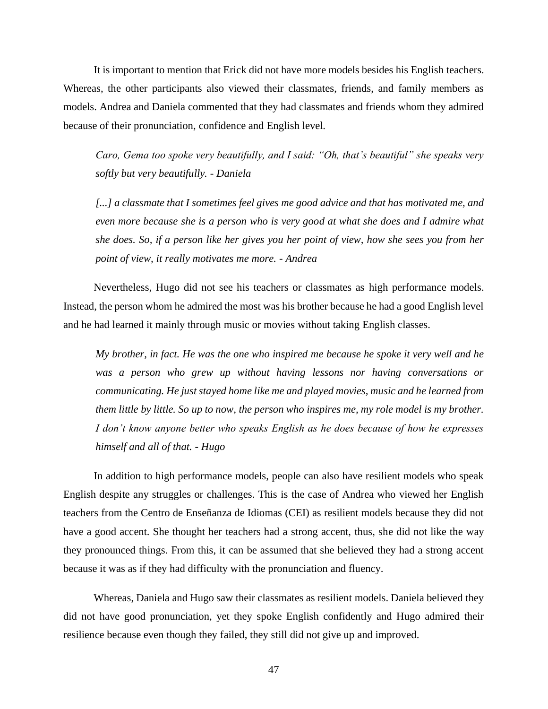It is important to mention that Erick did not have more models besides his English teachers. Whereas, the other participants also viewed their classmates, friends, and family members as models. Andrea and Daniela commented that they had classmates and friends whom they admired because of their pronunciation, confidence and English level.

*Caro, Gema too spoke very beautifully, and I said: "Oh, that's beautiful" she speaks very softly but very beautifully. - Daniela*

*[...] a classmate that I sometimes feel gives me good advice and that has motivated me, and even more because she is a person who is very good at what she does and I admire what she does. So, if a person like her gives you her point of view, how she sees you from her point of view, it really motivates me more. - Andrea*

Nevertheless, Hugo did not see his teachers or classmates as high performance models. Instead, the person whom he admired the most was his brother because he had a good English level and he had learned it mainly through music or movies without taking English classes.

*My brother, in fact. He was the one who inspired me because he spoke it very well and he was a person who grew up without having lessons nor having conversations or communicating. He just stayed home like me and played movies, music and he learned from them little by little. So up to now, the person who inspires me, my role model is my brother. I don't know anyone better who speaks English as he does because of how he expresses himself and all of that. - Hugo*

In addition to high performance models, people can also have resilient models who speak English despite any struggles or challenges. This is the case of Andrea who viewed her English teachers from the Centro de Enseñanza de Idiomas (CEI) as resilient models because they did not have a good accent. She thought her teachers had a strong accent, thus, she did not like the way they pronounced things. From this, it can be assumed that she believed they had a strong accent because it was as if they had difficulty with the pronunciation and fluency.

Whereas, Daniela and Hugo saw their classmates as resilient models. Daniela believed they did not have good pronunciation, yet they spoke English confidently and Hugo admired their resilience because even though they failed, they still did not give up and improved.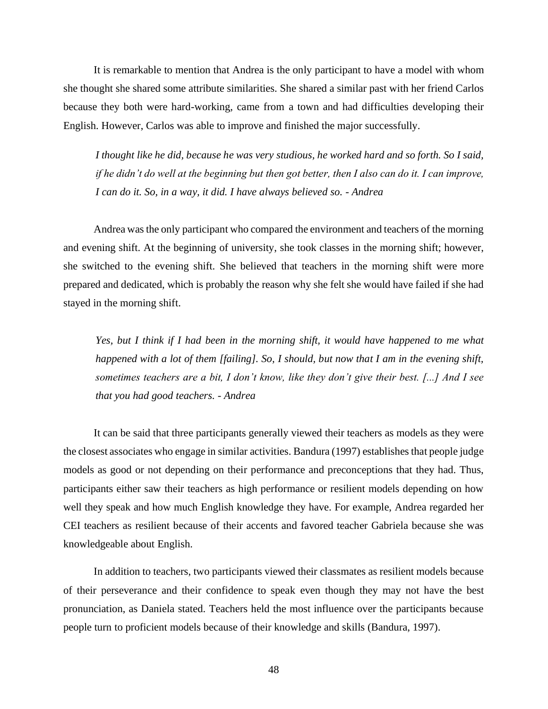It is remarkable to mention that Andrea is the only participant to have a model with whom she thought she shared some attribute similarities. She shared a similar past with her friend Carlos because they both were hard-working, came from a town and had difficulties developing their English. However, Carlos was able to improve and finished the major successfully.

*I thought like he did, because he was very studious, he worked hard and so forth. So I said, if he didn't do well at the beginning but then got better, then I also can do it. I can improve, I can do it. So, in a way, it did. I have always believed so. - Andrea* 

Andrea was the only participant who compared the environment and teachers of the morning and evening shift. At the beginning of university, she took classes in the morning shift; however, she switched to the evening shift. She believed that teachers in the morning shift were more prepared and dedicated, which is probably the reason why she felt she would have failed if she had stayed in the morning shift.

*Yes, but I think if I had been in the morning shift, it would have happened to me what happened with a lot of them [failing]. So, I should, but now that I am in the evening shift, sometimes teachers are a bit, I don't know, like they don't give their best. [...] And I see that you had good teachers. - Andrea*

It can be said that three participants generally viewed their teachers as models as they were the closest associates who engage in similar activities. Bandura (1997) establishes that people judge models as good or not depending on their performance and preconceptions that they had. Thus, participants either saw their teachers as high performance or resilient models depending on how well they speak and how much English knowledge they have. For example, Andrea regarded her CEI teachers as resilient because of their accents and favored teacher Gabriela because she was knowledgeable about English.

In addition to teachers, two participants viewed their classmates as resilient models because of their perseverance and their confidence to speak even though they may not have the best pronunciation, as Daniela stated. Teachers held the most influence over the participants because people turn to proficient models because of their knowledge and skills (Bandura, 1997).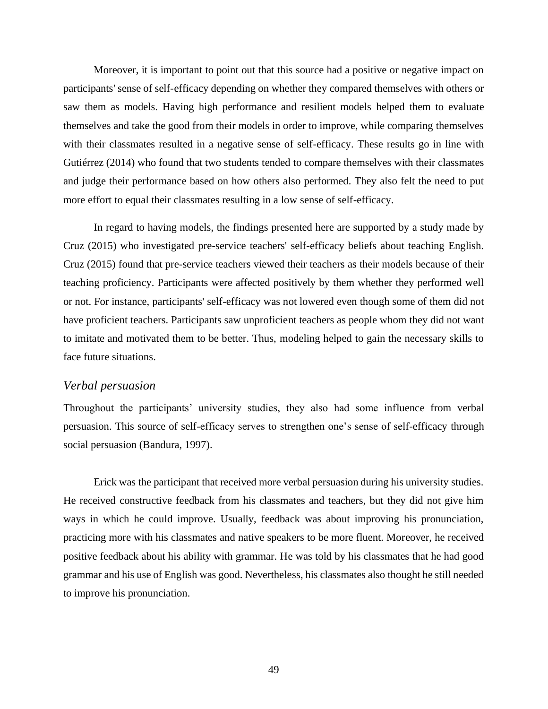Moreover, it is important to point out that this source had a positive or negative impact on participants' sense of self-efficacy depending on whether they compared themselves with others or saw them as models. Having high performance and resilient models helped them to evaluate themselves and take the good from their models in order to improve, while comparing themselves with their classmates resulted in a negative sense of self-efficacy. These results go in line with Gutiérrez (2014) who found that two students tended to compare themselves with their classmates and judge their performance based on how others also performed. They also felt the need to put more effort to equal their classmates resulting in a low sense of self-efficacy.

In regard to having models, the findings presented here are supported by a study made by Cruz (2015) who investigated pre-service teachers' self-efficacy beliefs about teaching English. Cruz (2015) found that pre-service teachers viewed their teachers as their models because of their teaching proficiency. Participants were affected positively by them whether they performed well or not. For instance, participants' self-efficacy was not lowered even though some of them did not have proficient teachers. Participants saw unproficient teachers as people whom they did not want to imitate and motivated them to be better. Thus, modeling helped to gain the necessary skills to face future situations.

#### *Verbal persuasion*

Throughout the participants' university studies, they also had some influence from verbal persuasion. This source of self-efficacy serves to strengthen one's sense of self-efficacy through social persuasion (Bandura, 1997).

Erick was the participant that received more verbal persuasion during his university studies. He received constructive feedback from his classmates and teachers, but they did not give him ways in which he could improve. Usually, feedback was about improving his pronunciation, practicing more with his classmates and native speakers to be more fluent. Moreover, he received positive feedback about his ability with grammar. He was told by his classmates that he had good grammar and his use of English was good. Nevertheless, his classmates also thought he still needed to improve his pronunciation.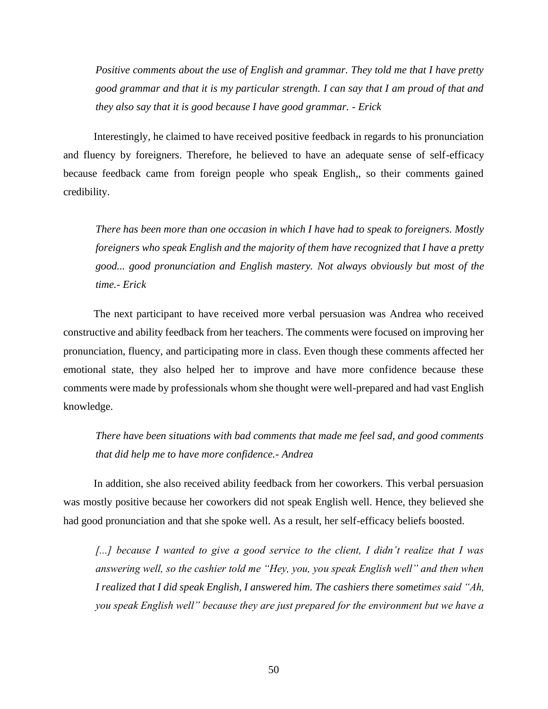*Positive comments about the use of English and grammar. They told me that I have pretty good grammar and that it is my particular strength. I can say that I am proud of that and they also say that it is good because I have good grammar. - Erick*

Interestingly, he claimed to have received positive feedback in regards to his pronunciation and fluency by foreigners. Therefore, he believed to have an adequate sense of self-efficacy because feedback came from foreign people who speak English,, so their comments gained credibility.

*There has been more than one occasion in which I have had to speak to foreigners. Mostly foreigners who speak English and the majority of them have recognized that I have a pretty good... good pronunciation and English mastery. Not always obviously but most of the time.- Erick*

The next participant to have received more verbal persuasion was Andrea who received constructive and ability feedback from her teachers. The comments were focused on improving her pronunciation, fluency, and participating more in class. Even though these comments affected her emotional state, they also helped her to improve and have more confidence because these comments were made by professionals whom she thought were well-prepared and had vast English knowledge.

*There have been situations with bad comments that made me feel sad, and good comments that did help me to have more confidence.- Andrea*

In addition, she also received ability feedback from her coworkers. This verbal persuasion was mostly positive because her coworkers did not speak English well. Hence, they believed she had good pronunciation and that she spoke well. As a result, her self-efficacy beliefs boosted.

*[...] because I wanted to give a good service to the client, I didn't realize that I was answering well, so the cashier told me "Hey, you, you speak English well" and then when I realized that I did speak English, I answered him. The cashiers there sometimes said "Ah, you speak English well" because they are just prepared for the environment but we have a*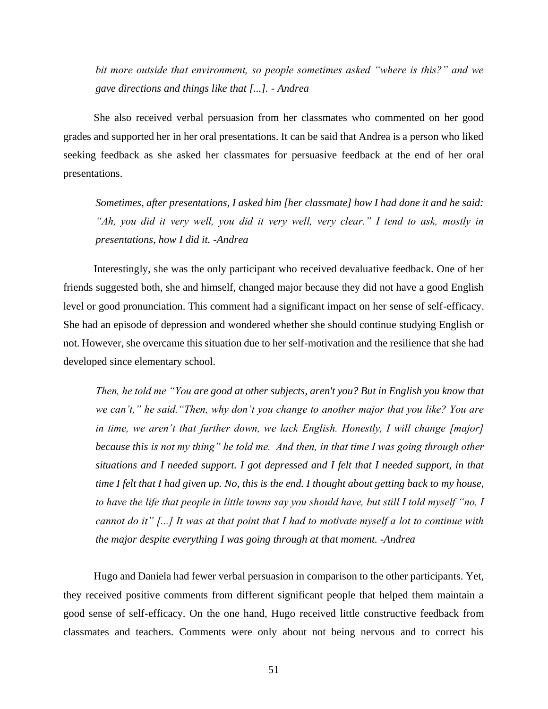*bit more outside that environment, so people sometimes asked "where is this?" and we gave directions and things like that [...]. - Andrea*

She also received verbal persuasion from her classmates who commented on her good grades and supported her in her oral presentations. It can be said that Andrea is a person who liked seeking feedback as she asked her classmates for persuasive feedback at the end of her oral presentations.

*Sometimes, after presentations, I asked him [her classmate] how I had done it and he said: "Ah, you did it very well, you did it very well, very clear." I tend to ask, mostly in presentations, how I did it. -Andrea*

Interestingly, she was the only participant who received devaluative feedback. One of her friends suggested both, she and himself, changed major because they did not have a good English level or good pronunciation. This comment had a significant impact on her sense of self-efficacy. She had an episode of depression and wondered whether she should continue studying English or not. However, she overcame this situation due to her self-motivation and the resilience that she had developed since elementary school.

*Then, he told me "You are good at other subjects, aren't you? But in English you know that we can't," he said."Then, why don't you change to another major that you like? You are in time, we aren't that further down, we lack English. Honestly, I will change [major] because this is not my thing" he told me. And then, in that time I was going through other situations and I needed support. I got depressed and I felt that I needed support, in that time I felt that I had given up. No, this is the end. I thought about getting back to my house, to have the life that people in little towns say you should have, but still I told myself "no, I cannot do it" [...] It was at that point that I had to motivate myself a lot to continue with the major despite everything I was going through at that moment. -Andrea*

Hugo and Daniela had fewer verbal persuasion in comparison to the other participants. Yet, they received positive comments from different significant people that helped them maintain a good sense of self-efficacy. On the one hand, Hugo received little constructive feedback from classmates and teachers. Comments were only about not being nervous and to correct his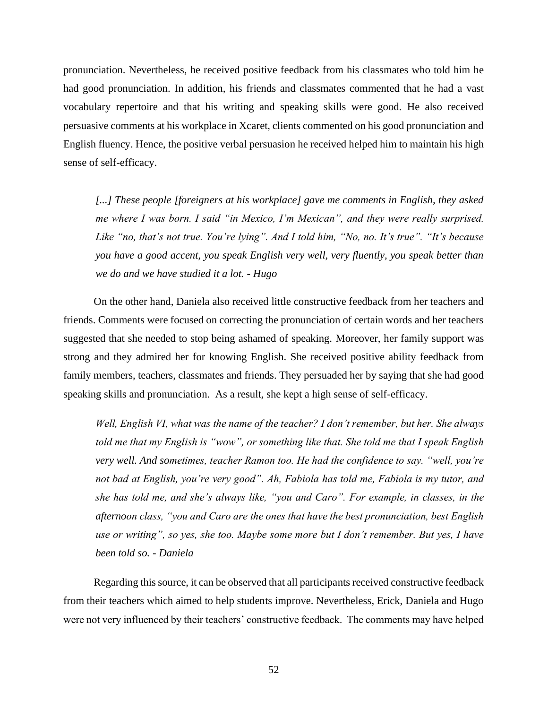pronunciation. Nevertheless, he received positive feedback from his classmates who told him he had good pronunciation. In addition, his friends and classmates commented that he had a vast vocabulary repertoire and that his writing and speaking skills were good. He also received persuasive comments at his workplace in Xcaret, clients commented on his good pronunciation and English fluency. Hence, the positive verbal persuasion he received helped him to maintain his high sense of self-efficacy.

[...] These people [foreigners at his workplace] gave me comments in English, they asked *me where I was born. I said "in Mexico, I'm Mexican", and they were really surprised. Like "no, that's not true. You're lying". And I told him, "No, no. It's true". "It's because you have a good accent, you speak English very well, very fluently, you speak better than we do and we have studied it a lot. - Hugo*

On the other hand, Daniela also received little constructive feedback from her teachers and friends. Comments were focused on correcting the pronunciation of certain words and her teachers suggested that she needed to stop being ashamed of speaking. Moreover, her family support was strong and they admired her for knowing English. She received positive ability feedback from family members, teachers, classmates and friends. They persuaded her by saying that she had good speaking skills and pronunciation. As a result, she kept a high sense of self-efficacy.

*Well, English VI, what was the name of the teacher? I don't remember, but her. She always told me that my English is "wow", or something like that. She told me that I speak English very well. And sometimes, teacher Ramon too. He had the confidence to say. "well, you're not bad at English, you're very good". Ah, Fabiola has told me, Fabiola is my tutor, and she has told me, and she's always like, "you and Caro". For example, in classes, in the afternoon class, "you and Caro are the ones that have the best pronunciation, best English use or writing", so yes, she too. Maybe some more but I don't remember. But yes, I have been told so. - Daniela*

Regarding this source, it can be observed that all participants received constructive feedback from their teachers which aimed to help students improve. Nevertheless, Erick, Daniela and Hugo were not very influenced by their teachers' constructive feedback. The comments may have helped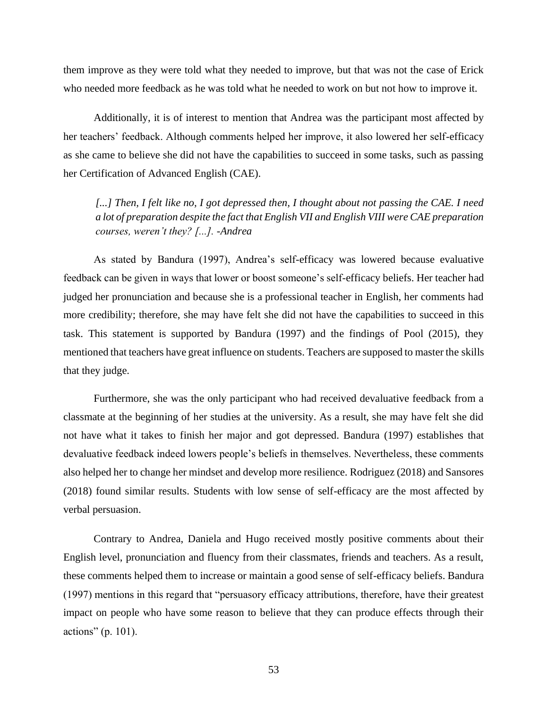them improve as they were told what they needed to improve, but that was not the case of Erick who needed more feedback as he was told what he needed to work on but not how to improve it.

Additionally, it is of interest to mention that Andrea was the participant most affected by her teachers' feedback. Although comments helped her improve, it also lowered her self-efficacy as she came to believe she did not have the capabilities to succeed in some tasks, such as passing her Certification of Advanced English (CAE).

[...] Then, I felt like no, I got depressed then, I thought about not passing the CAE. I need *a lot of preparation despite the fact that English VII and English VIII were CAE preparation courses, weren't they? [...]. -Andrea*

As stated by Bandura (1997), Andrea's self-efficacy was lowered because evaluative feedback can be given in ways that lower or boost someone's self-efficacy beliefs. Her teacher had judged her pronunciation and because she is a professional teacher in English, her comments had more credibility; therefore, she may have felt she did not have the capabilities to succeed in this task. This statement is supported by Bandura (1997) and the findings of Pool (2015), they mentioned that teachers have great influence on students. Teachers are supposed to master the skills that they judge.

Furthermore, she was the only participant who had received devaluative feedback from a classmate at the beginning of her studies at the university. As a result, she may have felt she did not have what it takes to finish her major and got depressed. Bandura (1997) establishes that devaluative feedback indeed lowers people's beliefs in themselves. Nevertheless, these comments also helped her to change her mindset and develop more resilience. Rodriguez (2018) and Sansores (2018) found similar results. Students with low sense of self-efficacy are the most affected by verbal persuasion.

Contrary to Andrea, Daniela and Hugo received mostly positive comments about their English level, pronunciation and fluency from their classmates, friends and teachers. As a result, these comments helped them to increase or maintain a good sense of self-efficacy beliefs. Bandura (1997) mentions in this regard that "persuasory efficacy attributions, therefore, have their greatest impact on people who have some reason to believe that they can produce effects through their actions" (p. 101).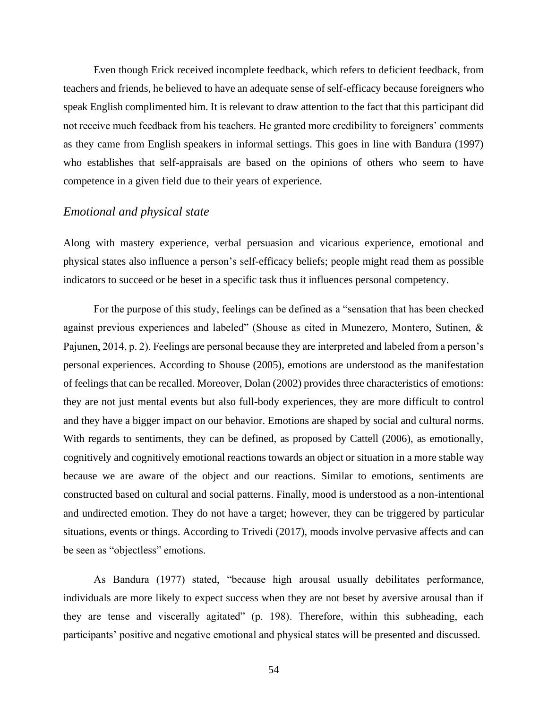Even though Erick received incomplete feedback, which refers to deficient feedback, from teachers and friends, he believed to have an adequate sense of self-efficacy because foreigners who speak English complimented him. It is relevant to draw attention to the fact that this participant did not receive much feedback from his teachers. He granted more credibility to foreigners' comments as they came from English speakers in informal settings. This goes in line with Bandura (1997) who establishes that self-appraisals are based on the opinions of others who seem to have competence in a given field due to their years of experience.

## *Emotional and physical state*

Along with mastery experience, verbal persuasion and vicarious experience, emotional and physical states also influence a person's self-efficacy beliefs; people might read them as possible indicators to succeed or be beset in a specific task thus it influences personal competency.

For the purpose of this study, feelings can be defined as a "sensation that has been checked against previous experiences and labeled" (Shouse as cited in Munezero, Montero, Sutinen, & Pajunen, 2014, p. 2). Feelings are personal because they are interpreted and labeled from a person's personal experiences. According to Shouse (2005), emotions are understood as the manifestation of feelings that can be recalled. Moreover, Dolan (2002) provides three characteristics of emotions: they are not just mental events but also full-body experiences, they are more difficult to control and they have a bigger impact on our behavior. Emotions are shaped by social and cultural norms. With regards to sentiments, they can be defined, as proposed by Cattell (2006), as emotionally, cognitively and cognitively emotional reactions towards an object or situation in a more stable way because we are aware of the object and our reactions. Similar to emotions, sentiments are constructed based on cultural and social patterns. Finally, mood is understood as a non-intentional and undirected emotion. They do not have a target; however, they can be triggered by particular situations, events or things. According to Trivedi (2017), moods involve pervasive affects and can be seen as "objectless" emotions.

As Bandura (1977) stated, "because high arousal usually debilitates performance, individuals are more likely to expect success when they are not beset by aversive arousal than if they are tense and viscerally agitated" (p. 198). Therefore, within this subheading, each participants' positive and negative emotional and physical states will be presented and discussed.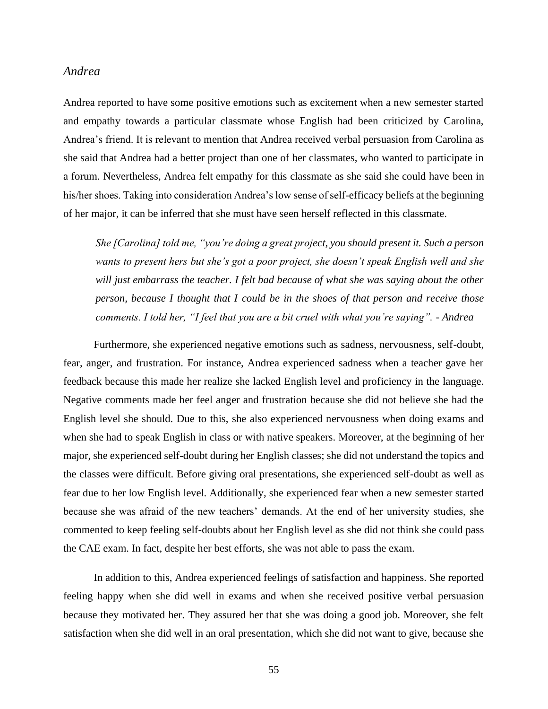### *Andrea*

Andrea reported to have some positive emotions such as excitement when a new semester started and empathy towards a particular classmate whose English had been criticized by Carolina, Andrea's friend. It is relevant to mention that Andrea received verbal persuasion from Carolina as she said that Andrea had a better project than one of her classmates, who wanted to participate in a forum. Nevertheless, Andrea felt empathy for this classmate as she said she could have been in his/her shoes. Taking into consideration Andrea's low sense of self-efficacy beliefs at the beginning of her major, it can be inferred that she must have seen herself reflected in this classmate.

*She [Carolina] told me, "you're doing a great project, you should present it. Such a person wants to present hers but she's got a poor project, she doesn't speak English well and she will just embarrass the teacher. I felt bad because of what she was saying about the other person, because I thought that I could be in the shoes of that person and receive those comments. I told her, "I feel that you are a bit cruel with what you're saying". - Andrea*

Furthermore, she experienced negative emotions such as sadness, nervousness, self-doubt, fear, anger, and frustration. For instance, Andrea experienced sadness when a teacher gave her feedback because this made her realize she lacked English level and proficiency in the language. Negative comments made her feel anger and frustration because she did not believe she had the English level she should. Due to this, she also experienced nervousness when doing exams and when she had to speak English in class or with native speakers. Moreover, at the beginning of her major, she experienced self-doubt during her English classes; she did not understand the topics and the classes were difficult. Before giving oral presentations, she experienced self-doubt as well as fear due to her low English level. Additionally, she experienced fear when a new semester started because she was afraid of the new teachers' demands. At the end of her university studies, she commented to keep feeling self-doubts about her English level as she did not think she could pass the CAE exam. In fact, despite her best efforts, she was not able to pass the exam.

In addition to this, Andrea experienced feelings of satisfaction and happiness. She reported feeling happy when she did well in exams and when she received positive verbal persuasion because they motivated her. They assured her that she was doing a good job. Moreover, she felt satisfaction when she did well in an oral presentation, which she did not want to give, because she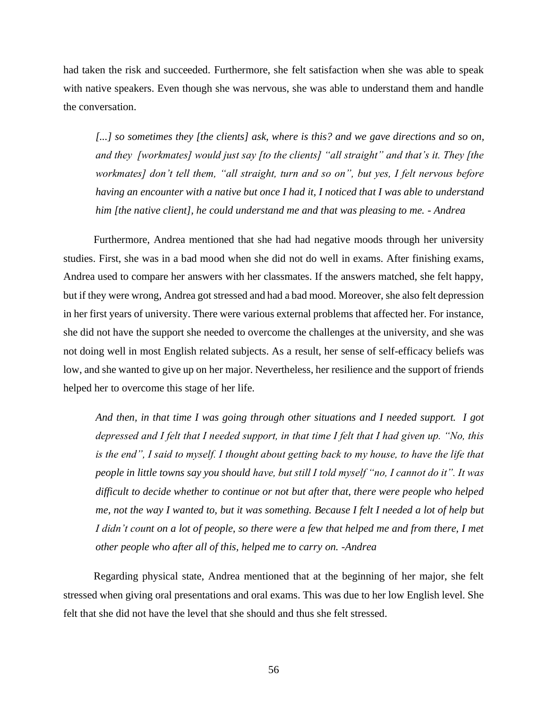had taken the risk and succeeded. Furthermore, she felt satisfaction when she was able to speak with native speakers. Even though she was nervous, she was able to understand them and handle the conversation.

*[...] so sometimes they [the clients] ask, where is this? and we gave directions and so on, and they [workmates] would just say [to the clients] "all straight" and that's it. They [the workmates] don't tell them, "all straight, turn and so on", but yes, I felt nervous before having an encounter with a native but once I had it, I noticed that I was able to understand him [the native client], he could understand me and that was pleasing to me. - Andrea*

Furthermore, Andrea mentioned that she had had negative moods through her university studies. First, she was in a bad mood when she did not do well in exams. After finishing exams, Andrea used to compare her answers with her classmates. If the answers matched, she felt happy, but if they were wrong, Andrea got stressed and had a bad mood. Moreover, she also felt depression in her first years of university. There were various external problems that affected her. For instance, she did not have the support she needed to overcome the challenges at the university, and she was not doing well in most English related subjects. As a result, her sense of self-efficacy beliefs was low, and she wanted to give up on her major. Nevertheless, her resilience and the support of friends helped her to overcome this stage of her life.

*And then, in that time I was going through other situations and I needed support. I got depressed and I felt that I needed support, in that time I felt that I had given up. "No, this is the end", I said to myself. I thought about getting back to my house, to have the life that people in little towns say you should have, but still I told myself "no, I cannot do it". It was difficult to decide whether to continue or not but after that, there were people who helped me, not the way I wanted to, but it was something. Because I felt I needed a lot of help but I didn't count on a lot of people, so there were a few that helped me and from there, I met other people who after all of this, helped me to carry on. -Andrea*

Regarding physical state, Andrea mentioned that at the beginning of her major, she felt stressed when giving oral presentations and oral exams. This was due to her low English level. She felt that she did not have the level that she should and thus she felt stressed.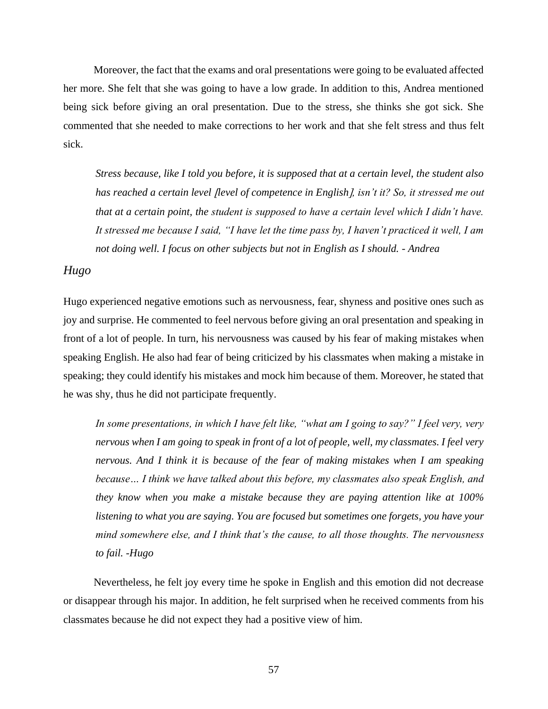Moreover, the fact that the exams and oral presentations were going to be evaluated affected her more. She felt that she was going to have a low grade. In addition to this, Andrea mentioned being sick before giving an oral presentation. Due to the stress, she thinks she got sick. She commented that she needed to make corrections to her work and that she felt stress and thus felt sick.

*Stress because, like I told you before, it is supposed that at a certain level, the student also has reached a certain level [level of competence in English], isn't it? So, it stressed me out that at a certain point, the student is supposed to have a certain level which I didn't have. It stressed me because I said, "I have let the time pass by, I haven't practiced it well, I am not doing well. I focus on other subjects but not in English as I should. - Andrea* 

# *Hugo*

Hugo experienced negative emotions such as nervousness, fear, shyness and positive ones such as joy and surprise. He commented to feel nervous before giving an oral presentation and speaking in front of a lot of people. In turn, his nervousness was caused by his fear of making mistakes when speaking English. He also had fear of being criticized by his classmates when making a mistake in speaking; they could identify his mistakes and mock him because of them. Moreover, he stated that he was shy, thus he did not participate frequently.

*In some presentations, in which I have felt like, "what am I going to say?" I feel very, very nervous when I am going to speak in front of a lot of people, well, my classmates. I feel very nervous. And I think it is because of the fear of making mistakes when I am speaking because… I think we have talked about this before, my classmates also speak English, and they know when you make a mistake because they are paying attention like at 100% listening to what you are saying. You are focused but sometimes one forgets, you have your mind somewhere else, and I think that's the cause, to all those thoughts. The nervousness to fail. -Hugo*

Nevertheless, he felt joy every time he spoke in English and this emotion did not decrease or disappear through his major. In addition, he felt surprised when he received comments from his classmates because he did not expect they had a positive view of him.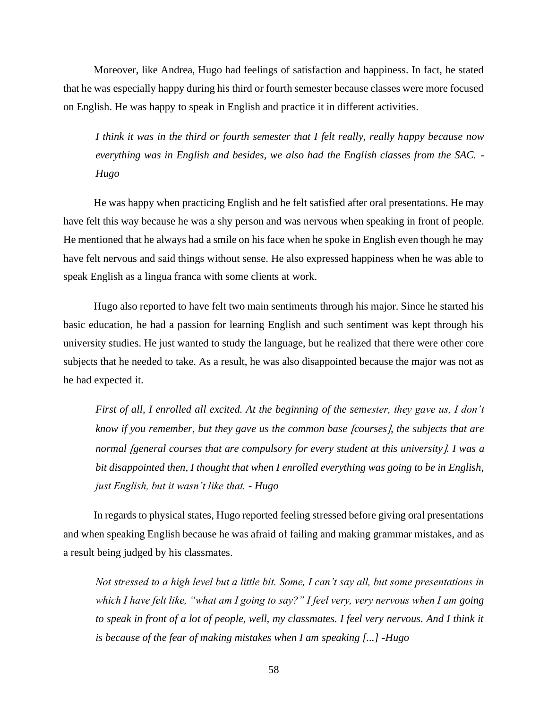Moreover, like Andrea, Hugo had feelings of satisfaction and happiness. In fact, he stated that he was especially happy during his third or fourth semester because classes were more focused on English. He was happy to speak in English and practice it in different activities.

*I think it was in the third or fourth semester that I felt really, really happy because now everything was in English and besides, we also had the English classes from the SAC. - Hugo*

He was happy when practicing English and he felt satisfied after oral presentations. He may have felt this way because he was a shy person and was nervous when speaking in front of people. He mentioned that he always had a smile on his face when he spoke in English even though he may have felt nervous and said things without sense. He also expressed happiness when he was able to speak English as a lingua franca with some clients at work.

Hugo also reported to have felt two main sentiments through his major. Since he started his basic education, he had a passion for learning English and such sentiment was kept through his university studies. He just wanted to study the language, but he realized that there were other core subjects that he needed to take. As a result, he was also disappointed because the major was not as he had expected it.

*First of all, I enrolled all excited. At the beginning of the semester, they gave us, I don't know if you remember, but they gave us the common base [courses], the subjects that are normal [general courses that are compulsory for every student at this university ]. I was a bit disappointed then, I thought that when I enrolled everything was going to be in English, just English, but it wasn't like that. - Hugo*

In regards to physical states, Hugo reported feeling stressed before giving oral presentations and when speaking English because he was afraid of failing and making grammar mistakes, and as a result being judged by his classmates.

*Not stressed to a high level but a little bit. Some, I can't say all, but some presentations in which I have felt like, "what am I going to say?" I feel very, very nervous when I am going to speak in front of a lot of people, well, my classmates. I feel very nervous. And I think it is because of the fear of making mistakes when I am speaking [...] -Hugo*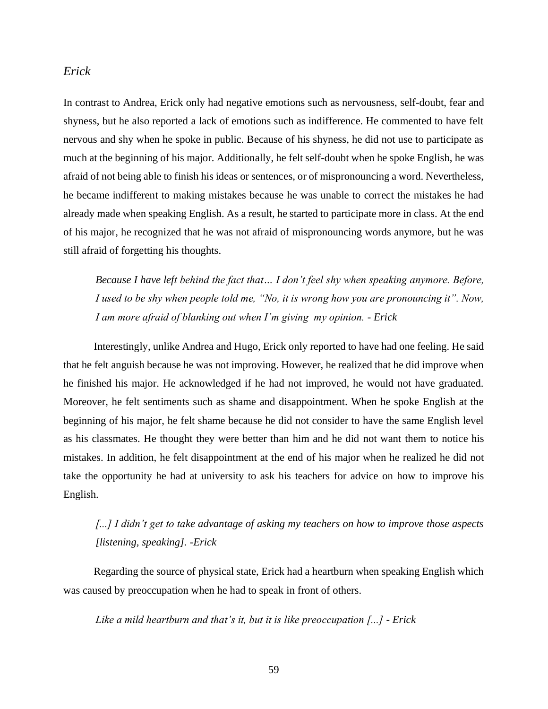#### *Erick*

In contrast to Andrea, Erick only had negative emotions such as nervousness, self-doubt, fear and shyness, but he also reported a lack of emotions such as indifference. He commented to have felt nervous and shy when he spoke in public. Because of his shyness, he did not use to participate as much at the beginning of his major. Additionally, he felt self-doubt when he spoke English, he was afraid of not being able to finish his ideas or sentences, or of mispronouncing a word. Nevertheless, he became indifferent to making mistakes because he was unable to correct the mistakes he had already made when speaking English. As a result, he started to participate more in class. At the end of his major, he recognized that he was not afraid of mispronouncing words anymore, but he was still afraid of forgetting his thoughts.

*Because I have left behind the fact that… I don't feel shy when speaking anymore. Before, I used to be shy when people told me, "No, it is wrong how you are pronouncing it". Now, I am more afraid of blanking out when I'm giving my opinion. - Erick*

Interestingly, unlike Andrea and Hugo, Erick only reported to have had one feeling. He said that he felt anguish because he was not improving. However, he realized that he did improve when he finished his major. He acknowledged if he had not improved, he would not have graduated. Moreover, he felt sentiments such as shame and disappointment. When he spoke English at the beginning of his major, he felt shame because he did not consider to have the same English level as his classmates. He thought they were better than him and he did not want them to notice his mistakes. In addition, he felt disappointment at the end of his major when he realized he did not take the opportunity he had at university to ask his teachers for advice on how to improve his English.

# *[...] I didn't get to take advantage of asking my teachers on how to improve those aspects [listening, speaking]. -Erick*

Regarding the source of physical state, Erick had a heartburn when speaking English which was caused by preoccupation when he had to speak in front of others.

*Like a mild heartburn and that's it, but it is like preoccupation [...] - Erick*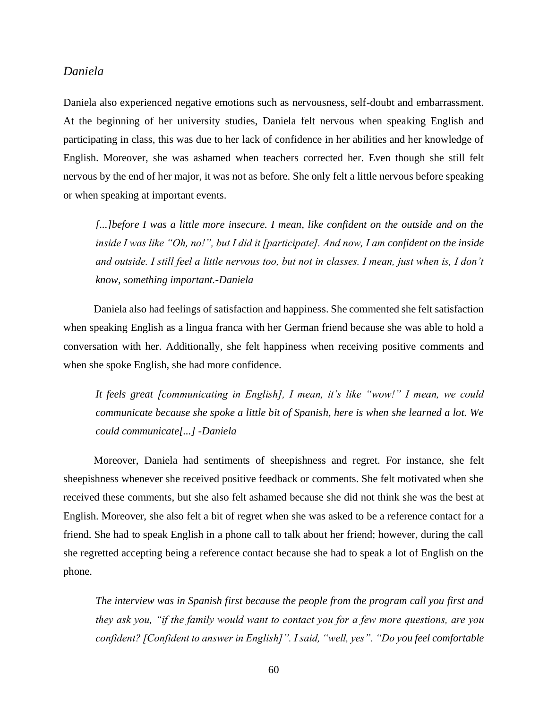#### *Daniela*

Daniela also experienced negative emotions such as nervousness, self-doubt and embarrassment. At the beginning of her university studies, Daniela felt nervous when speaking English and participating in class, this was due to her lack of confidence in her abilities and her knowledge of English. Moreover, she was ashamed when teachers corrected her. Even though she still felt nervous by the end of her major, it was not as before. She only felt a little nervous before speaking or when speaking at important events.

*[...]before I was a little more insecure. I mean, like confident on the outside and on the inside I was like "Oh, no!", but I did it [participate]. And now, I am confident on the inside and outside. I still feel a little nervous too, but not in classes. I mean, just when is, I don't know, something important.-Daniela*

Daniela also had feelings of satisfaction and happiness. She commented she felt satisfaction when speaking English as a lingua franca with her German friend because she was able to hold a conversation with her. Additionally, she felt happiness when receiving positive comments and when she spoke English, she had more confidence.

*It feels great [communicating in English], I mean, it's like "wow!" I mean, we could communicate because she spoke a little bit of Spanish, here is when she learned a lot. We could communicate[...] -Daniela*

Moreover, Daniela had sentiments of sheepishness and regret. For instance, she felt sheepishness whenever she received positive feedback or comments. She felt motivated when she received these comments, but she also felt ashamed because she did not think she was the best at English. Moreover, she also felt a bit of regret when she was asked to be a reference contact for a friend. She had to speak English in a phone call to talk about her friend; however, during the call she regretted accepting being a reference contact because she had to speak a lot of English on the phone.

*The interview was in Spanish first because the people from the program call you first and they ask you, "if the family would want to contact you for a few more questions, are you confident? [Confident to answer in English]". I said, "well, yes". "Do you feel comfortable*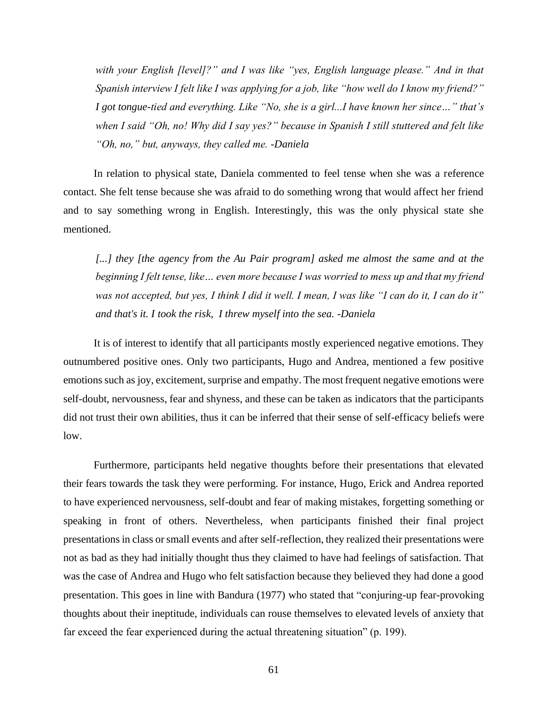*with your English [level]?" and I was like "yes, English language please." And in that Spanish interview I felt like I was applying for a job, like "how well do I know my friend?" I got tongue-tied and everything. Like "No, she is a girl...I have known her since…" that's when I said "Oh, no! Why did I say yes?" because in Spanish I still stuttered and felt like "Oh, no," but, anyways, they called me. -Daniela*

In relation to physical state, Daniela commented to feel tense when she was a reference contact. She felt tense because she was afraid to do something wrong that would affect her friend and to say something wrong in English. Interestingly, this was the only physical state she mentioned.

[...] they [the agency from the Au Pair program] asked me almost the same and at the *beginning I felt tense, like… even more because I was worried to mess up and that my friend was not accepted, but yes, I think I did it well. I mean, I was like "I can do it, I can do it" and that's it. I took the risk, I threw myself into the sea. -Daniela*

It is of interest to identify that all participants mostly experienced negative emotions. They outnumbered positive ones. Only two participants, Hugo and Andrea, mentioned a few positive emotions such as joy, excitement, surprise and empathy. The most frequent negative emotions were self-doubt, nervousness, fear and shyness, and these can be taken as indicators that the participants did not trust their own abilities, thus it can be inferred that their sense of self-efficacy beliefs were low.

Furthermore, participants held negative thoughts before their presentations that elevated their fears towards the task they were performing. For instance, Hugo, Erick and Andrea reported to have experienced nervousness, self-doubt and fear of making mistakes, forgetting something or speaking in front of others. Nevertheless, when participants finished their final project presentations in class or small events and after self-reflection, they realized their presentations were not as bad as they had initially thought thus they claimed to have had feelings of satisfaction. That was the case of Andrea and Hugo who felt satisfaction because they believed they had done a good presentation. This goes in line with Bandura (1977) who stated that "conjuring-up fear-provoking thoughts about their ineptitude, individuals can rouse themselves to elevated levels of anxiety that far exceed the fear experienced during the actual threatening situation" (p. 199).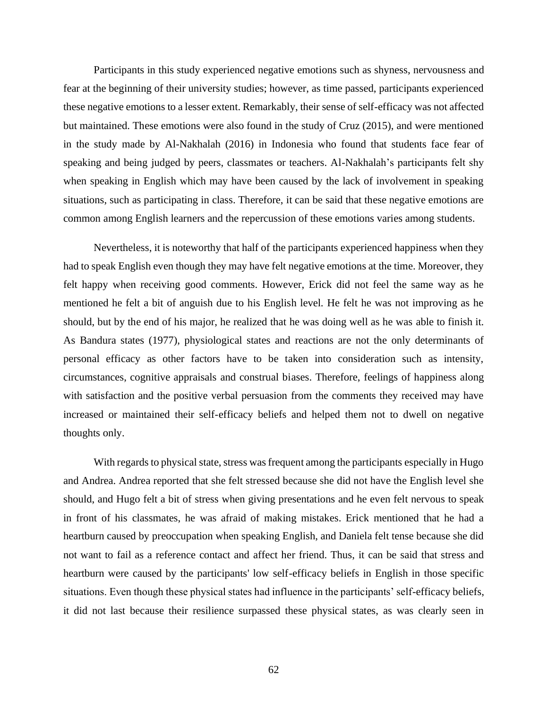Participants in this study experienced negative emotions such as shyness, nervousness and fear at the beginning of their university studies; however, as time passed, participants experienced these negative emotions to a lesser extent. Remarkably, their sense of self-efficacy was not affected but maintained. These emotions were also found in the study of Cruz (2015), and were mentioned in the study made by Al-Nakhalah (2016) in Indonesia who found that students face fear of speaking and being judged by peers, classmates or teachers. Al-Nakhalah's participants felt shy when speaking in English which may have been caused by the lack of involvement in speaking situations, such as participating in class. Therefore, it can be said that these negative emotions are common among English learners and the repercussion of these emotions varies among students.

Nevertheless, it is noteworthy that half of the participants experienced happiness when they had to speak English even though they may have felt negative emotions at the time. Moreover, they felt happy when receiving good comments. However, Erick did not feel the same way as he mentioned he felt a bit of anguish due to his English level. He felt he was not improving as he should, but by the end of his major, he realized that he was doing well as he was able to finish it. As Bandura states (1977), physiological states and reactions are not the only determinants of personal efficacy as other factors have to be taken into consideration such as intensity, circumstances, cognitive appraisals and construal biases. Therefore, feelings of happiness along with satisfaction and the positive verbal persuasion from the comments they received may have increased or maintained their self-efficacy beliefs and helped them not to dwell on negative thoughts only.

With regards to physical state, stress was frequent among the participants especially in Hugo and Andrea. Andrea reported that she felt stressed because she did not have the English level she should, and Hugo felt a bit of stress when giving presentations and he even felt nervous to speak in front of his classmates, he was afraid of making mistakes. Erick mentioned that he had a heartburn caused by preoccupation when speaking English, and Daniela felt tense because she did not want to fail as a reference contact and affect her friend. Thus, it can be said that stress and heartburn were caused by the participants' low self-efficacy beliefs in English in those specific situations. Even though these physical states had influence in the participants' self-efficacy beliefs, it did not last because their resilience surpassed these physical states, as was clearly seen in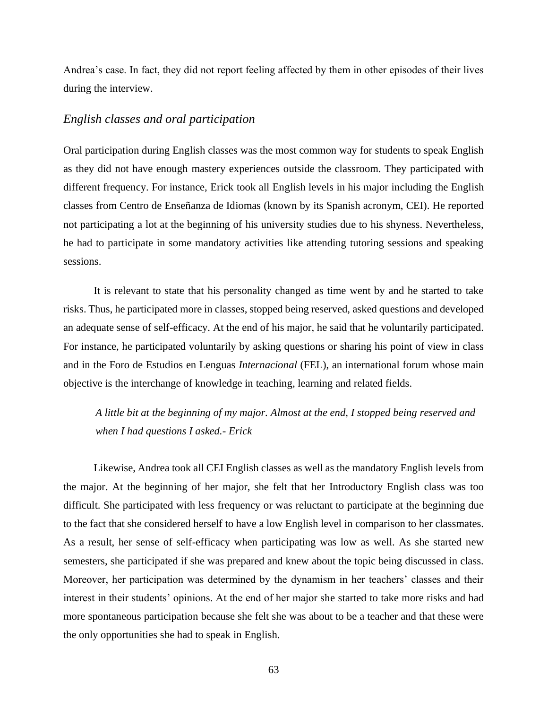Andrea's case. In fact, they did not report feeling affected by them in other episodes of their lives during the interview.

# *English classes and oral participation*

Oral participation during English classes was the most common way for students to speak English as they did not have enough mastery experiences outside the classroom. They participated with different frequency. For instance, Erick took all English levels in his major including the English classes from Centro de Enseñanza de Idiomas (known by its Spanish acronym, CEI). He reported not participating a lot at the beginning of his university studies due to his shyness. Nevertheless, he had to participate in some mandatory activities like attending tutoring sessions and speaking sessions.

It is relevant to state that his personality changed as time went by and he started to take risks. Thus, he participated more in classes, stopped being reserved, asked questions and developed an adequate sense of self-efficacy. At the end of his major, he said that he voluntarily participated. For instance, he participated voluntarily by asking questions or sharing his point of view in class and in the Foro de Estudios en Lenguas *Internacional* (FEL), an international forum whose main objective is the interchange of knowledge in teaching, learning and related fields.

*A little bit at the beginning of my major. Almost at the end, I stopped being reserved and when I had questions I asked.- Erick*

Likewise, Andrea took all CEI English classes as well as the mandatory English levels from the major. At the beginning of her major, she felt that her Introductory English class was too difficult. She participated with less frequency or was reluctant to participate at the beginning due to the fact that she considered herself to have a low English level in comparison to her classmates. As a result, her sense of self-efficacy when participating was low as well. As she started new semesters, she participated if she was prepared and knew about the topic being discussed in class. Moreover, her participation was determined by the dynamism in her teachers' classes and their interest in their students' opinions. At the end of her major she started to take more risks and had more spontaneous participation because she felt she was about to be a teacher and that these were the only opportunities she had to speak in English.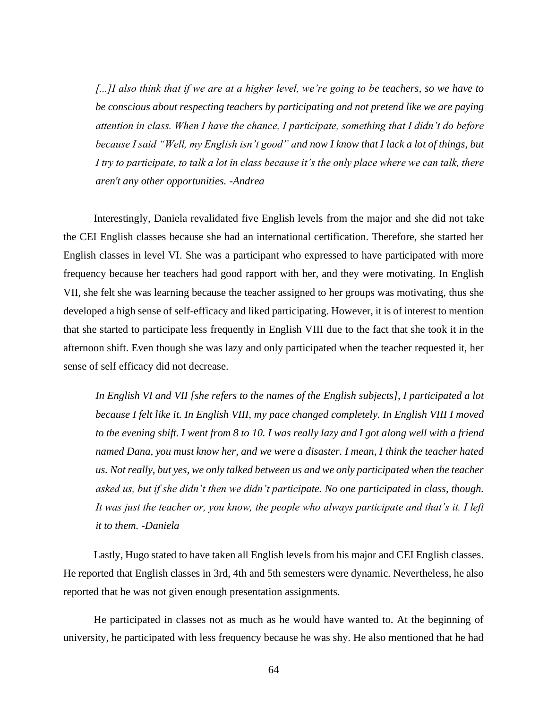*[...]I also think that if we are at a higher level, we're going to be teachers, so we have to be conscious about respecting teachers by participating and not pretend like we are paying attention in class. When I have the chance, I participate, something that I didn't do before because I said "Well, my English isn't good" and now I know that I lack a lot of things, but I try to participate, to talk a lot in class because it's the only place where we can talk, there aren't any other opportunities. -Andrea*

Interestingly, Daniela revalidated five English levels from the major and she did not take the CEI English classes because she had an international certification. Therefore, she started her English classes in level VI. She was a participant who expressed to have participated with more frequency because her teachers had good rapport with her, and they were motivating. In English VII, she felt she was learning because the teacher assigned to her groups was motivating, thus she developed a high sense of self-efficacy and liked participating. However, it is of interest to mention that she started to participate less frequently in English VIII due to the fact that she took it in the afternoon shift. Even though she was lazy and only participated when the teacher requested it, her sense of self efficacy did not decrease.

*In English VI and VII [she refers to the names of the English subjects], I participated a lot because I felt like it. In English VIII, my pace changed completely. In English VIII I moved to the evening shift. I went from 8 to 10. I was really lazy and I got along well with a friend named Dana, you must know her, and we were a disaster. I mean, I think the teacher hated us. Not really, but yes, we only talked between us and we only participated when the teacher asked us, but if she didn't then we didn't participate. No one participated in class, though. It was just the teacher or, you know, the people who always participate and that's it. I left it to them. -Daniela*

Lastly, Hugo stated to have taken all English levels from his major and CEI English classes. He reported that English classes in 3rd, 4th and 5th semesters were dynamic. Nevertheless, he also reported that he was not given enough presentation assignments.

He participated in classes not as much as he would have wanted to. At the beginning of university, he participated with less frequency because he was shy. He also mentioned that he had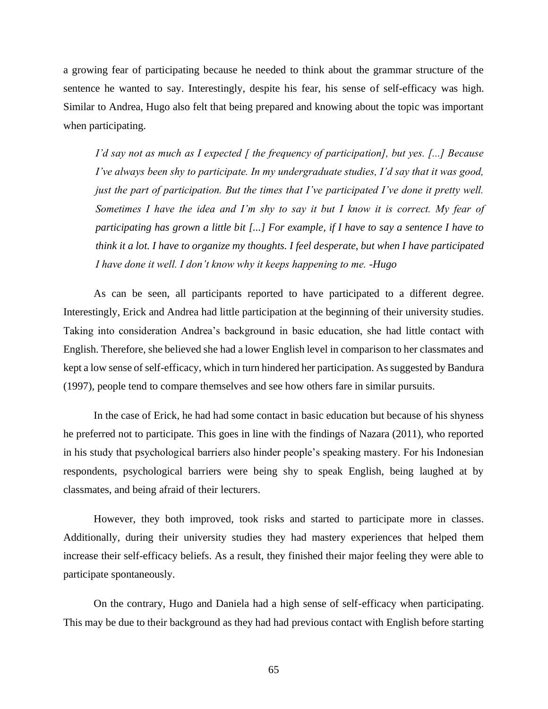a growing fear of participating because he needed to think about the grammar structure of the sentence he wanted to say. Interestingly, despite his fear, his sense of self-efficacy was high. Similar to Andrea, Hugo also felt that being prepared and knowing about the topic was important when participating.

*I'd say not as much as I expected [ the frequency of participation], but yes. [...] Because I've always been shy to participate. In my undergraduate studies, I'd say that it was good, just the part of participation. But the times that I've participated I've done it pretty well. Sometimes I have the idea and I'm shy to say it but I know it is correct. My fear of participating has grown a little bit [...] For example, if I have to say a sentence I have to think it a lot. I have to organize my thoughts. I feel desperate, but when I have participated I have done it well. I don't know why it keeps happening to me. -Hugo*

As can be seen, all participants reported to have participated to a different degree. Interestingly, Erick and Andrea had little participation at the beginning of their university studies. Taking into consideration Andrea's background in basic education, she had little contact with English. Therefore, she believed she had a lower English level in comparison to her classmates and kept a low sense of self-efficacy, which in turn hindered her participation. As suggested by Bandura (1997), people tend to compare themselves and see how others fare in similar pursuits.

In the case of Erick, he had had some contact in basic education but because of his shyness he preferred not to participate. This goes in line with the findings of Nazara (2011), who reported in his study that psychological barriers also hinder people's speaking mastery. For his Indonesian respondents, psychological barriers were being shy to speak English, being laughed at by classmates, and being afraid of their lecturers.

However, they both improved, took risks and started to participate more in classes. Additionally, during their university studies they had mastery experiences that helped them increase their self-efficacy beliefs. As a result, they finished their major feeling they were able to participate spontaneously.

On the contrary, Hugo and Daniela had a high sense of self-efficacy when participating. This may be due to their background as they had had previous contact with English before starting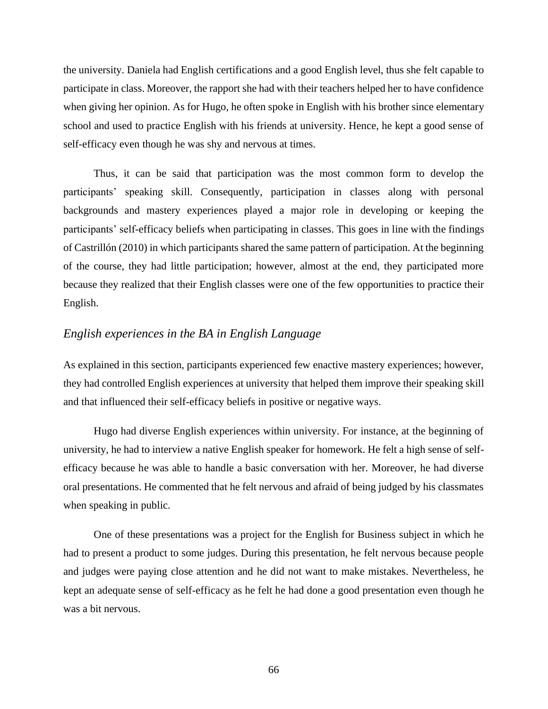the university. Daniela had English certifications and a good English level, thus she felt capable to participate in class. Moreover, the rapport she had with their teachers helped her to have confidence when giving her opinion. As for Hugo, he often spoke in English with his brother since elementary school and used to practice English with his friends at university. Hence, he kept a good sense of self-efficacy even though he was shy and nervous at times.

Thus, it can be said that participation was the most common form to develop the participants' speaking skill. Consequently, participation in classes along with personal backgrounds and mastery experiences played a major role in developing or keeping the participants' self-efficacy beliefs when participating in classes. This goes in line with the findings of Castrillón (2010) in which participants shared the same pattern of participation. At the beginning of the course, they had little participation; however, almost at the end, they participated more because they realized that their English classes were one of the few opportunities to practice their English.

## *English experiences in the BA in English Language*

As explained in this section, participants experienced few enactive mastery experiences; however, they had controlled English experiences at university that helped them improve their speaking skill and that influenced their self-efficacy beliefs in positive or negative ways.

Hugo had diverse English experiences within university. For instance, at the beginning of university, he had to interview a native English speaker for homework. He felt a high sense of selfefficacy because he was able to handle a basic conversation with her. Moreover, he had diverse oral presentations. He commented that he felt nervous and afraid of being judged by his classmates when speaking in public.

One of these presentations was a project for the English for Business subject in which he had to present a product to some judges. During this presentation, he felt nervous because people and judges were paying close attention and he did not want to make mistakes. Nevertheless, he kept an adequate sense of self-efficacy as he felt he had done a good presentation even though he was a bit nervous.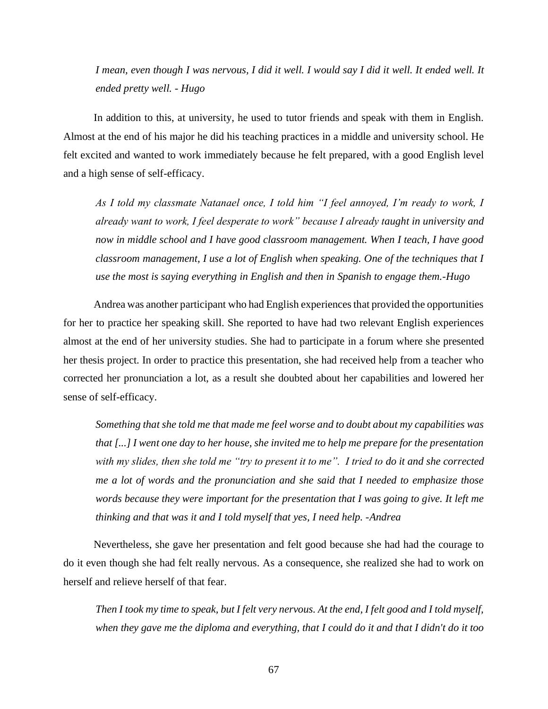*I mean, even though I was nervous, I did it well. I would say I did it well. It ended well. It ended pretty well. - Hugo*

In addition to this, at university, he used to tutor friends and speak with them in English. Almost at the end of his major he did his teaching practices in a middle and university school. He felt excited and wanted to work immediately because he felt prepared, with a good English level and a high sense of self-efficacy.

*As I told my classmate Natanael once, I told him "I feel annoyed, I'm ready to work, I already want to work, I feel desperate to work" because I already taught in university and now in middle school and I have good classroom management. When I teach, I have good classroom management, I use a lot of English when speaking. One of the techniques that I use the most is saying everything in English and then in Spanish to engage them.-Hugo* 

Andrea was another participant who had English experiences that provided the opportunities for her to practice her speaking skill. She reported to have had two relevant English experiences almost at the end of her university studies. She had to participate in a forum where she presented her thesis project. In order to practice this presentation, she had received help from a teacher who corrected her pronunciation a lot, as a result she doubted about her capabilities and lowered her sense of self-efficacy.

*Something that she told me that made me feel worse and to doubt about my capabilities was that [...] I went one day to her house, she invited me to help me prepare for the presentation with my slides, then she told me "try to present it to me". I tried to do it and she corrected me a lot of words and the pronunciation and she said that I needed to emphasize those words because they were important for the presentation that I was going to give. It left me thinking and that was it and I told myself that yes, I need help. -Andrea*

Nevertheless, she gave her presentation and felt good because she had had the courage to do it even though she had felt really nervous. As a consequence, she realized she had to work on herself and relieve herself of that fear.

*Then I took my time to speak, but I felt very nervous. At the end, I felt good and I told myself, when they gave me the diploma and everything, that I could do it and that I didn't do it too*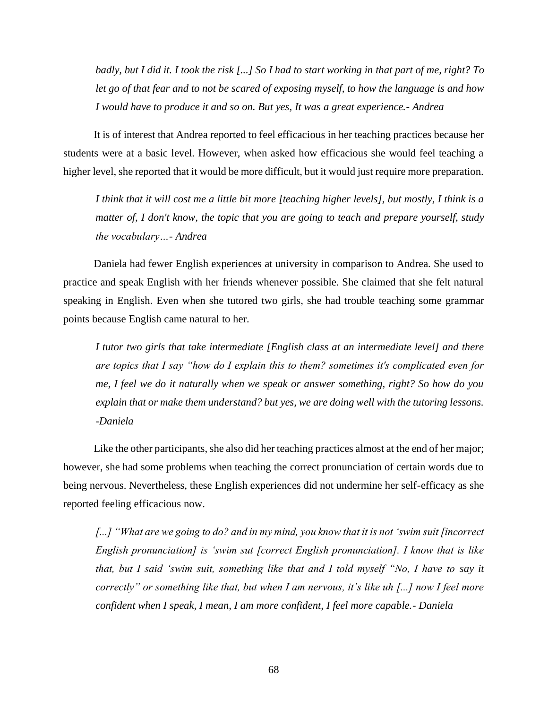*badly, but I did it. I took the risk [...] So I had to start working in that part of me, right? To let go of that fear and to not be scared of exposing myself, to how the language is and how I would have to produce it and so on. But yes, It was a great experience.- Andrea*

It is of interest that Andrea reported to feel efficacious in her teaching practices because her students were at a basic level. However, when asked how efficacious she would feel teaching a higher level, she reported that it would be more difficult, but it would just require more preparation.

*I think that it will cost me a little bit more [teaching higher levels], but mostly, I think is a matter of, I don't know, the topic that you are going to teach and prepare yourself, study the vocabulary…- Andrea*

Daniela had fewer English experiences at university in comparison to Andrea. She used to practice and speak English with her friends whenever possible. She claimed that she felt natural speaking in English. Even when she tutored two girls, she had trouble teaching some grammar points because English came natural to her.

*I tutor two girls that take intermediate [English class at an intermediate level] and there are topics that I say "how do I explain this to them? sometimes it's complicated even for me, I feel we do it naturally when we speak or answer something, right? So how do you explain that or make them understand? but yes, we are doing well with the tutoring lessons. -Daniela*

Like the other participants, she also did her teaching practices almost at the end of her major; however, she had some problems when teaching the correct pronunciation of certain words due to being nervous. Nevertheless, these English experiences did not undermine her self-efficacy as she reported feeling efficacious now.

*[...] "What are we going to do? and in my mind, you know that it is not 'swim suit [incorrect English pronunciation] is 'swim sut [correct English pronunciation]. I know that is like that, but I said 'swim suit, something like that and I told myself "No, I have to say it correctly" or something like that, but when I am nervous, it's like uh [...] now I feel more confident when I speak, I mean, I am more confident, I feel more capable.- Daniela*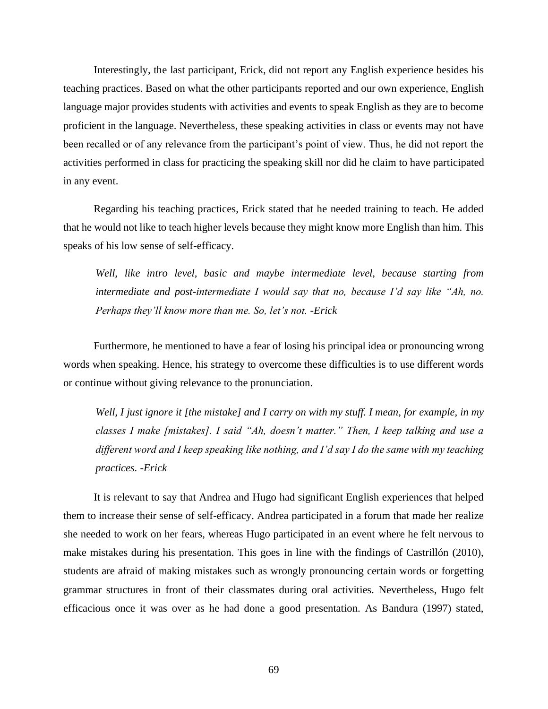Interestingly, the last participant, Erick, did not report any English experience besides his teaching practices. Based on what the other participants reported and our own experience, English language major provides students with activities and events to speak English as they are to become proficient in the language. Nevertheless, these speaking activities in class or events may not have been recalled or of any relevance from the participant's point of view. Thus, he did not report the activities performed in class for practicing the speaking skill nor did he claim to have participated in any event.

Regarding his teaching practices, Erick stated that he needed training to teach. He added that he would not like to teach higher levels because they might know more English than him. This speaks of his low sense of self-efficacy.

*Well, like intro level, basic and maybe intermediate level, because starting from intermediate and post-intermediate I would say that no, because I'd say like "Ah, no. Perhaps they'll know more than me. So, let's not. -Erick*

Furthermore, he mentioned to have a fear of losing his principal idea or pronouncing wrong words when speaking. Hence, his strategy to overcome these difficulties is to use different words or continue without giving relevance to the pronunciation.

*Well, I just ignore it [the mistake] and I carry on with my stuff. I mean, for example, in my classes I make [mistakes]. I said "Ah, doesn't matter." Then, I keep talking and use a different word and I keep speaking like nothing, and I'd say I do the same with my teaching practices. -Erick*

It is relevant to say that Andrea and Hugo had significant English experiences that helped them to increase their sense of self-efficacy. Andrea participated in a forum that made her realize she needed to work on her fears, whereas Hugo participated in an event where he felt nervous to make mistakes during his presentation. This goes in line with the findings of Castrillón (2010), students are afraid of making mistakes such as wrongly pronouncing certain words or forgetting grammar structures in front of their classmates during oral activities. Nevertheless, Hugo felt efficacious once it was over as he had done a good presentation. As Bandura (1997) stated,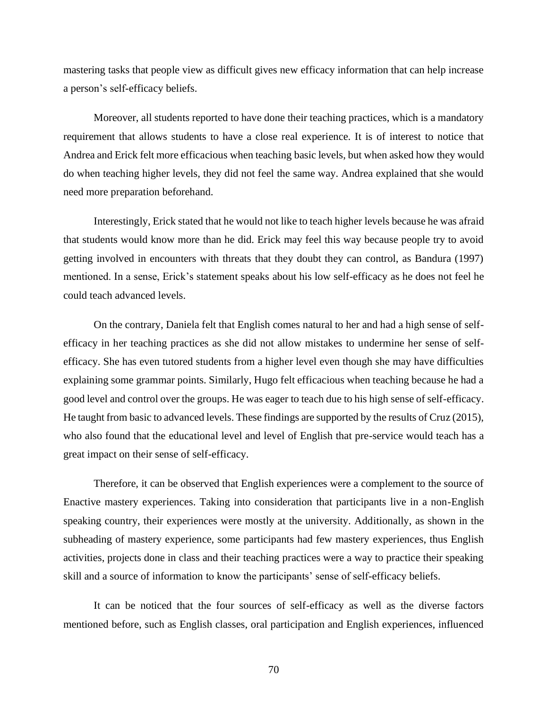mastering tasks that people view as difficult gives new efficacy information that can help increase a person's self-efficacy beliefs.

Moreover, all students reported to have done their teaching practices, which is a mandatory requirement that allows students to have a close real experience. It is of interest to notice that Andrea and Erick felt more efficacious when teaching basic levels, but when asked how they would do when teaching higher levels, they did not feel the same way. Andrea explained that she would need more preparation beforehand.

Interestingly, Erick stated that he would not like to teach higher levels because he was afraid that students would know more than he did. Erick may feel this way because people try to avoid getting involved in encounters with threats that they doubt they can control, as Bandura (1997) mentioned. In a sense, Erick's statement speaks about his low self-efficacy as he does not feel he could teach advanced levels.

On the contrary, Daniela felt that English comes natural to her and had a high sense of selfefficacy in her teaching practices as she did not allow mistakes to undermine her sense of selfefficacy. She has even tutored students from a higher level even though she may have difficulties explaining some grammar points. Similarly, Hugo felt efficacious when teaching because he had a good level and control over the groups. He was eager to teach due to his high sense of self-efficacy. He taught from basic to advanced levels. These findings are supported by the results of Cruz (2015), who also found that the educational level and level of English that pre-service would teach has a great impact on their sense of self-efficacy.

Therefore, it can be observed that English experiences were a complement to the source of Enactive mastery experiences. Taking into consideration that participants live in a non-English speaking country, their experiences were mostly at the university. Additionally, as shown in the subheading of mastery experience, some participants had few mastery experiences, thus English activities, projects done in class and their teaching practices were a way to practice their speaking skill and a source of information to know the participants' sense of self-efficacy beliefs.

It can be noticed that the four sources of self-efficacy as well as the diverse factors mentioned before, such as English classes, oral participation and English experiences, influenced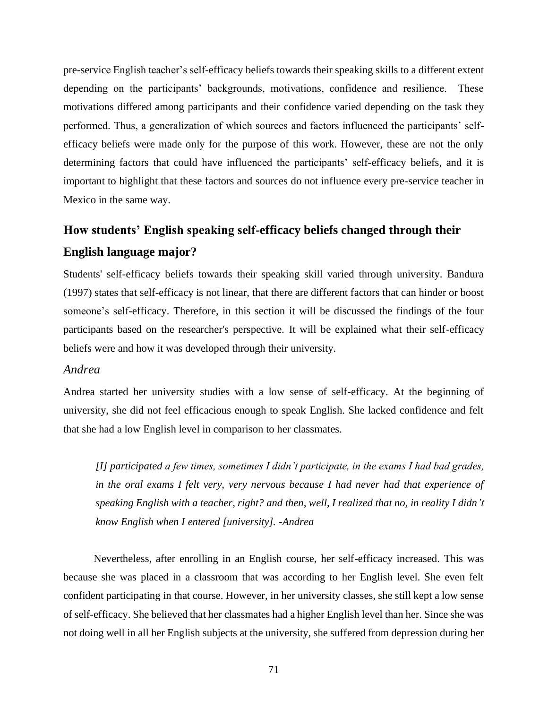pre-service English teacher's self-efficacy beliefs towards their speaking skills to a different extent depending on the participants' backgrounds, motivations, confidence and resilience. These motivations differed among participants and their confidence varied depending on the task they performed. Thus, a generalization of which sources and factors influenced the participants' selfefficacy beliefs were made only for the purpose of this work. However, these are not the only determining factors that could have influenced the participants' self-efficacy beliefs, and it is important to highlight that these factors and sources do not influence every pre-service teacher in Mexico in the same way.

# **How students' English speaking self-efficacy beliefs changed through their English language major?**

Students' self-efficacy beliefs towards their speaking skill varied through university. Bandura (1997) states that self-efficacy is not linear, that there are different factors that can hinder or boost someone's self-efficacy. Therefore, in this section it will be discussed the findings of the four participants based on the researcher's perspective. It will be explained what their self-efficacy beliefs were and how it was developed through their university.

# *Andrea*

Andrea started her university studies with a low sense of self-efficacy. At the beginning of university, she did not feel efficacious enough to speak English. She lacked confidence and felt that she had a low English level in comparison to her classmates.

*[I] participated a few times, sometimes I didn't participate, in the exams I had bad grades, in the oral exams I felt very, very nervous because I had never had that experience of speaking English with a teacher, right? and then, well, I realized that no, in reality I didn't know English when I entered [university]. -Andrea*

Nevertheless, after enrolling in an English course, her self-efficacy increased. This was because she was placed in a classroom that was according to her English level. She even felt confident participating in that course. However, in her university classes, she still kept a low sense of self-efficacy. She believed that her classmates had a higher English level than her. Since she was not doing well in all her English subjects at the university, she suffered from depression during her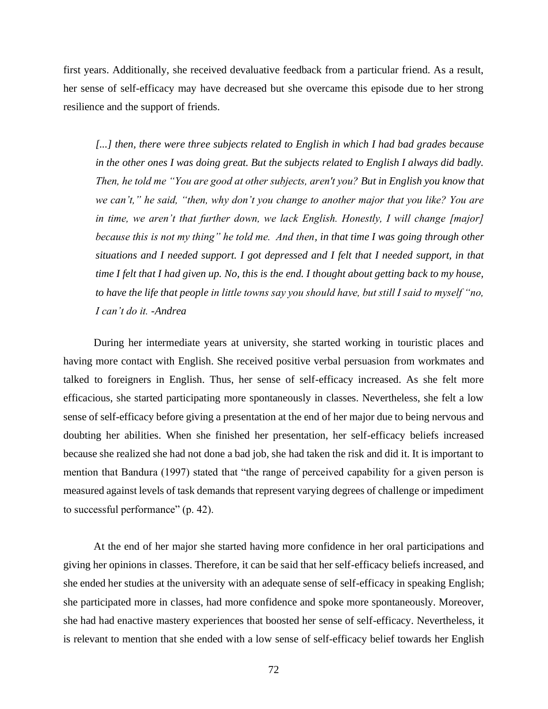first years. Additionally, she received devaluative feedback from a particular friend. As a result, her sense of self-efficacy may have decreased but she overcame this episode due to her strong resilience and the support of friends.

*[...] then, there were three subjects related to English in which I had bad grades because in the other ones I was doing great. But the subjects related to English I always did badly. Then, he told me "You are good at other subjects, aren't you? But in English you know that we can't," he said, "then, why don't you change to another major that you like? You are in time, we aren't that further down, we lack English. Honestly, I will change [major] because this is not my thing" he told me. And then, in that time I was going through other situations and I needed support. I got depressed and I felt that I needed support, in that time I felt that I had given up. No, this is the end. I thought about getting back to my house, to have the life that people in little towns say you should have, but still I said to myself "no, I can't do it. -Andrea*

During her intermediate years at university, she started working in touristic places and having more contact with English. She received positive verbal persuasion from workmates and talked to foreigners in English. Thus, her sense of self-efficacy increased. As she felt more efficacious, she started participating more spontaneously in classes. Nevertheless, she felt a low sense of self-efficacy before giving a presentation at the end of her major due to being nervous and doubting her abilities. When she finished her presentation, her self-efficacy beliefs increased because she realized she had not done a bad job, she had taken the risk and did it. It is important to mention that Bandura (1997) stated that "the range of perceived capability for a given person is measured against levels of task demands that represent varying degrees of challenge or impediment to successful performance" (p. 42).

At the end of her major she started having more confidence in her oral participations and giving her opinions in classes. Therefore, it can be said that her self-efficacy beliefs increased, and she ended her studies at the university with an adequate sense of self-efficacy in speaking English; she participated more in classes, had more confidence and spoke more spontaneously. Moreover, she had had enactive mastery experiences that boosted her sense of self-efficacy. Nevertheless, it is relevant to mention that she ended with a low sense of self-efficacy belief towards her English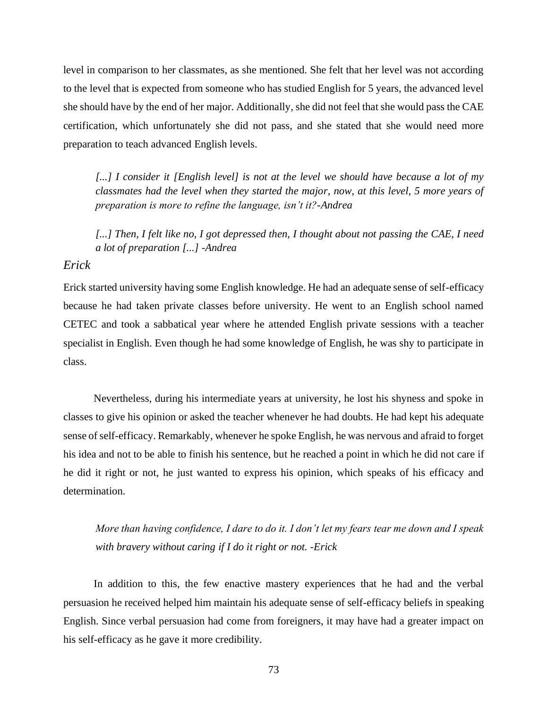level in comparison to her classmates, as she mentioned. She felt that her level was not according to the level that is expected from someone who has studied English for 5 years, the advanced level she should have by the end of her major. Additionally, she did not feel that she would pass the CAE certification, which unfortunately she did not pass, and she stated that she would need more preparation to teach advanced English levels.

[...] I consider it [English level] is not at the level we should have because a lot of my *classmates had the level when they started the major, now, at this level, 5 more years of preparation is more to refine the language, isn't it?-Andrea*

*[...] Then, I felt like no, I got depressed then, I thought about not passing the CAE, I need a lot of preparation [...] -Andrea*

# *Erick*

Erick started university having some English knowledge. He had an adequate sense of self-efficacy because he had taken private classes before university. He went to an English school named CETEC and took a sabbatical year where he attended English private sessions with a teacher specialist in English. Even though he had some knowledge of English, he was shy to participate in class.

Nevertheless, during his intermediate years at university, he lost his shyness and spoke in classes to give his opinion or asked the teacher whenever he had doubts. He had kept his adequate sense of self-efficacy. Remarkably, whenever he spoke English, he was nervous and afraid to forget his idea and not to be able to finish his sentence, but he reached a point in which he did not care if he did it right or not, he just wanted to express his opinion, which speaks of his efficacy and determination.

*More than having confidence, I dare to do it. I don't let my fears tear me down and I speak with bravery without caring if I do it right or not. -Erick*

In addition to this, the few enactive mastery experiences that he had and the verbal persuasion he received helped him maintain his adequate sense of self-efficacy beliefs in speaking English. Since verbal persuasion had come from foreigners, it may have had a greater impact on his self-efficacy as he gave it more credibility.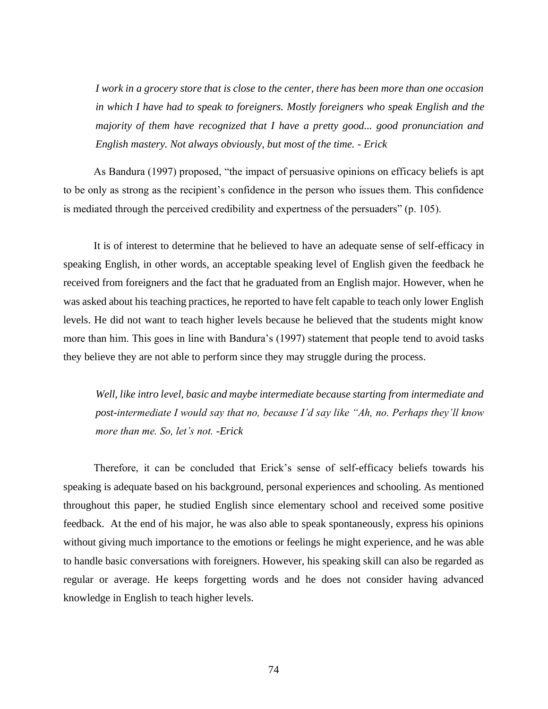*I work in a grocery store that is close to the center, there has been more than one occasion in which I have had to speak to foreigners. Mostly foreigners who speak English and the majority of them have recognized that I have a pretty good... good pronunciation and English mastery. Not always obviously, but most of the time. - Erick*

As Bandura (1997) proposed, "the impact of persuasive opinions on efficacy beliefs is apt to be only as strong as the recipient's confidence in the person who issues them. This confidence is mediated through the perceived credibility and expertness of the persuaders" (p. 105).

It is of interest to determine that he believed to have an adequate sense of self-efficacy in speaking English, in other words, an acceptable speaking level of English given the feedback he received from foreigners and the fact that he graduated from an English major. However, when he was asked about his teaching practices, he reported to have felt capable to teach only lower English levels. He did not want to teach higher levels because he believed that the students might know more than him. This goes in line with Bandura's (1997) statement that people tend to avoid tasks they believe they are not able to perform since they may struggle during the process.

*Well, like intro level, basic and maybe intermediate because starting from intermediate and post-intermediate I would say that no, because I'd say like "Ah, no. Perhaps they'll know more than me. So, let's not. -Erick*

Therefore, it can be concluded that Erick's sense of self-efficacy beliefs towards his speaking is adequate based on his background, personal experiences and schooling. As mentioned throughout this paper, he studied English since elementary school and received some positive feedback. At the end of his major, he was also able to speak spontaneously, express his opinions without giving much importance to the emotions or feelings he might experience, and he was able to handle basic conversations with foreigners. However, his speaking skill can also be regarded as regular or average. He keeps forgetting words and he does not consider having advanced knowledge in English to teach higher levels.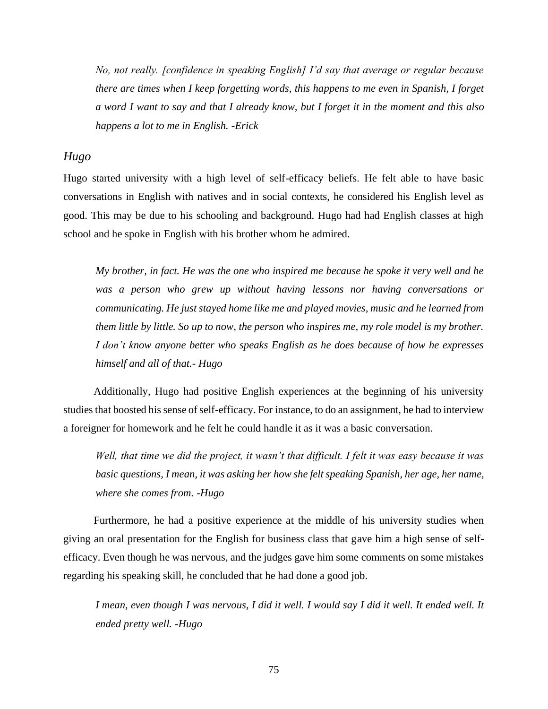*No, not really. [confidence in speaking English] I'd say that average or regular because there are times when I keep forgetting words, this happens to me even in Spanish, I forget a word I want to say and that I already know, but I forget it in the moment and this also happens a lot to me in English. -Erick*

### *Hugo*

Hugo started university with a high level of self-efficacy beliefs. He felt able to have basic conversations in English with natives and in social contexts, he considered his English level as good. This may be due to his schooling and background. Hugo had had English classes at high school and he spoke in English with his brother whom he admired.

*My brother, in fact. He was the one who inspired me because he spoke it very well and he was a person who grew up without having lessons nor having conversations or communicating. He just stayed home like me and played movies, music and he learned from them little by little. So up to now, the person who inspires me, my role model is my brother. I don't know anyone better who speaks English as he does because of how he expresses himself and all of that.- Hugo*

Additionally, Hugo had positive English experiences at the beginning of his university studies that boosted his sense of self-efficacy. For instance, to do an assignment, he had to interview a foreigner for homework and he felt he could handle it as it was a basic conversation.

*Well, that time we did the project, it wasn't that difficult. I felt it was easy because it was basic questions, I mean, it was asking her how she felt speaking Spanish, her age, her name, where she comes from. -Hugo*

Furthermore, he had a positive experience at the middle of his university studies when giving an oral presentation for the English for business class that gave him a high sense of selfefficacy. Even though he was nervous, and the judges gave him some comments on some mistakes regarding his speaking skill, he concluded that he had done a good job.

*I mean, even though I was nervous, I did it well. I would say I did it well. It ended well. It ended pretty well. -Hugo*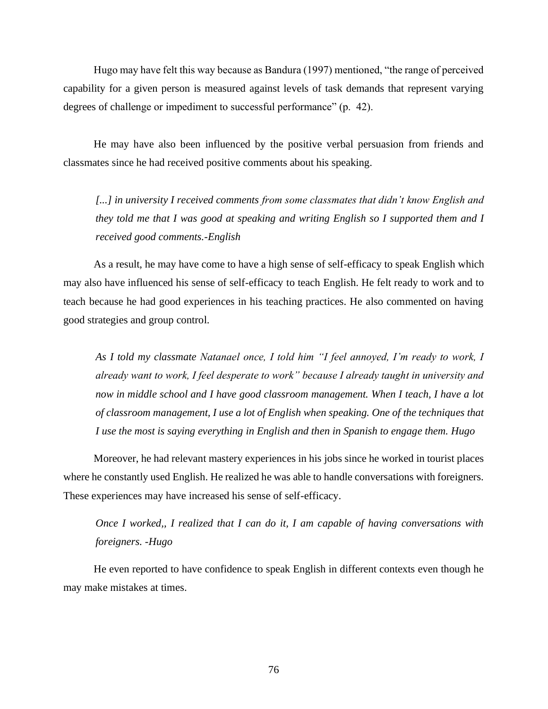Hugo may have felt this way because as Bandura (1997) mentioned, "the range of perceived capability for a given person is measured against levels of task demands that represent varying degrees of challenge or impediment to successful performance" (p. 42).

He may have also been influenced by the positive verbal persuasion from friends and classmates since he had received positive comments about his speaking.

*[...] in university I received comments from some classmates that didn't know English and they told me that I was good at speaking and writing English so I supported them and I received good comments.-English*

As a result, he may have come to have a high sense of self-efficacy to speak English which may also have influenced his sense of self-efficacy to teach English. He felt ready to work and to teach because he had good experiences in his teaching practices. He also commented on having good strategies and group control.

*As I told my classmate Natanael once, I told him "I feel annoyed, I'm ready to work, I already want to work, I feel desperate to work" because I already taught in university and now in middle school and I have good classroom management. When I teach, I have a lot of classroom management, I use a lot of English when speaking. One of the techniques that I use the most is saying everything in English and then in Spanish to engage them. Hugo* 

Moreover, he had relevant mastery experiences in his jobs since he worked in tourist places where he constantly used English. He realized he was able to handle conversations with foreigners. These experiences may have increased his sense of self-efficacy.

*Once I worked,, I realized that I can do it, I am capable of having conversations with foreigners. -Hugo*

He even reported to have confidence to speak English in different contexts even though he may make mistakes at times.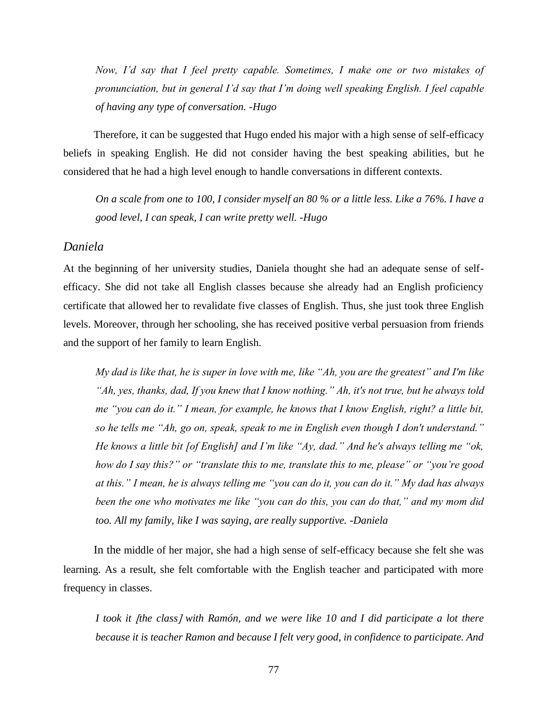*Now, I'd say that I feel pretty capable. Sometimes, I make one or two mistakes of pronunciation, but in general I'd say that I'm doing well speaking English. I feel capable of having any type of conversation. -Hugo*

Therefore, it can be suggested that Hugo ended his major with a high sense of self-efficacy beliefs in speaking English. He did not consider having the best speaking abilities, but he considered that he had a high level enough to handle conversations in different contexts.

*On a scale from one to 100, I consider myself an 80 % or a little less. Like a 76%. I have a good level, I can speak, I can write pretty well. -Hugo*

#### *Daniela*

At the beginning of her university studies, Daniela thought she had an adequate sense of selfefficacy. She did not take all English classes because she already had an English proficiency certificate that allowed her to revalidate five classes of English. Thus, she just took three English levels. Moreover, through her schooling, she has received positive verbal persuasion from friends and the support of her family to learn English.

*My dad is like that, he is super in love with me, like "Ah, you are the greatest" and I'm like "Ah, yes, thanks, dad, If you knew that I know nothing." Ah, it's not true, but he always told me "you can do it." I mean, for example, he knows that I know English, right? a little bit, so he tells me "Ah, go on, speak, speak to me in English even though I don't understand." He knows a little bit [of English] and I'm like "Ay, dad." And he's always telling me "ok, how do I say this?" or "translate this to me, translate this to me, please" or "you're good at this." I mean, he is always telling me "you can do it, you can do it." My dad has always been the one who motivates me like "you can do this, you can do that," and my mom did too. All my family, like I was saying, are really supportive. -Daniela*

In the middle of her major, she had a high sense of self-efficacy because she felt she was learning. As a result, she felt comfortable with the English teacher and participated with more frequency in classes.

*I took it [the class] with Ramón, and we were like 10 and I did participate a lot there because it is teacher Ramon and because I felt very good, in confidence to participate. And*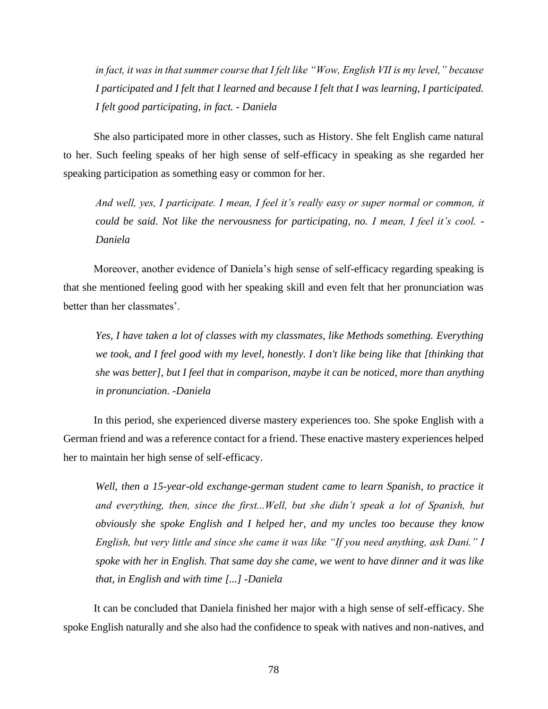*in fact, it was in that summer course that I felt like "Wow, English VII is my level," because I participated and I felt that I learned and because I felt that I was learning, I participated. I felt good participating, in fact. - Daniela*

She also participated more in other classes, such as History. She felt English came natural to her. Such feeling speaks of her high sense of self-efficacy in speaking as she regarded her speaking participation as something easy or common for her.

*And well, yes, I participate. I mean, I feel it's really easy or super normal or common, it could be said. Not like the nervousness for participating, no. I mean, I feel it's cool. - Daniela*

Moreover, another evidence of Daniela's high sense of self-efficacy regarding speaking is that she mentioned feeling good with her speaking skill and even felt that her pronunciation was better than her classmates'.

*Yes, I have taken a lot of classes with my classmates, like Methods something. Everything we took, and I feel good with my level, honestly. I don't like being like that [thinking that she was better], but I feel that in comparison, maybe it can be noticed, more than anything in pronunciation. -Daniela*

In this period, she experienced diverse mastery experiences too. She spoke English with a German friend and was a reference contact for a friend. These enactive mastery experiences helped her to maintain her high sense of self-efficacy.

*Well, then a 15-year-old exchange-german student came to learn Spanish, to practice it and everything, then, since the first...Well, but she didn't speak a lot of Spanish, but obviously she spoke English and I helped her, and my uncles too because they know English, but very little and since she came it was like "If you need anything, ask Dani." I spoke with her in English. That same day she came, we went to have dinner and it was like that, in English and with time [...] -Daniela*

It can be concluded that Daniela finished her major with a high sense of self-efficacy. She spoke English naturally and she also had the confidence to speak with natives and non-natives, and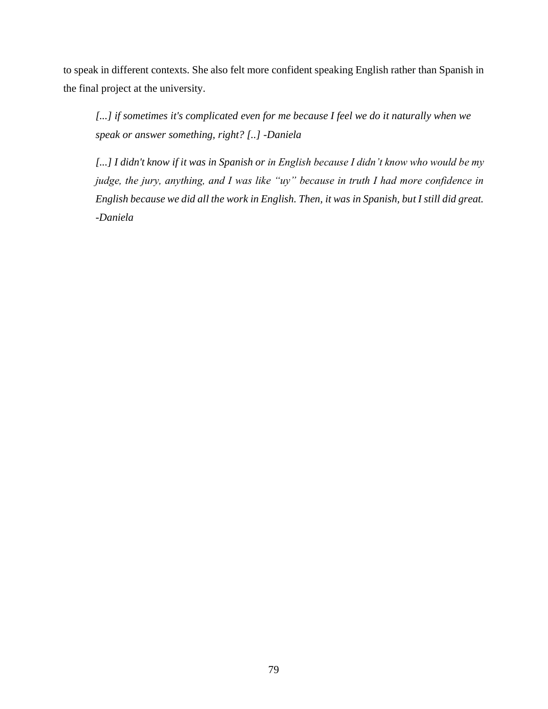to speak in different contexts. She also felt more confident speaking English rather than Spanish in the final project at the university.

[...] if sometimes it's complicated even for me because I feel we do it naturally when we *speak or answer something, right? [..] -Daniela*

*[...] I didn't know if it was in Spanish or in English because I didn't know who would be my judge, the jury, anything, and I was like "uy" because in truth I had more confidence in English because we did all the work in English. Then, it was in Spanish, but I still did great. -Daniela*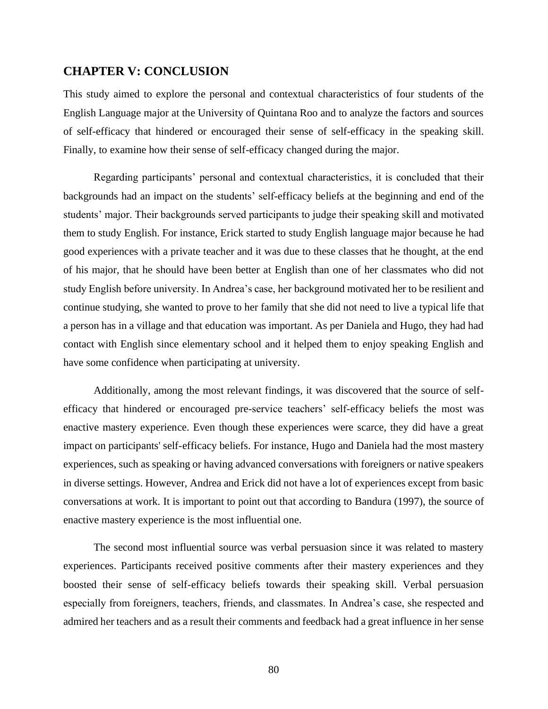## **CHAPTER V: CONCLUSION**

This study aimed to explore the personal and contextual characteristics of four students of the English Language major at the University of Quintana Roo and to analyze the factors and sources of self-efficacy that hindered or encouraged their sense of self-efficacy in the speaking skill. Finally, to examine how their sense of self-efficacy changed during the major.

Regarding participants' personal and contextual characteristics, it is concluded that their backgrounds had an impact on the students' self-efficacy beliefs at the beginning and end of the students' major. Their backgrounds served participants to judge their speaking skill and motivated them to study English. For instance, Erick started to study English language major because he had good experiences with a private teacher and it was due to these classes that he thought, at the end of his major, that he should have been better at English than one of her classmates who did not study English before university. In Andrea's case, her background motivated her to be resilient and continue studying, she wanted to prove to her family that she did not need to live a typical life that a person has in a village and that education was important. As per Daniela and Hugo, they had had contact with English since elementary school and it helped them to enjoy speaking English and have some confidence when participating at university.

Additionally, among the most relevant findings, it was discovered that the source of selfefficacy that hindered or encouraged pre-service teachers' self-efficacy beliefs the most was enactive mastery experience. Even though these experiences were scarce, they did have a great impact on participants' self-efficacy beliefs. For instance, Hugo and Daniela had the most mastery experiences, such as speaking or having advanced conversations with foreigners or native speakers in diverse settings. However, Andrea and Erick did not have a lot of experiences except from basic conversations at work. It is important to point out that according to Bandura (1997), the source of enactive mastery experience is the most influential one.

The second most influential source was verbal persuasion since it was related to mastery experiences. Participants received positive comments after their mastery experiences and they boosted their sense of self-efficacy beliefs towards their speaking skill. Verbal persuasion especially from foreigners, teachers, friends, and classmates. In Andrea's case, she respected and admired her teachers and as a result their comments and feedback had a great influence in her sense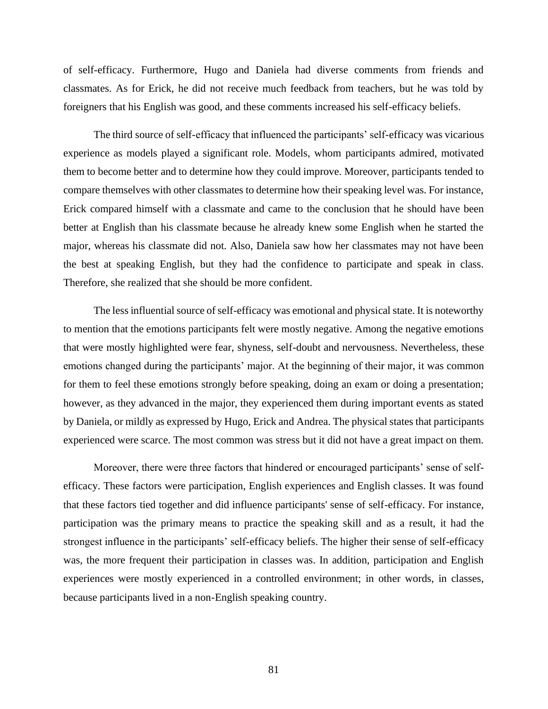of self-efficacy. Furthermore, Hugo and Daniela had diverse comments from friends and classmates. As for Erick, he did not receive much feedback from teachers, but he was told by foreigners that his English was good, and these comments increased his self-efficacy beliefs.

The third source of self-efficacy that influenced the participants' self-efficacy was vicarious experience as models played a significant role. Models, whom participants admired, motivated them to become better and to determine how they could improve. Moreover, participants tended to compare themselves with other classmates to determine how their speaking level was. For instance, Erick compared himself with a classmate and came to the conclusion that he should have been better at English than his classmate because he already knew some English when he started the major, whereas his classmate did not. Also, Daniela saw how her classmates may not have been the best at speaking English, but they had the confidence to participate and speak in class. Therefore, she realized that she should be more confident.

The less influential source of self-efficacy was emotional and physical state. It is noteworthy to mention that the emotions participants felt were mostly negative. Among the negative emotions that were mostly highlighted were fear, shyness, self-doubt and nervousness. Nevertheless, these emotions changed during the participants' major. At the beginning of their major, it was common for them to feel these emotions strongly before speaking, doing an exam or doing a presentation; however, as they advanced in the major, they experienced them during important events as stated by Daniela, or mildly as expressed by Hugo, Erick and Andrea. The physical states that participants experienced were scarce. The most common was stress but it did not have a great impact on them.

Moreover, there were three factors that hindered or encouraged participants' sense of selfefficacy. These factors were participation, English experiences and English classes. It was found that these factors tied together and did influence participants' sense of self-efficacy. For instance, participation was the primary means to practice the speaking skill and as a result, it had the strongest influence in the participants' self-efficacy beliefs. The higher their sense of self-efficacy was, the more frequent their participation in classes was. In addition, participation and English experiences were mostly experienced in a controlled environment; in other words, in classes, because participants lived in a non-English speaking country.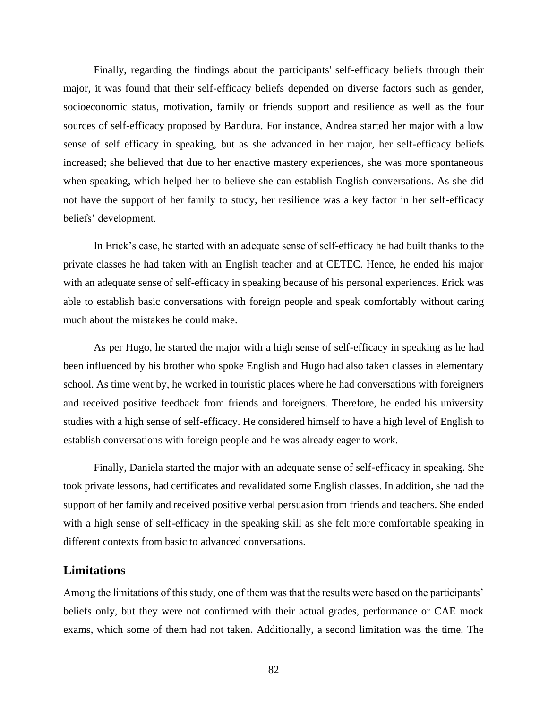Finally, regarding the findings about the participants' self-efficacy beliefs through their major, it was found that their self-efficacy beliefs depended on diverse factors such as gender, socioeconomic status, motivation, family or friends support and resilience as well as the four sources of self-efficacy proposed by Bandura. For instance, Andrea started her major with a low sense of self efficacy in speaking, but as she advanced in her major, her self-efficacy beliefs increased; she believed that due to her enactive mastery experiences, she was more spontaneous when speaking, which helped her to believe she can establish English conversations. As she did not have the support of her family to study, her resilience was a key factor in her self-efficacy beliefs' development.

In Erick's case, he started with an adequate sense of self-efficacy he had built thanks to the private classes he had taken with an English teacher and at CETEC. Hence, he ended his major with an adequate sense of self-efficacy in speaking because of his personal experiences. Erick was able to establish basic conversations with foreign people and speak comfortably without caring much about the mistakes he could make.

As per Hugo, he started the major with a high sense of self-efficacy in speaking as he had been influenced by his brother who spoke English and Hugo had also taken classes in elementary school. As time went by, he worked in touristic places where he had conversations with foreigners and received positive feedback from friends and foreigners. Therefore, he ended his university studies with a high sense of self-efficacy. He considered himself to have a high level of English to establish conversations with foreign people and he was already eager to work.

Finally, Daniela started the major with an adequate sense of self-efficacy in speaking. She took private lessons, had certificates and revalidated some English classes. In addition, she had the support of her family and received positive verbal persuasion from friends and teachers. She ended with a high sense of self-efficacy in the speaking skill as she felt more comfortable speaking in different contexts from basic to advanced conversations.

### **Limitations**

Among the limitations of this study, one of them was that the results were based on the participants' beliefs only, but they were not confirmed with their actual grades, performance or CAE mock exams, which some of them had not taken. Additionally, a second limitation was the time. The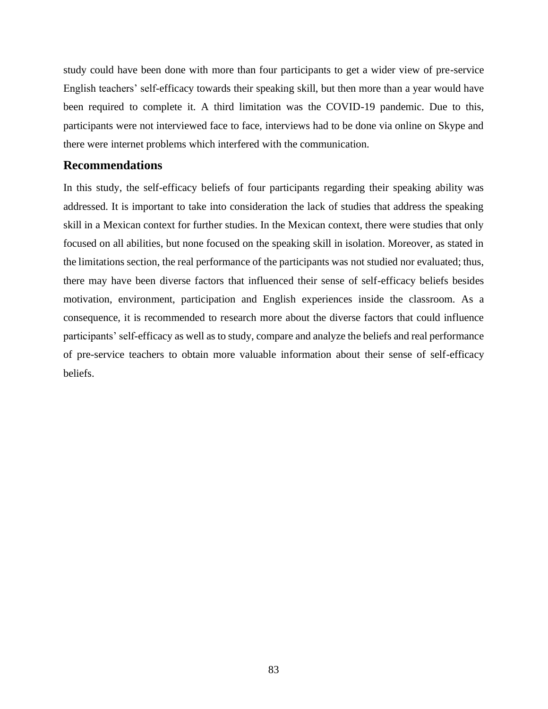study could have been done with more than four participants to get a wider view of pre-service English teachers' self-efficacy towards their speaking skill, but then more than a year would have been required to complete it. A third limitation was the COVID-19 pandemic. Due to this, participants were not interviewed face to face, interviews had to be done via online on Skype and there were internet problems which interfered with the communication.

## **Recommendations**

In this study, the self-efficacy beliefs of four participants regarding their speaking ability was addressed. It is important to take into consideration the lack of studies that address the speaking skill in a Mexican context for further studies. In the Mexican context, there were studies that only focused on all abilities, but none focused on the speaking skill in isolation. Moreover, as stated in the limitations section, the real performance of the participants was not studied nor evaluated; thus, there may have been diverse factors that influenced their sense of self-efficacy beliefs besides motivation, environment, participation and English experiences inside the classroom. As a consequence, it is recommended to research more about the diverse factors that could influence participants' self-efficacy as well as to study, compare and analyze the beliefs and real performance of pre-service teachers to obtain more valuable information about their sense of self-efficacy beliefs.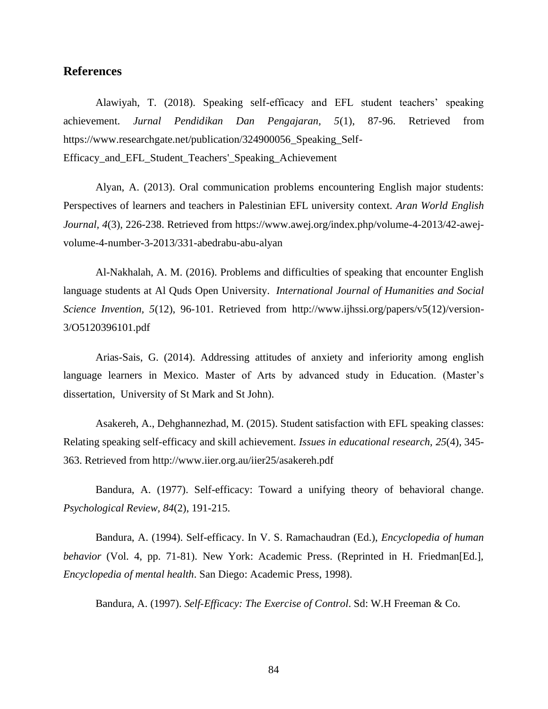# **References**

Alawiyah, T. (2018). Speaking self-efficacy and EFL student teachers' speaking achievement. *Jurnal Pendidikan Dan Pengajaran, 5*(1), 87-96. Retrieved from https://www.researchgate.net/publication/324900056 Speaking Self-Efficacy and EFL Student Teachers' Speaking Achievement

Alyan, A. (2013). Oral communication problems encountering English major students: Perspectives of learners and teachers in Palestinian EFL university context. *Aran World English Journal, 4*(3), 226-238. Retrieved from https://www.awej.org/index.php/volume-4-2013/42-awejvolume-4-number-3-2013/331-abedrabu-abu-alyan

Al-Nakhalah, A. M. (2016). Problems and difficulties of speaking that encounter English language students at Al Quds Open University. *International Journal of Humanities and Social Science Invention, 5*(12), 96-101. Retrieved from http://www.ijhssi.org/papers/v5(12)/version-3/O5120396101.pdf

Arias-Sais, G. (2014). Addressing attitudes of anxiety and inferiority among english language learners in Mexico. Master of Arts by advanced study in Education. (Master's dissertation, University of St Mark and St John).

Asakereh, A., Dehghannezhad, M. (2015). Student satisfaction with EFL speaking classes: Relating speaking self-efficacy and skill achievement. *Issues in educational research, 25*(4), 345- 363. Retrieved from http://www.iier.org.au/iier25/asakereh.pdf

Bandura, A. (1977). Self-efficacy: Toward a unifying theory of behavioral change. *Psychological Review, 84*(2), 191-215.

Bandura, A. (1994). Self-efficacy. In V. S. Ramachaudran (Ed.), *Encyclopedia of human behavior* (Vol. 4, pp. 71-81). New York: Academic Press. (Reprinted in H. Friedman[Ed.], *Encyclopedia of mental health*. San Diego: Academic Press, 1998).

Bandura, A. (1997). *Self-Efficacy: The Exercise of Control*. Sd: W.H Freeman & Co.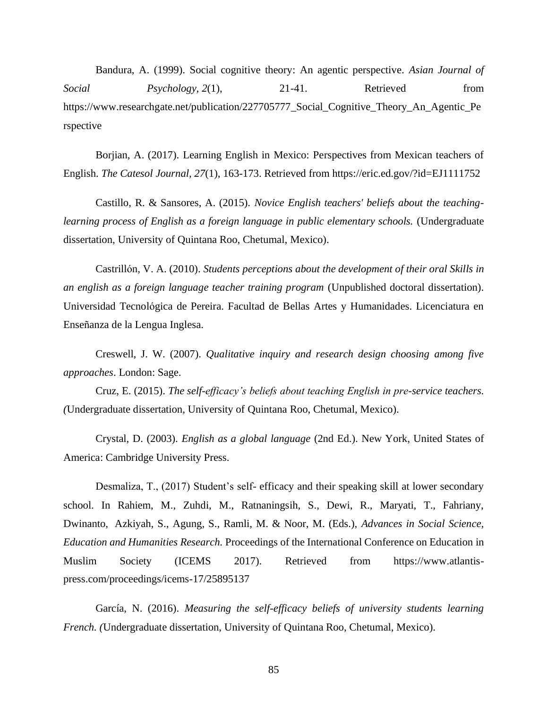Bandura, A. (1999). Social cognitive theory: An agentic perspective. *Asian Journal of Social Psychology,* 2(1), 21-41. Retrieved from https://www.researchgate.net/publication/227705777\_Social\_Cognitive\_Theory\_An\_Agentic\_Pe rspective

Borjian, A. (2017). Learning English in Mexico: Perspectives from Mexican teachers of English. *The Catesol Journal, 27*(1), 163-173. Retrieved from https://eric.ed.gov/?id=EJ1111752

Castillo, R. & Sansores, A. (2015). *Novice English teachers' beliefs about the teaching*learning process of English as a foreign language in public elementary schools. (Undergraduate dissertation, University of Quintana Roo, Chetumal, Mexico).

Castrillon, V. A. (2010). *Students perceptions about the development of their oral Skills in an english as a foreign language teacher training program* (Unpublished doctoral dissertation). Universidad Tecnologica de Pereira. Facultad de Bellas Artes y Humanidades. Licenciatura en Ensenanza de la Lengua Inglesa.

Creswell, J. W. (2007). *Qualitative inquiry and research design choosing among five approaches*. London: Sage.

Cruz, E. (2015). *The self-efficacy's beliefs about teaching English in pre-service teachers. (*Undergraduate dissertation, University of Quintana Roo, Chetumal, Mexico).

Crystal, D. (2003). *English as a global language* (2nd Ed.). New York, United States of America: Cambridge University Press.

Desmaliza, T., (2017) Student's self- efficacy and their speaking skill at lower secondary school. In Rahiem, M., Zuhdi, M., Ratnaningsih, S., Dewi, R., Maryati, T., Fahriany, Dwinanto, Azkiyah, S., Agung, S., Ramli, M. & Noor, M. (Eds.), *Advances in Social Science, Education and Humanities Research.* Proceedings of the International Conference on Education in Muslim Society (ICEMS 2017). Retrieved from https://www.atlantispress.com/proceedings/icems-17/25895137

García, N. (2016). *Measuring the self-efficacy beliefs of university students learning French. (*Undergraduate dissertation, University of Quintana Roo, Chetumal, Mexico).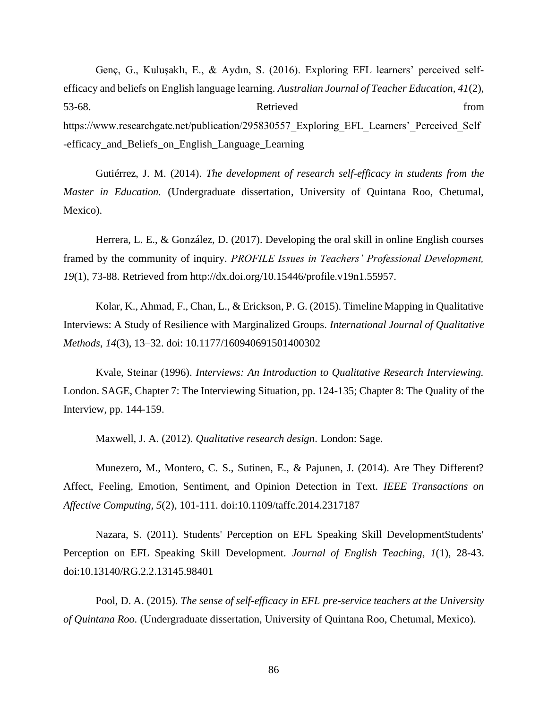Genç, G., Kuluşaklı, E., & Aydın, S. (2016). Exploring EFL learners' perceived selfefficacy and beliefs on English language learning. *Australian Journal of Teacher Education, 41*(2), 53-68. From Retrieved Retrieved https://www.researchgate.net/publication/295830557\_Exploring\_EFL\_Learners'\_Perceived\_Self -efficacy\_and\_Beliefs\_on\_English\_Language\_Learning

Gutiérrez, J. M. (2014). *The development of research self-efficacy in students from the Master in Education.* (Undergraduate dissertation, University of Quintana Roo, Chetumal, Mexico).

Herrera, L. E., & González, D. (2017). Developing the oral skill in online English courses framed by the community of inquiry. *PROFILE Issues in Teachers' Professional Development, 19*(1), 73-88. Retrieved from http://dx.doi.org/10.15446/profile.v19n1.55957.

Kolar, K., Ahmad, F., Chan, L., & Erickson, P. G. (2015). Timeline Mapping in Qualitative Interviews: A Study of Resilience with Marginalized Groups. *International Journal of Qualitative Methods*, *14*(3), 13–32. doi: 10.1177/160940691501400302

Kvale, Steinar (1996). *Interviews: An Introduction to Qualitative Research Interviewing.*  London. SAGE, Chapter 7: The Interviewing Situation, pp. 124-135; Chapter 8: The Quality of the Interview, pp. 144-159.

Maxwell, J. A. (2012). *Qualitative research design*. London: Sage.

Munezero, M., Montero, C. S., Sutinen, E., & Pajunen, J. (2014). Are They Different? Affect, Feeling, Emotion, Sentiment, and Opinion Detection in Text. *IEEE Transactions on Affective Computing, 5*(2), 101-111. doi:10.1109/taffc.2014.2317187

Nazara, S. (2011). Students' Perception on EFL Speaking Skill DevelopmentStudents' Perception on EFL Speaking Skill Development. *Journal of English Teaching, 1*(1), 28-43. doi:10.13140/RG.2.2.13145.98401

Pool, D. A. (2015). *The sense of self-efficacy in EFL pre-service teachers at the University of Quintana Roo.* (Undergraduate dissertation, University of Quintana Roo, Chetumal, Mexico).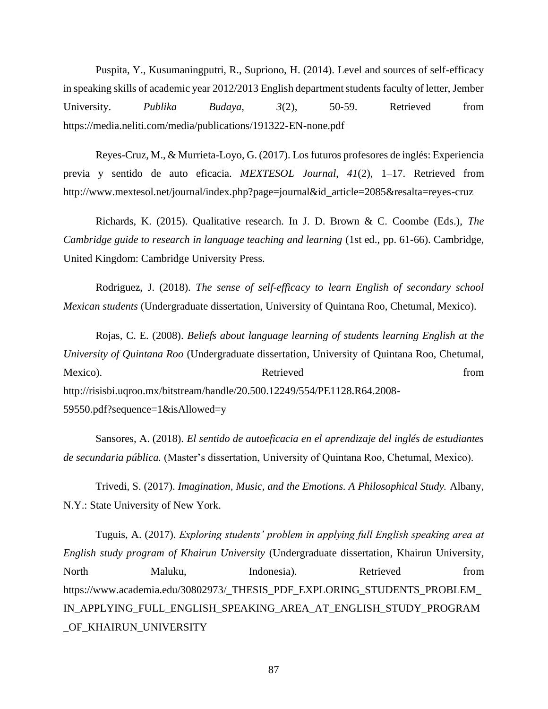Puspita, Y., Kusumaningputri, R., Supriono, H. (2014). Level and sources of self-efficacy in speaking skills of academic year 2012/2013 English department students faculty of letter, Jember University. *Publika Budaya, 3*(2), 50-59. Retrieved from https://media.neliti.com/media/publications/191322-EN-none.pdf

Reyes-Cruz, M., & Murrieta-Loyo, G. (2017). Los futuros profesores de inglés: Experiencia previa y sentido de auto eficacia. *MEXTESOL Journal*, *41*(2), 1–17. Retrieved from http://www.mextesol.net/journal/index.php?page=journal&id\_article=2085&resalta=reyes-cruz

Richards, K. (2015). Qualitative research. In J. D. Brown & C. Coombe (Eds.), *The Cambridge guide to research in language teaching and learning* (1st ed., pp. 61-66). Cambridge, United Kingdom: Cambridge University Press.

Rodriguez, J. (2018). *The sense of self-efficacy to learn English of secondary school Mexican students* (Undergraduate dissertation, University of Quintana Roo, Chetumal, Mexico).

Rojas, C. E. (2008). *Beliefs about language learning of students learning English at the University of Quintana Roo* (Undergraduate dissertation, University of Quintana Roo, Chetumal, Mexico). Retrieved from http://risisbi.uqroo.mx/bitstream/handle/20.500.12249/554/PE1128.R64.2008- 59550.pdf?sequence=1&isAllowed=y

Sansores, A. (2018). *El sentido de autoeficacia en el aprendizaje del inglés de estudiantes de secundaria pública.* (Master's dissertation, University of Quintana Roo, Chetumal, Mexico).

Trivedi, S. (2017). *Imagination, Music, and the Emotions. A Philosophical Study.* Albany, N.Y.: State University of New York.

Tuguis, A. (2017). *Exploring students' problem in applying full English speaking area at English study program of Khairun University* (Undergraduate dissertation, Khairun University, North Maluku, Indonesia). Retrieved from https://www.academia.edu/30802973/\_THESIS\_PDF\_EXPLORING\_STUDENTS\_PROBLEM\_ IN\_APPLYING\_FULL\_ENGLISH\_SPEAKING\_AREA\_AT\_ENGLISH\_STUDY\_PROGRAM \_OF\_KHAIRUN\_UNIVERSITY